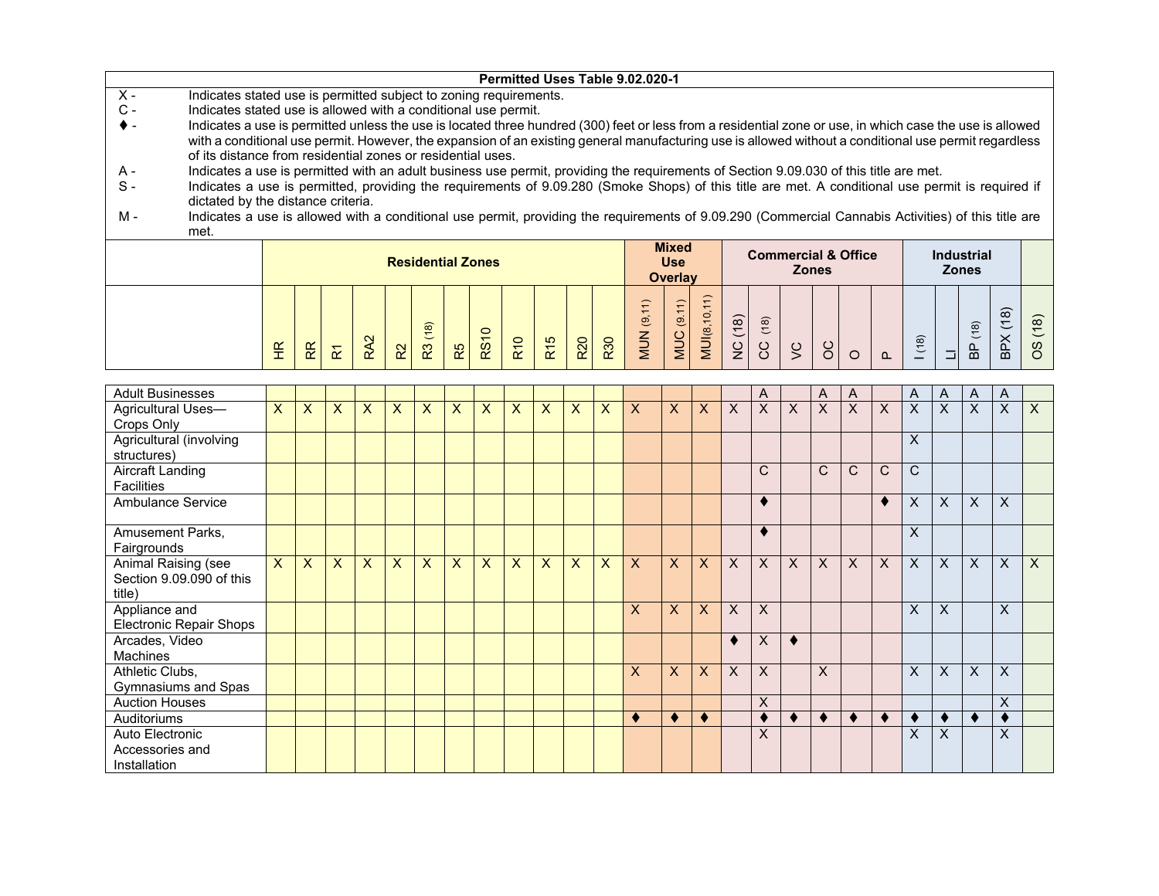|                |                                                                                                                                                          |  |  |                          |  | Permitted Uses Table 9.02.020-1 |  |                |  |              |                                |  |                   |  |
|----------------|----------------------------------------------------------------------------------------------------------------------------------------------------------|--|--|--------------------------|--|---------------------------------|--|----------------|--|--------------|--------------------------------|--|-------------------|--|
| $X -$          | Indicates stated use is permitted subject to zoning requirements.                                                                                        |  |  |                          |  |                                 |  |                |  |              |                                |  |                   |  |
| $\mathsf{C}$ - | Indicates stated use is allowed with a conditional use permit.                                                                                           |  |  |                          |  |                                 |  |                |  |              |                                |  |                   |  |
|                | Indicates a use is permitted unless the use is located three hundred (300) feet or less from a residential zone or use, in which case the use is allowed |  |  |                          |  |                                 |  |                |  |              |                                |  |                   |  |
|                | with a conditional use permit. However, the expansion of an existing general manufacturing use is allowed without a conditional use permit regardless    |  |  |                          |  |                                 |  |                |  |              |                                |  |                   |  |
|                | of its distance from residential zones or residential uses.                                                                                              |  |  |                          |  |                                 |  |                |  |              |                                |  |                   |  |
| A -            | Indicates a use is permitted with an adult business use permit, providing the requirements of Section 9.09.030 of this title are met.                    |  |  |                          |  |                                 |  |                |  |              |                                |  |                   |  |
| $S -$          | Indicates a use is permitted, providing the requirements of 9.09.280 (Smoke Shops) of this title are met. A conditional use permit is required if        |  |  |                          |  |                                 |  |                |  |              |                                |  |                   |  |
|                | dictated by the distance criteria.                                                                                                                       |  |  |                          |  |                                 |  |                |  |              |                                |  |                   |  |
| м -            | Indicates a use is allowed with a conditional use permit, providing the requirements of 9.09.290 (Commercial Cannabis Activities) of this title are      |  |  |                          |  |                                 |  |                |  |              |                                |  |                   |  |
|                | met.                                                                                                                                                     |  |  |                          |  |                                 |  |                |  |              |                                |  |                   |  |
|                |                                                                                                                                                          |  |  |                          |  |                                 |  | <b>Mixed</b>   |  |              |                                |  |                   |  |
|                |                                                                                                                                                          |  |  | <b>Residential Zones</b> |  |                                 |  | <b>Use</b>     |  |              | <b>Commercial &amp; Office</b> |  | <b>Industrial</b> |  |
|                |                                                                                                                                                          |  |  |                          |  |                                 |  | <b>Overlay</b> |  | <b>Zones</b> |                                |  | <b>Zones</b>      |  |
|                |                                                                                                                                                          |  |  |                          |  |                                 |  |                |  |              |                                |  |                   |  |
|                |                                                                                                                                                          |  |  |                          |  |                                 |  |                |  |              |                                |  |                   |  |

|  | $\widetilde{\mathbb{E}}$<br><b>__</b> | RR | $\sim$<br>ш. | $\mathbf{\Omega}$<br>œ | R <sup>2</sup> | $\widehat{\infty}$<br>$\mathcal{L}$<br>$\mathbb{R}^2$ | R5 | $\circ$<br>$\overline{ }$<br>RS | $\tilde{=}$<br>$\alpha$ | $\frac{1}{2}$<br>$\alpha$ | <b>R20</b> | 530<br>– | $\widehat{\phantom{m}}$<br>$\overline{ }$<br>$\overline{ }$<br>$\overline{6}$<br>⇁<br>≒<br>₹ | $\overline{\phantom{1}}$<br>$\overline{ }$<br>$\overline{\phantom{0}}$<br>ತ<br>$\overline{a}$<br>ਵ∖<br>∠ | ≘<br>-<br>S<br>$\infty$<br>$=$<br>≓<br>∠ | $\overline{\phantom{0}}$<br>$\infty$<br>$\overline{ }$<br>$\check{ }$<br>$\geq$<br>∠ | $\widehat{\infty}$<br>$\overline{ }$<br>$\overline{\phantom{0}}$<br>$\check{ }$<br>$\check{ }$ | $\sim$<br>$\check{ }$ | $\check{ }$<br>⌒<br>$\check{ }$ | $\check{ }$ | $\Omega$ | $\widehat{\infty}$<br>こ<br>- | $\overline{\phantom{0}}$<br>– | $\widehat{\infty}$<br>$\overline{z}$<br>௳<br>$\mathbf{m}$ | ၜ<br>$\check{ }$<br>╰<br>௨<br>$\mathbf{m}$ | $\overline{\phantom{0}}$<br>$\infty$<br>$\overline{\phantom{0}}$<br>$\overline{\phantom{0}}$<br>$\omega$ |
|--|---------------------------------------|----|--------------|------------------------|----------------|-------------------------------------------------------|----|---------------------------------|-------------------------|---------------------------|------------|----------|----------------------------------------------------------------------------------------------|----------------------------------------------------------------------------------------------------------|------------------------------------------|--------------------------------------------------------------------------------------|------------------------------------------------------------------------------------------------|-----------------------|---------------------------------|-------------|----------|------------------------------|-------------------------------|-----------------------------------------------------------|--------------------------------------------|----------------------------------------------------------------------------------------------------------|
|--|---------------------------------------|----|--------------|------------------------|----------------|-------------------------------------------------------|----|---------------------------------|-------------------------|---------------------------|------------|----------|----------------------------------------------------------------------------------------------|----------------------------------------------------------------------------------------------------------|------------------------------------------|--------------------------------------------------------------------------------------|------------------------------------------------------------------------------------------------|-----------------------|---------------------------------|-------------|----------|------------------------------|-------------------------------|-----------------------------------------------------------|--------------------------------------------|----------------------------------------------------------------------------------------------------------|

| <b>Adult Businesses</b>        |              |              |              |              |                         |              |              |              |                |              |              |              |              |              |                  |          | A            |                | A            | A            |              | A            | A        | A         | A            |         |
|--------------------------------|--------------|--------------|--------------|--------------|-------------------------|--------------|--------------|--------------|----------------|--------------|--------------|--------------|--------------|--------------|------------------|----------|--------------|----------------|--------------|--------------|--------------|--------------|----------|-----------|--------------|---------|
| Agricultural Uses-             | $\mathsf{X}$ | $\mathsf{X}$ | $\mathsf{X}$ | $\mathsf{X}$ | $\overline{\mathsf{x}}$ | $\mathsf{x}$ | $\mathsf{X}$ | $\mathsf{X}$ | $\overline{X}$ | $\mathsf{X}$ | $\mathsf{X}$ | $\mathsf{X}$ | $\mathsf{x}$ | $\mathsf{X}$ | $\boldsymbol{X}$ | $\times$ | $\mathsf{X}$ | $\overline{X}$ | $\sf X$      | $\times$     | $\mathsf{X}$ | X            | $\times$ | $\times$  | $\mathsf{X}$ | $\sf X$ |
| Crops Only                     |              |              |              |              |                         |              |              |              |                |              |              |              |              |              |                  |          |              |                |              |              |              |              |          |           |              |         |
| Agricultural (involving        |              |              |              |              |                         |              |              |              |                |              |              |              |              |              |                  |          |              |                |              |              |              | $\sf X$      |          |           |              |         |
| structures)                    |              |              |              |              |                         |              |              |              |                |              |              |              |              |              |                  |          |              |                |              |              |              |              |          |           |              |         |
| Aircraft Landing               |              |              |              |              |                         |              |              |              |                |              |              |              |              |              |                  |          | $\mathsf{C}$ |                | $\mathsf{C}$ | $\mathsf{C}$ | $\mathsf{C}$ | $\mathsf{C}$ |          |           |              |         |
| <b>Facilities</b>              |              |              |              |              |                         |              |              |              |                |              |              |              |              |              |                  |          |              |                |              |              |              |              |          |           |              |         |
| Ambulance Service              |              |              |              |              |                         |              |              |              |                |              |              |              |              |              |                  |          |              |                |              |              | ٠            | X            | X        | $\times$  | X.           |         |
| Amusement Parks,               |              |              |              |              |                         |              |              |              |                |              |              |              |              |              |                  |          | ٠            |                |              |              |              | X            |          |           |              |         |
| Fairgrounds                    |              |              |              |              |                         |              |              |              |                |              |              |              |              |              |                  |          |              |                |              |              |              |              |          |           |              |         |
| Animal Raising (see            | $\mathsf{x}$ | $\mathsf{X}$ | $\mathsf{x}$ | $\mathsf{X}$ | $\mathsf{X}$            | $\mathsf{x}$ | $\mathsf{X}$ | $\mathsf{X}$ | $\mathsf{x}$   | X            | $\mathsf{X}$ | $\mathsf{x}$ | $\mathsf{X}$ | $\mathsf{X}$ | $\mathsf{X}$     | X        | $\times$     | $\times$       | $\times$     | $\mathsf{X}$ | X            | $\mathsf{x}$ | $\times$ | $\times$  | X            | $\sf X$ |
| Section 9.09.090 of this       |              |              |              |              |                         |              |              |              |                |              |              |              |              |              |                  |          |              |                |              |              |              |              |          |           |              |         |
| title)                         |              |              |              |              |                         |              |              |              |                |              |              |              |              |              |                  |          |              |                |              |              |              |              |          |           |              |         |
| Appliance and                  |              |              |              |              |                         |              |              |              |                |              |              |              | X            | $\mathsf{X}$ | $\mathsf{X}$     | X        | $\mathsf{x}$ |                |              |              |              | X            | X        |           | X            |         |
| <b>Electronic Repair Shops</b> |              |              |              |              |                         |              |              |              |                |              |              |              |              |              |                  |          |              |                |              |              |              |              |          |           |              |         |
| Arcades, Video                 |              |              |              |              |                         |              |              |              |                |              |              |              |              |              |                  | ٠        | $\mathsf{X}$ | $\bullet$      |              |              |              |              |          |           |              |         |
| <b>Machines</b>                |              |              |              |              |                         |              |              |              |                |              |              |              |              |              |                  |          |              |                |              |              |              |              |          |           |              |         |
| Athletic Clubs,                |              |              |              |              |                         |              |              |              |                |              |              |              | $\mathsf{X}$ | $\mathsf{X}$ | $\boldsymbol{X}$ | X        | $\mathsf{X}$ |                | X            |              |              | $\mathsf{x}$ | X        | $\times$  | X            |         |
| Gymnasiums and Spas            |              |              |              |              |                         |              |              |              |                |              |              |              |              |              |                  |          |              |                |              |              |              |              |          |           |              |         |
| <b>Auction Houses</b>          |              |              |              |              |                         |              |              |              |                |              |              |              |              |              |                  |          | $\mathsf{X}$ |                |              |              |              |              |          |           | X            |         |
| Auditoriums                    |              |              |              |              |                         |              |              |              |                |              |              |              | $\bullet$    | ٠            | ٠                |          |              |                | $\bullet$    | $\bullet$    | ♦            |              |          | $\bullet$ |              |         |
| Auto Electronic                |              |              |              |              |                         |              |              |              |                |              |              |              |              |              |                  |          | $\mathsf{X}$ |                |              |              |              | X            | X        |           | X            |         |
| Accessories and                |              |              |              |              |                         |              |              |              |                |              |              |              |              |              |                  |          |              |                |              |              |              |              |          |           |              |         |
| Installation                   |              |              |              |              |                         |              |              |              |                |              |              |              |              |              |                  |          |              |                |              |              |              |              |          |           |              |         |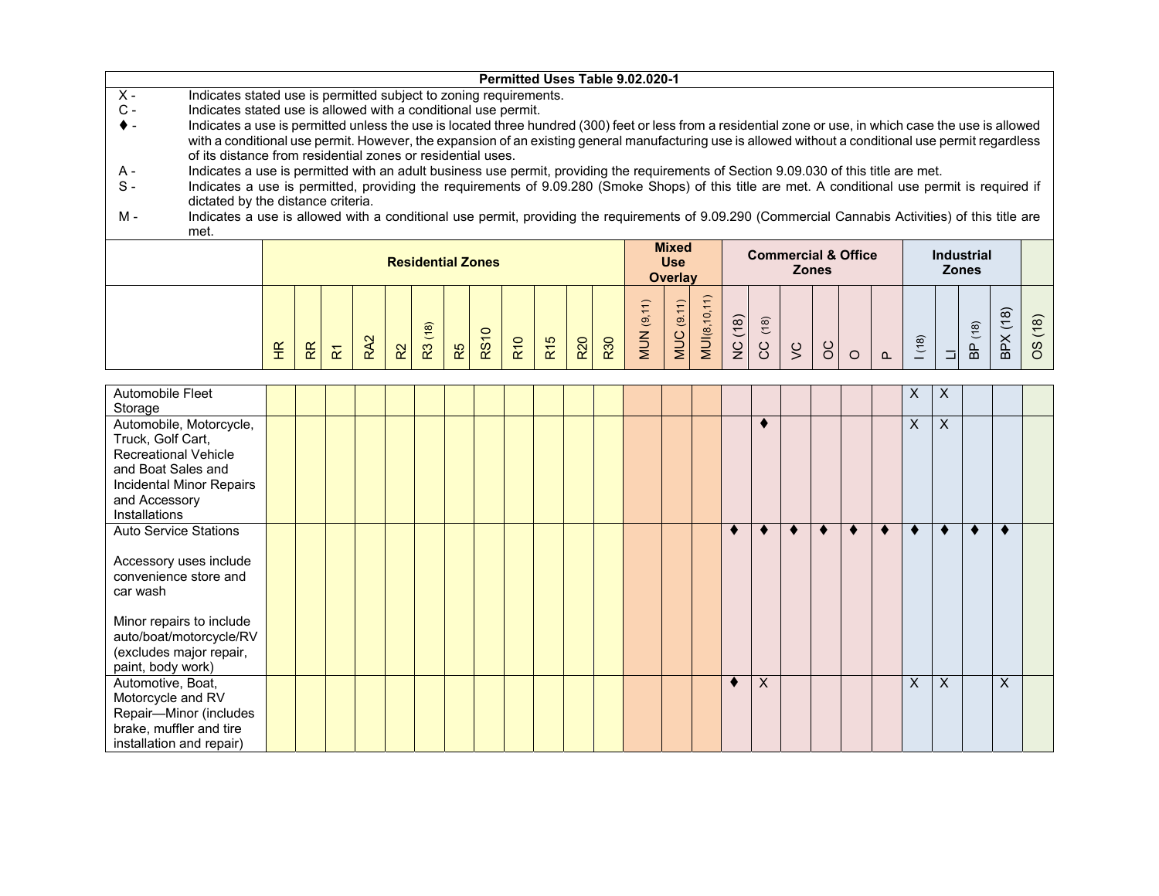|                |                                                                                                                                                          |                          |                                                                                                                                                                                                                                                                                            |  |  |  |                          |    |         |            |                 |            |            | Permitted Uses Table 9.02.020-1 |                |           |             |      |   |              |                                |      |                   |   |          |
|----------------|----------------------------------------------------------------------------------------------------------------------------------------------------------|--------------------------|--------------------------------------------------------------------------------------------------------------------------------------------------------------------------------------------------------------------------------------------------------------------------------------------|--|--|--|--------------------------|----|---------|------------|-----------------|------------|------------|---------------------------------|----------------|-----------|-------------|------|---|--------------|--------------------------------|------|-------------------|---|----------|
| $X -$          | Indicates stated use is permitted subject to zoning requirements.                                                                                        |                          |                                                                                                                                                                                                                                                                                            |  |  |  |                          |    |         |            |                 |            |            |                                 |                |           |             |      |   |              |                                |      |                   |   |          |
| $\mathsf{C}$ - | Indicates stated use is allowed with a conditional use permit.                                                                                           |                          |                                                                                                                                                                                                                                                                                            |  |  |  |                          |    |         |            |                 |            |            |                                 |                |           |             |      |   |              |                                |      |                   |   |          |
|                | Indicates a use is permitted unless the use is located three hundred (300) feet or less from a residential zone or use, in which case the use is allowed |                          |                                                                                                                                                                                                                                                                                            |  |  |  |                          |    |         |            |                 |            |            |                                 |                |           |             |      |   |              |                                |      |                   |   |          |
|                |                                                                                                                                                          |                          | with a conditional use permit. However, the expansion of an existing general manufacturing use is allowed without a conditional use permit regardless                                                                                                                                      |  |  |  |                          |    |         |            |                 |            |            |                                 |                |           |             |      |   |              |                                |      |                   |   |          |
|                |                                                                                                                                                          |                          | of its distance from residential zones or residential uses.                                                                                                                                                                                                                                |  |  |  |                          |    |         |            |                 |            |            |                                 |                |           |             |      |   |              |                                |      |                   |   |          |
| A -            |                                                                                                                                                          |                          | Indicates a use is permitted with an adult business use permit, providing the requirements of Section 9.09.030 of this title are met.<br>Indicates a use is permitted, providing the requirements of 9.09.280 (Smoke Shops) of this title are met. A conditional use permit is required if |  |  |  |                          |    |         |            |                 |            |            |                                 |                |           |             |      |   |              |                                |      |                   |   |          |
| $S -$          |                                                                                                                                                          |                          |                                                                                                                                                                                                                                                                                            |  |  |  |                          |    |         |            |                 |            |            |                                 |                |           |             |      |   |              |                                |      |                   |   |          |
|                | dictated by the distance criteria.                                                                                                                       |                          |                                                                                                                                                                                                                                                                                            |  |  |  |                          |    |         |            |                 |            |            |                                 |                |           |             |      |   |              |                                |      |                   |   |          |
| м -            | Indicates a use is allowed with a conditional use permit, providing the requirements of 9.09.290 (Commercial Cannabis Activities) of this title are      |                          |                                                                                                                                                                                                                                                                                            |  |  |  |                          |    |         |            |                 |            |            |                                 |                |           |             |      |   |              |                                |      |                   |   |          |
|                | met.                                                                                                                                                     |                          |                                                                                                                                                                                                                                                                                            |  |  |  |                          |    |         |            |                 |            |            |                                 |                |           |             |      |   |              |                                |      |                   |   |          |
|                |                                                                                                                                                          |                          |                                                                                                                                                                                                                                                                                            |  |  |  |                          |    |         |            |                 |            |            |                                 | <b>Mixed</b>   |           |             |      |   |              | <b>Commercial &amp; Office</b> |      | <b>Industrial</b> |   |          |
|                |                                                                                                                                                          |                          |                                                                                                                                                                                                                                                                                            |  |  |  | <b>Residential Zones</b> |    |         |            |                 |            |            |                                 | <b>Use</b>     |           |             |      |   | <b>Zones</b> |                                |      | <b>Zones</b>      |   |          |
|                |                                                                                                                                                          |                          |                                                                                                                                                                                                                                                                                            |  |  |  |                          |    |         |            |                 |            |            |                                 | <b>Overlay</b> |           |             |      |   |              |                                |      |                   |   |          |
|                |                                                                                                                                                          |                          |                                                                                                                                                                                                                                                                                            |  |  |  |                          |    |         |            |                 |            |            |                                 |                |           |             |      |   |              |                                |      |                   |   |          |
|                |                                                                                                                                                          |                          |                                                                                                                                                                                                                                                                                            |  |  |  |                          |    |         |            |                 |            |            |                                 |                | <u>'6</u> |             |      |   |              |                                |      |                   | ၹ |          |
|                |                                                                                                                                                          |                          |                                                                                                                                                                                                                                                                                            |  |  |  |                          |    | $\circ$ |            |                 |            |            | $\overline{\mathbf{e}}$         | ಄              |           | (18)        | (18) |   |              |                                |      | $\frac{18}{2}$    |   | $\infty$ |
|                |                                                                                                                                                          |                          |                                                                                                                                                                                                                                                                                            |  |  |  |                          |    | RS1     | <b>R10</b> |                 | <b>R20</b> | <b>R30</b> | <b>MUN</b>                      | <b>MUC</b>     | MUI(8,    |             |      |   |              |                                | (18) |                   |   | w        |
|                |                                                                                                                                                          | $\widetilde{\mathsf{t}}$ |                                                                                                                                                                                                                                                                                            |  |  |  | က္                       | R5 |         |            | R <sub>15</sub> |            |            |                                 |                |           | $rac{C}{Z}$ | S    | Š | 8            |                                |      |                   | 읎 |          |

| Automobile Fleet<br>Storage                                                                                                                                     |  |  |  |  |  |  |  |  |          |  |   | X        | X                         |   |   |  |
|-----------------------------------------------------------------------------------------------------------------------------------------------------------------|--|--|--|--|--|--|--|--|----------|--|---|----------|---------------------------|---|---|--|
| Automobile, Motorcycle,<br>Truck, Golf Cart,<br><b>Recreational Vehicle</b><br>and Boat Sales and<br>Incidental Minor Repairs<br>and Accessory<br>Installations |  |  |  |  |  |  |  |  | ٠        |  |   | X        | $\sf X$                   |   |   |  |
| <b>Auto Service Stations</b><br>Accessory uses include<br>convenience store and<br>car wash<br>Minor repairs to include<br>auto/boat/motorcycle/RV              |  |  |  |  |  |  |  |  |          |  | ∢ |          |                           | ٠ |   |  |
| (excludes major repair,<br>paint, body work)                                                                                                                    |  |  |  |  |  |  |  |  |          |  |   |          |                           |   |   |  |
| Automotive, Boat,<br>Motorcycle and RV<br>Repair-Minor (includes<br>brake, muffler and tire<br>installation and repair)                                         |  |  |  |  |  |  |  |  | $\times$ |  |   | $\times$ | $\boldsymbol{\mathsf{X}}$ |   | X |  |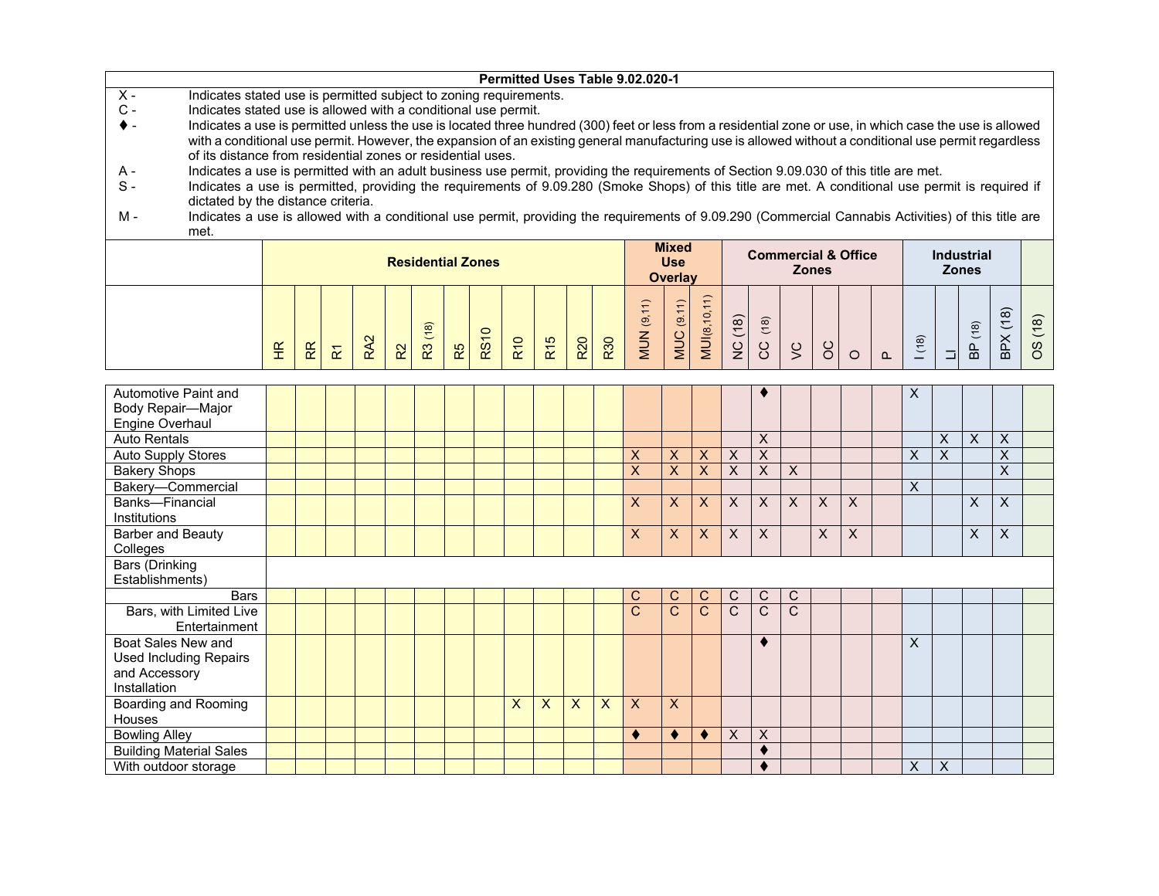| Permitted Uses Table 9.02.020-1                                                                                                                                            |                                                                                                                                               |                         |                         |         |  |  |  |  |  |  |  |  |  |  |  |
|----------------------------------------------------------------------------------------------------------------------------------------------------------------------------|-----------------------------------------------------------------------------------------------------------------------------------------------|-------------------------|-------------------------|---------|--|--|--|--|--|--|--|--|--|--|--|
| $\overline{X}$ -<br>Indicates stated use is permitted subject to zoning requirements.                                                                                      |                                                                                                                                               |                         |                         |         |  |  |  |  |  |  |  |  |  |  |  |
| $C -$<br>Indicates stated use is allowed with a conditional use permit.                                                                                                    |                                                                                                                                               |                         |                         |         |  |  |  |  |  |  |  |  |  |  |  |
| Indicates a use is permitted unless the use is located three hundred (300) feet or less from a residential zone or use, in which case the use is allowed<br>♦ -            |                                                                                                                                               |                         |                         |         |  |  |  |  |  |  |  |  |  |  |  |
| with a conditional use permit. However, the expansion of an existing general manufacturing use is allowed without a conditional use permit regardless                      |                                                                                                                                               |                         |                         |         |  |  |  |  |  |  |  |  |  |  |  |
| of its distance from residential zones or residential uses.                                                                                                                |                                                                                                                                               |                         |                         |         |  |  |  |  |  |  |  |  |  |  |  |
| Indicates a use is permitted with an adult business use permit, providing the requirements of Section 9.09.030 of this title are met.<br>A -                               |                                                                                                                                               |                         |                         |         |  |  |  |  |  |  |  |  |  |  |  |
| Indicates a use is permitted, providing the requirements of 9.09.280 (Smoke Shops) of this title are met. A conditional use permit is required if<br>$S -$                 |                                                                                                                                               |                         |                         |         |  |  |  |  |  |  |  |  |  |  |  |
| dictated by the distance criteria.                                                                                                                                         |                                                                                                                                               |                         |                         |         |  |  |  |  |  |  |  |  |  |  |  |
| Indicates a use is allowed with a conditional use permit, providing the requirements of 9.09.290 (Commercial Cannabis Activities) of this title are<br>м -                 |                                                                                                                                               |                         |                         |         |  |  |  |  |  |  |  |  |  |  |  |
| met.                                                                                                                                                                       | <b>Mixed</b><br><b>Commercial &amp; Office</b><br><b>Industrial</b><br><b>Residential Zones</b><br><b>Use</b><br><b>Zones</b><br><b>Zones</b> |                         |                         |         |  |  |  |  |  |  |  |  |  |  |  |
|                                                                                                                                                                            | <b>Overlay</b>                                                                                                                                |                         |                         |         |  |  |  |  |  |  |  |  |  |  |  |
|                                                                                                                                                                            |                                                                                                                                               |                         |                         |         |  |  |  |  |  |  |  |  |  |  |  |
|                                                                                                                                                                            |                                                                                                                                               |                         |                         |         |  |  |  |  |  |  |  |  |  |  |  |
| MUI(8,10,11)<br><b>MUN</b> (9,11)                                                                                                                                          |                                                                                                                                               |                         |                         |         |  |  |  |  |  |  |  |  |  |  |  |
| <b>MUC</b> (9.11)<br>NC (18)<br>(18)                                                                                                                                       |                                                                                                                                               |                         | BPX(18)                 | OS (18) |  |  |  |  |  |  |  |  |  |  |  |
| R3 (18)<br><b>RS10</b><br>RA2<br><b>R10</b><br>R <sub>15</sub><br><b>R20</b><br>R30                                                                                        | (18)                                                                                                                                          | BP (18)                 |                         |         |  |  |  |  |  |  |  |  |  |  |  |
| ပ္ပ<br>$\infty$<br>$\zeta$<br>£<br>R<br>R5<br>$R^2$<br>$\overline{\mathbf{r}}$<br>$\circ$<br>$\Omega$                                                                      | $\Box$                                                                                                                                        |                         |                         |         |  |  |  |  |  |  |  |  |  |  |  |
|                                                                                                                                                                            |                                                                                                                                               |                         |                         |         |  |  |  |  |  |  |  |  |  |  |  |
| Automotive Paint and                                                                                                                                                       | X                                                                                                                                             |                         |                         |         |  |  |  |  |  |  |  |  |  |  |  |
| Body Repair-Major                                                                                                                                                          |                                                                                                                                               |                         |                         |         |  |  |  |  |  |  |  |  |  |  |  |
| Engine Overhaul                                                                                                                                                            |                                                                                                                                               |                         |                         |         |  |  |  |  |  |  |  |  |  |  |  |
| $\overline{X}$<br><b>Auto Rentals</b>                                                                                                                                      | $\overline{\mathsf{x}}$                                                                                                                       | $\overline{\mathsf{x}}$ | $\overline{X}$          |         |  |  |  |  |  |  |  |  |  |  |  |
| $\overline{X}$<br>$\mathsf{X}$<br><b>Auto Supply Stores</b><br>X<br>X<br>$\boldsymbol{\mathsf{X}}$                                                                         | X<br>$\overline{X}$                                                                                                                           |                         | $\overline{\mathsf{x}}$ |         |  |  |  |  |  |  |  |  |  |  |  |
| $\overline{\mathsf{x}}$<br>$\overline{\mathsf{x}}$<br>$\overline{\mathsf{x}}$<br>$\overline{\mathsf{x}}$<br>$\mathsf{X}$<br>$\overline{\mathsf{x}}$<br><b>Bakery Shops</b> |                                                                                                                                               |                         | $\overline{\mathsf{x}}$ |         |  |  |  |  |  |  |  |  |  |  |  |
| Bakery-Commercial                                                                                                                                                          | X                                                                                                                                             |                         |                         |         |  |  |  |  |  |  |  |  |  |  |  |
| $\overline{\mathsf{x}}$<br>$\overline{X}$<br>$\overline{\mathsf{x}}$<br>$\overline{X}$<br><b>Banks-Financial</b><br>X<br>$\overline{X}$<br>X<br>X                          |                                                                                                                                               | X                       | X                       |         |  |  |  |  |  |  |  |  |  |  |  |
| Institutions                                                                                                                                                               |                                                                                                                                               |                         |                         |         |  |  |  |  |  |  |  |  |  |  |  |
| <b>Barber and Beauty</b><br>X<br>X<br>X<br>X<br>X<br>X<br>X                                                                                                                |                                                                                                                                               | X                       | $\overline{\mathsf{x}}$ |         |  |  |  |  |  |  |  |  |  |  |  |
| Colleges                                                                                                                                                                   |                                                                                                                                               |                         |                         |         |  |  |  |  |  |  |  |  |  |  |  |
| <b>Bars (Drinking</b>                                                                                                                                                      |                                                                                                                                               |                         |                         |         |  |  |  |  |  |  |  |  |  |  |  |
| Establishments)                                                                                                                                                            |                                                                                                                                               |                         |                         |         |  |  |  |  |  |  |  |  |  |  |  |
| <b>Bars</b><br>$\mathsf C$<br>C<br>$\mathsf{C}$<br>C<br>C<br>C                                                                                                             |                                                                                                                                               |                         |                         |         |  |  |  |  |  |  |  |  |  |  |  |
| $\overline{\text{c}}$<br>$\overline{C}$<br>$\mathsf{C}$<br>C<br>$\mathsf{C}$<br>$\mathsf{C}$<br>Bars, with Limited Live                                                    |                                                                                                                                               |                         |                         |         |  |  |  |  |  |  |  |  |  |  |  |
| Entertainment                                                                                                                                                              |                                                                                                                                               |                         |                         |         |  |  |  |  |  |  |  |  |  |  |  |
| <b>Boat Sales New and</b><br>٠                                                                                                                                             | X                                                                                                                                             |                         |                         |         |  |  |  |  |  |  |  |  |  |  |  |
| <b>Used Including Repairs</b>                                                                                                                                              |                                                                                                                                               |                         |                         |         |  |  |  |  |  |  |  |  |  |  |  |
| and Accessory<br>Installation                                                                                                                                              |                                                                                                                                               |                         |                         |         |  |  |  |  |  |  |  |  |  |  |  |
| <b>Boarding and Rooming</b><br>$\overline{\mathsf{x}}$<br>$\mathsf{X}$<br>$\boldsymbol{\mathsf{X}}$<br>$\boldsymbol{\mathsf{X}}$<br>X<br>X                                 |                                                                                                                                               |                         |                         |         |  |  |  |  |  |  |  |  |  |  |  |
| Houses                                                                                                                                                                     |                                                                                                                                               |                         |                         |         |  |  |  |  |  |  |  |  |  |  |  |
| $\overline{X}$<br><b>Bowling Alley</b><br>$\bullet$<br>$\sf X$<br>$\bullet$<br>$\bullet$                                                                                   |                                                                                                                                               |                         |                         |         |  |  |  |  |  |  |  |  |  |  |  |
|                                                                                                                                                                            |                                                                                                                                               |                         |                         |         |  |  |  |  |  |  |  |  |  |  |  |
| <b>Building Material Sales</b><br>$\bullet$                                                                                                                                |                                                                                                                                               |                         |                         |         |  |  |  |  |  |  |  |  |  |  |  |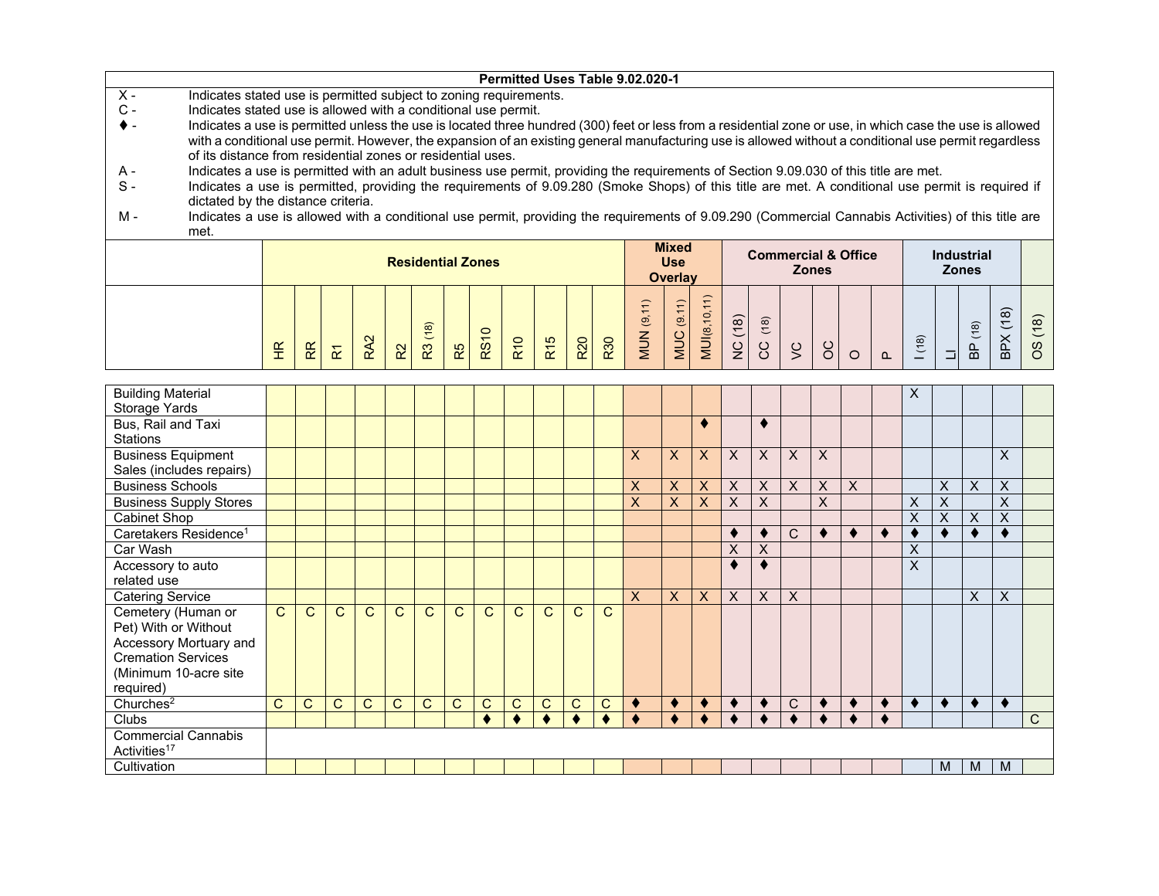|                                                                                                                                                                         |                      |              |                         |     |                |      |    |                          |                 |                 |     |            | Permitted Uses Table 9.02.020-1 |                |                     |         |      |                                |              |         |          |      |              |                   |          |                     |
|-------------------------------------------------------------------------------------------------------------------------------------------------------------------------|----------------------|--------------|-------------------------|-----|----------------|------|----|--------------------------|-----------------|-----------------|-----|------------|---------------------------------|----------------|---------------------|---------|------|--------------------------------|--------------|---------|----------|------|--------------|-------------------|----------|---------------------|
| $X -$<br>Indicates stated use is permitted subject to zoning requirements.                                                                                              |                      |              |                         |     |                |      |    |                          |                 |                 |     |            |                                 |                |                     |         |      |                                |              |         |          |      |              |                   |          |                     |
| $C -$<br>Indicates stated use is allowed with a conditional use permit.                                                                                                 |                      |              |                         |     |                |      |    |                          |                 |                 |     |            |                                 |                |                     |         |      |                                |              |         |          |      |              |                   |          |                     |
| Indicates a use is permitted unless the use is located three hundred (300) feet or less from a residential zone or use, in which case the use is allowed<br>$\bullet$ - |                      |              |                         |     |                |      |    |                          |                 |                 |     |            |                                 |                |                     |         |      |                                |              |         |          |      |              |                   |          |                     |
| with a conditional use permit. However, the expansion of an existing general manufacturing use is allowed without a conditional use permit regardless                   |                      |              |                         |     |                |      |    |                          |                 |                 |     |            |                                 |                |                     |         |      |                                |              |         |          |      |              |                   |          |                     |
| of its distance from residential zones or residential uses.                                                                                                             |                      |              |                         |     |                |      |    |                          |                 |                 |     |            |                                 |                |                     |         |      |                                |              |         |          |      |              |                   |          |                     |
| Indicates a use is permitted with an adult business use permit, providing the requirements of Section 9.09.030 of this title are met.<br>A -                            |                      |              |                         |     |                |      |    |                          |                 |                 |     |            |                                 |                |                     |         |      |                                |              |         |          |      |              |                   |          |                     |
| $S -$<br>Indicates a use is permitted, providing the requirements of 9.09.280 (Smoke Shops) of this title are met. A conditional use permit is required if              |                      |              |                         |     |                |      |    |                          |                 |                 |     |            |                                 |                |                     |         |      |                                |              |         |          |      |              |                   |          |                     |
| dictated by the distance criteria.                                                                                                                                      |                      |              |                         |     |                |      |    |                          |                 |                 |     |            |                                 |                |                     |         |      |                                |              |         |          |      |              |                   |          |                     |
| M -<br>Indicates a use is allowed with a conditional use permit, providing the requirements of 9.09.290 (Commercial Cannabis Activities) of this title are              |                      |              |                         |     |                |      |    |                          |                 |                 |     |            |                                 |                |                     |         |      |                                |              |         |          |      |              |                   |          |                     |
| met.                                                                                                                                                                    |                      |              |                         |     |                |      |    |                          |                 |                 |     |            |                                 |                |                     |         |      |                                |              |         |          |      |              |                   |          |                     |
|                                                                                                                                                                         |                      |              |                         |     |                |      |    |                          |                 |                 |     |            |                                 | <b>Mixed</b>   |                     |         |      |                                |              |         |          |      |              |                   |          |                     |
|                                                                                                                                                                         |                      |              |                         |     |                |      |    | <b>Residential Zones</b> |                 |                 |     |            |                                 | <b>Use</b>     |                     |         |      | <b>Commercial &amp; Office</b> |              |         |          |      |              | <b>Industrial</b> |          |                     |
|                                                                                                                                                                         |                      |              |                         |     |                |      |    |                          |                 |                 |     |            |                                 | <b>Overlay</b> |                     |         |      |                                | <b>Zones</b> |         |          |      | <b>Zones</b> |                   |          |                     |
|                                                                                                                                                                         |                      |              |                         |     |                |      |    |                          |                 |                 |     |            |                                 |                |                     |         |      |                                |              |         |          |      |              |                   |          |                     |
|                                                                                                                                                                         |                      |              |                         |     |                |      |    |                          |                 |                 |     |            | <b>MUN</b> (9,11)               | (9.11)         | <b>MUI(8,10,11)</b> |         |      |                                |              |         |          |      |              |                   |          |                     |
|                                                                                                                                                                         |                      |              |                         |     |                |      |    |                          |                 |                 |     |            |                                 |                |                     |         | (18) |                                |              |         |          |      |              |                   | BPX (18) | (18)                |
|                                                                                                                                                                         |                      |              |                         |     |                | (18) |    | <b>RS10</b>              |                 |                 |     |            |                                 |                |                     |         |      |                                |              |         |          | (18) |              | (18)              |          |                     |
|                                                                                                                                                                         | $\frac{\alpha}{\pi}$ | $\mathbb{R}$ | $\overline{\mathbf{r}}$ | RA2 | R <sup>2</sup> | R3   | R5 |                          | R <sub>10</sub> | R <sub>15</sub> | R20 | <b>R30</b> |                                 | MUC            |                     | NC (18) | SC   | $\zeta$                        | 8            | $\circ$ | $\Omega$ |      |              | B <sub>0</sub>    |          | $\omega$<br>$\circ$ |
|                                                                                                                                                                         |                      |              |                         |     |                |      |    |                          |                 |                 |     |            |                                 |                |                     |         |      |                                |              |         |          |      |              |                   |          |                     |
|                                                                                                                                                                         |                      |              |                         |     |                |      |    |                          |                 |                 |     |            |                                 |                |                     |         |      |                                |              |         |          |      |              |                   |          |                     |
| <b>Building Material</b>                                                                                                                                                |                      |              |                         |     |                |      |    |                          |                 |                 |     |            |                                 |                |                     |         |      |                                |              |         |          | X    |              |                   |          |                     |
| Storage Yards                                                                                                                                                           |                      |              |                         |     |                |      |    |                          |                 |                 |     |            |                                 |                |                     |         |      |                                |              |         |          |      |              |                   |          |                     |
| Bus, Rail and Taxi                                                                                                                                                      |                      |              |                         |     |                |      |    |                          |                 |                 |     |            |                                 |                |                     |         |      |                                |              |         |          |      |              |                   |          |                     |
| <b>Stations</b>                                                                                                                                                         |                      |              |                         |     |                |      |    |                          |                 |                 |     |            |                                 |                |                     |         |      |                                |              |         |          |      |              |                   |          |                     |

| Bus, Rail and Taxi<br><b>Stations</b>                                                                                                   |              |              |              |              |              |              |    |   |              |              |              |              |    |    |   |           | ♥            |              |   |          |   |   |           |   |              |
|-----------------------------------------------------------------------------------------------------------------------------------------|--------------|--------------|--------------|--------------|--------------|--------------|----|---|--------------|--------------|--------------|--------------|----|----|---|-----------|--------------|--------------|---|----------|---|---|-----------|---|--------------|
| <b>Business Equipment</b><br>Sales (includes repairs)                                                                                   |              |              |              |              |              |              |    |   |              |              |              |              | X  | X. | X | X         | $\times$     | $\times$     | X |          |   |   |           | X |              |
| <b>Business Schools</b>                                                                                                                 |              |              |              |              |              |              |    |   |              |              |              |              | X  | X  | X | X         | X            | $\mathsf{X}$ | X | $\times$ |   | X | X         | X |              |
| <b>Business Supply Stores</b>                                                                                                           |              |              |              |              |              |              |    |   |              |              |              |              | X  | X. | X | X         | X            |              | X |          | X | X |           | X |              |
| Cabinet Shop                                                                                                                            |              |              |              |              |              |              |    |   |              |              |              |              |    |    |   |           |              |              |   |          | X | X | X         | X |              |
| Caretakers Residence <sup>1</sup>                                                                                                       |              |              |              |              |              |              |    |   |              |              |              |              |    |    |   | $\bullet$ |              | C            | ◀ |          |   |   | $\bullet$ |   |              |
| Car Wash                                                                                                                                |              |              |              |              |              |              |    |   |              |              |              |              |    |    |   | X         | X            |              |   |          | X |   |           |   |              |
| Accessory to auto<br>related use                                                                                                        |              |              |              |              |              |              |    |   |              |              |              |              |    |    |   |           |              |              |   |          | X |   |           |   |              |
| <b>Catering Service</b>                                                                                                                 |              |              |              |              |              |              |    |   |              |              |              |              | X. | X. | X | X         | $\mathsf{X}$ | $\mathsf{X}$ |   |          |   |   | X         | X |              |
| Cemetery (Human or<br>Pet) With or Without<br>Accessory Mortuary and<br><b>Cremation Services</b><br>(Minimum 10-acre site<br>required) | $\mathsf{C}$ | $\mathsf{C}$ | C            | $\mathbf{C}$ | C            | C            | C. | C | C            | C.           | $\mathsf{C}$ | $\mathsf{C}$ |    |    |   |           |              |              |   |          |   |   |           |   |              |
| Churches <sup>2</sup>                                                                                                                   | C            | С            | $\mathsf{C}$ | C.           | $\mathsf{C}$ | $\mathsf{C}$ | C  | С | $\mathsf{C}$ | $\mathsf{C}$ | $\mathsf{C}$ | C            |    |    |   |           |              | $\mathsf{C}$ |   |          |   |   | ♦         |   |              |
| Clubs                                                                                                                                   |              |              |              |              |              |              |    |   |              |              |              |              |    |    |   |           |              |              |   |          |   |   |           |   | $\mathsf{C}$ |
| <b>Commercial Cannabis</b><br>Activities <sup>17</sup>                                                                                  |              |              |              |              |              |              |    |   |              |              |              |              |    |    |   |           |              |              |   |          |   |   |           |   |              |
| Cultivation                                                                                                                             |              |              |              |              |              |              |    |   |              |              |              |              |    |    |   |           |              |              |   |          |   | M | M         | M |              |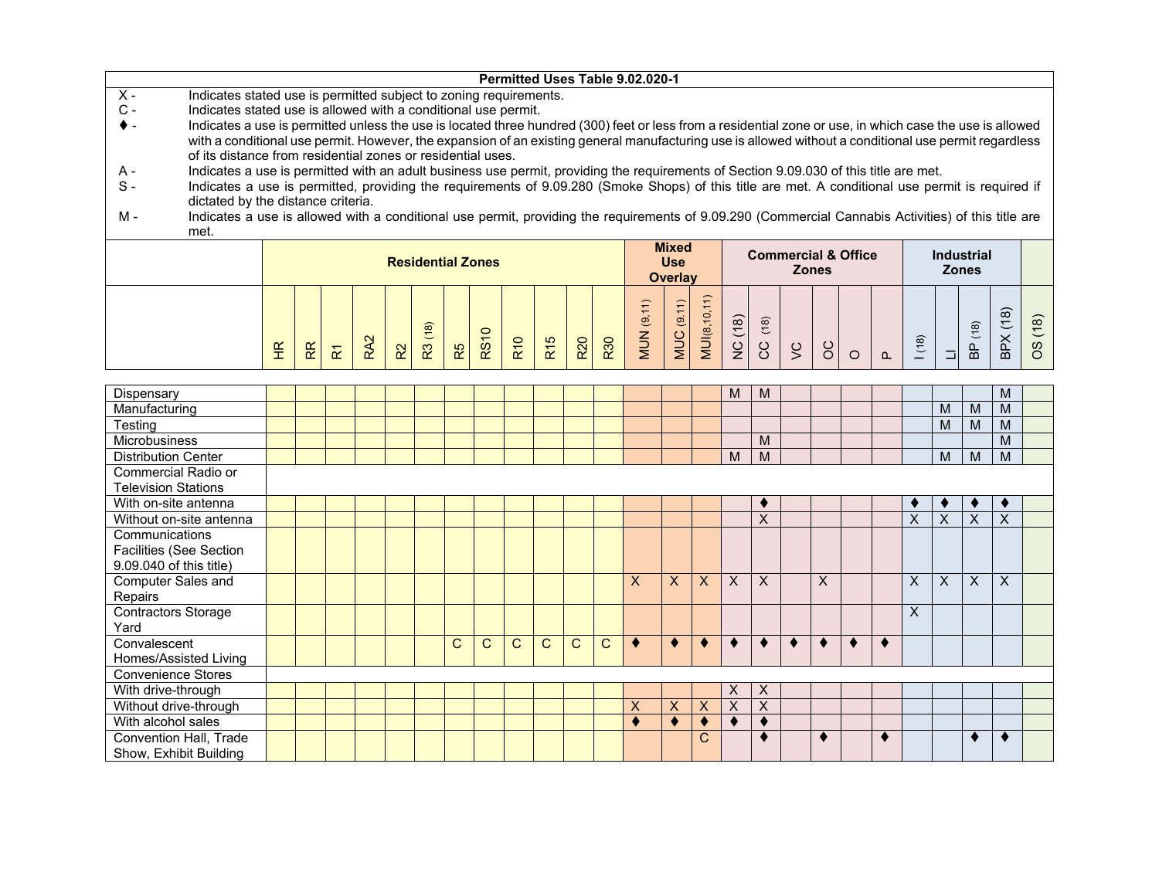|                |                                                                                                                                                          |                      |                |                         |    |                          |    |                |                 |                 |            |            | Permitted Uses Table 9.02.020-1 |                     |              |                       |             |                                |     |  |     |                   |                    |            |
|----------------|----------------------------------------------------------------------------------------------------------------------------------------------------------|----------------------|----------------|-------------------------|----|--------------------------|----|----------------|-----------------|-----------------|------------|------------|---------------------------------|---------------------|--------------|-----------------------|-------------|--------------------------------|-----|--|-----|-------------------|--------------------|------------|
| $X -$          | Indicates stated use is permitted subject to zoning requirements.                                                                                        |                      |                |                         |    |                          |    |                |                 |                 |            |            |                                 |                     |              |                       |             |                                |     |  |     |                   |                    |            |
| $\mathsf{C}$ - | Indicates stated use is allowed with a conditional use permit.                                                                                           |                      |                |                         |    |                          |    |                |                 |                 |            |            |                                 |                     |              |                       |             |                                |     |  |     |                   |                    |            |
|                | Indicates a use is permitted unless the use is located three hundred (300) feet or less from a residential zone or use, in which case the use is allowed |                      |                |                         |    |                          |    |                |                 |                 |            |            |                                 |                     |              |                       |             |                                |     |  |     |                   |                    |            |
|                | with a conditional use permit. However, the expansion of an existing general manufacturing use is allowed without a conditional use permit regardless    |                      |                |                         |    |                          |    |                |                 |                 |            |            |                                 |                     |              |                       |             |                                |     |  |     |                   |                    |            |
|                | of its distance from residential zones or residential uses.                                                                                              |                      |                |                         |    |                          |    |                |                 |                 |            |            |                                 |                     |              |                       |             |                                |     |  |     |                   |                    |            |
| A -            | Indicates a use is permitted with an adult business use permit, providing the requirements of Section 9.09.030 of this title are met.                    |                      |                |                         |    |                          |    |                |                 |                 |            |            |                                 |                     |              |                       |             |                                |     |  |     |                   |                    |            |
| $S -$          | Indicates a use is permitted, providing the requirements of 9.09.280 (Smoke Shops) of this title are met. A conditional use permit is required if        |                      |                |                         |    |                          |    |                |                 |                 |            |            |                                 |                     |              |                       |             |                                |     |  |     |                   |                    |            |
|                | dictated by the distance criteria.                                                                                                                       |                      |                |                         |    |                          |    |                |                 |                 |            |            |                                 |                     |              |                       |             |                                |     |  |     |                   |                    |            |
| м -            | Indicates a use is allowed with a conditional use permit, providing the requirements of 9.09.290 (Commercial Cannabis Activities) of this title are      |                      |                |                         |    |                          |    |                |                 |                 |            |            |                                 |                     |              |                       |             |                                |     |  |     |                   |                    |            |
|                | met.                                                                                                                                                     |                      |                |                         |    |                          |    |                |                 |                 |            |            |                                 |                     |              |                       |             |                                |     |  |     |                   |                    |            |
|                |                                                                                                                                                          |                      |                |                         |    |                          |    |                |                 |                 |            |            |                                 | <b>Mixed</b>        |              |                       |             | <b>Commercial &amp; Office</b> |     |  |     | <b>Industrial</b> |                    |            |
|                |                                                                                                                                                          |                      |                |                         |    | <b>Residential Zones</b> |    |                |                 |                 |            |            |                                 | <b>Use</b>          |              |                       |             | <b>Zones</b>                   |     |  |     | <b>Zones</b>      |                    |            |
|                |                                                                                                                                                          |                      |                |                         |    |                          |    |                |                 |                 |            |            |                                 |                     |              |                       |             |                                |     |  |     |                   |                    |            |
|                |                                                                                                                                                          |                      |                |                         |    |                          |    |                |                 |                 |            |            |                                 | <b>Overlay</b>      |              |                       |             |                                |     |  |     |                   |                    |            |
|                |                                                                                                                                                          |                      |                |                         |    |                          |    |                |                 |                 |            |            |                                 |                     |              |                       |             |                                |     |  |     |                   |                    |            |
|                |                                                                                                                                                          |                      |                |                         |    |                          |    |                |                 |                 |            |            |                                 |                     |              |                       |             |                                |     |  |     |                   |                    |            |
|                |                                                                                                                                                          |                      |                |                         |    |                          |    |                |                 |                 |            |            |                                 | $\ddot{\mathbf{e}}$ |              |                       |             |                                |     |  |     |                   | $\widehat{\infty}$ |            |
|                |                                                                                                                                                          | $\frac{\alpha}{\pi}$ | R <sub>R</sub> | $\overline{\mathbf{x}}$ | 52 | (18)<br>R3               | R5 | $\circ$<br>RS1 | R <sub>10</sub> | R <sub>15</sub> | <b>R20</b> | <b>R30</b> | MUN <sub>(9</sub>               | <b>MUC</b>          | MUI(8,10,11) | (18)<br>$\frac{C}{Z}$ | (18)<br>ပ္ပ | $\frac{1}{2}$                  | ပ္ပ |  | (8) | (18)<br>9<br>B    | BРХ                | (18)<br>8O |

| Dispensary                                        |  |  |  |   |              |              |    |              |              |    |              |              | M         | M |   |   |           |   |         |   | M  |  |
|---------------------------------------------------|--|--|--|---|--------------|--------------|----|--------------|--------------|----|--------------|--------------|-----------|---|---|---|-----------|---|---------|---|----|--|
| Manufacturing                                     |  |  |  |   |              |              |    |              |              |    |              |              |           |   |   |   |           |   | M       | M | M  |  |
| Testing                                           |  |  |  |   |              |              |    |              |              |    |              |              |           |   |   |   |           |   | M       | M | M  |  |
| Microbusiness                                     |  |  |  |   |              |              |    |              |              |    |              |              |           | M |   |   |           |   |         |   | M  |  |
| <b>Distribution Center</b>                        |  |  |  |   |              |              |    |              |              |    |              |              | M         | M |   |   |           |   | M       | M | M  |  |
| Commercial Radio or<br><b>Television Stations</b> |  |  |  |   |              |              |    |              |              |    |              |              |           |   |   |   |           |   |         |   |    |  |
| With on-site antenna                              |  |  |  |   |              |              |    |              |              |    |              |              |           | к |   |   |           | ◆ | ٠       | ∙ | ×. |  |
| Without on-site antenna                           |  |  |  |   |              |              |    |              |              |    |              |              |           | X |   |   |           | X | X       | X | X  |  |
| Communications                                    |  |  |  |   |              |              |    |              |              |    |              |              |           |   |   |   |           |   |         |   |    |  |
| Facilities (See Section                           |  |  |  |   |              |              |    |              |              |    |              |              |           |   |   |   |           |   |         |   |    |  |
| 9.09.040 of this title)                           |  |  |  |   |              |              |    |              |              |    |              |              |           |   |   |   |           |   |         |   |    |  |
| Computer Sales and                                |  |  |  |   |              |              |    |              |              | X. | $\mathsf{X}$ | $\mathsf{x}$ | X         | X | X |   |           | X | $\sf X$ | X | X  |  |
| Repairs                                           |  |  |  |   |              |              |    |              |              |    |              |              |           |   |   |   |           |   |         |   |    |  |
| <b>Contractors Storage</b>                        |  |  |  |   |              |              |    |              |              |    |              |              |           |   |   |   |           | X |         |   |    |  |
| Yard                                              |  |  |  |   |              |              |    |              |              |    |              |              |           |   |   |   |           |   |         |   |    |  |
| Convalescent                                      |  |  |  | C | $\mathsf{C}$ | $\mathsf{C}$ | C. | $\mathsf{C}$ | $\mathsf{C}$ | ٠  | ٠            |              | $\bullet$ | ♦ |   | ٠ | $\bullet$ |   |         |   |    |  |
| Homes/Assisted Living                             |  |  |  |   |              |              |    |              |              |    |              |              |           |   |   |   |           |   |         |   |    |  |
| <b>Convenience Stores</b>                         |  |  |  |   |              |              |    |              |              |    |              |              |           |   |   |   |           |   |         |   |    |  |
| With drive-through                                |  |  |  |   |              |              |    |              |              |    |              |              | X         | X |   |   |           |   |         |   |    |  |
| Without drive-through                             |  |  |  |   |              |              |    |              |              | X  | X            | X            | X         | X |   |   |           |   |         |   |    |  |
| With alcohol sales                                |  |  |  |   |              |              |    |              |              |    |              |              |           |   |   |   |           |   |         |   |    |  |
| Convention Hall, Trade                            |  |  |  |   |              |              |    |              |              |    |              | C            |           |   |   |   |           |   |         |   |    |  |
| Show, Exhibit Building                            |  |  |  |   |              |              |    |              |              |    |              |              |           |   |   |   |           |   |         |   |    |  |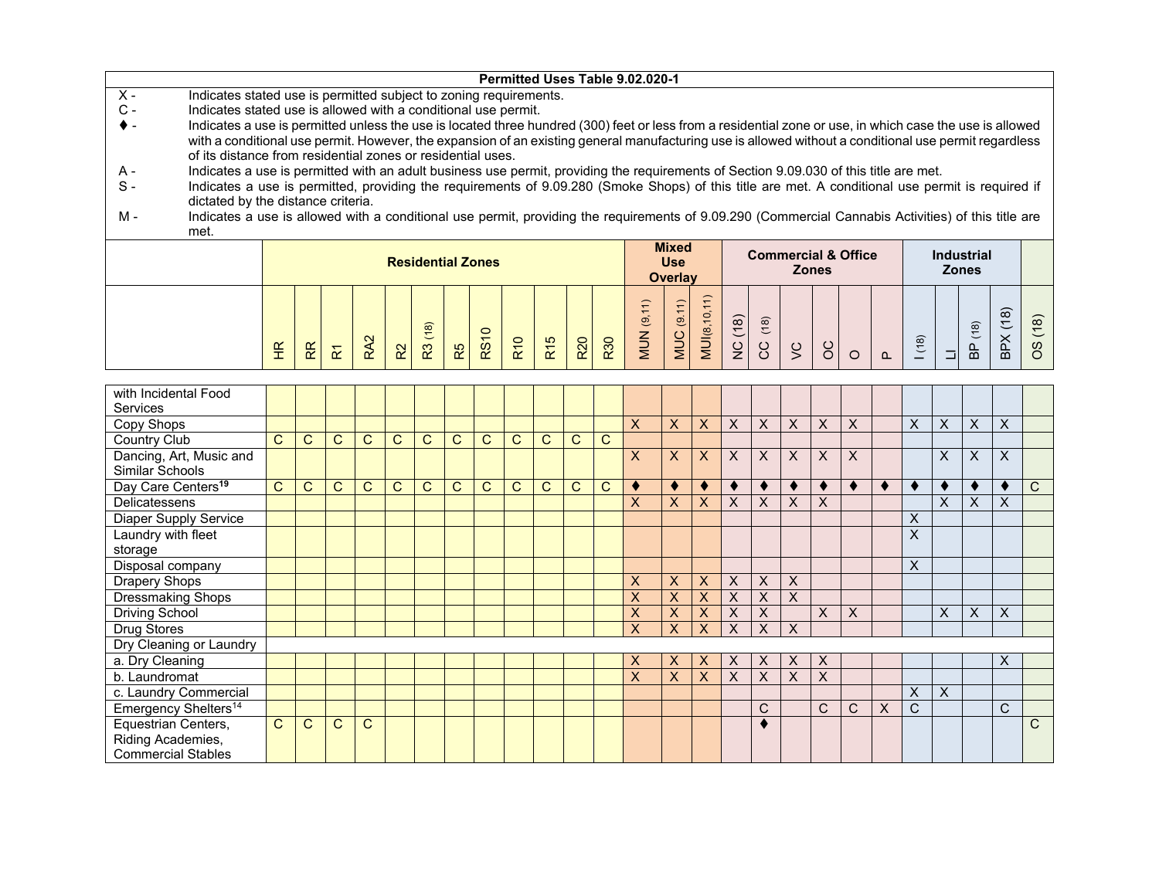|                |      | Permitted Uses Table 9.02.020-1                                                                                                                          |                |                                |                   |  |
|----------------|------|----------------------------------------------------------------------------------------------------------------------------------------------------------|----------------|--------------------------------|-------------------|--|
| $X -$          |      | Indicates stated use is permitted subject to zoning requirements.                                                                                        |                |                                |                   |  |
| $\mathsf{C}$ - |      | Indicates stated use is allowed with a conditional use permit.                                                                                           |                |                                |                   |  |
| $\bullet$ -    |      | Indicates a use is permitted unless the use is located three hundred (300) feet or less from a residential zone or use, in which case the use is allowed |                |                                |                   |  |
|                |      | with a conditional use permit. However, the expansion of an existing general manufacturing use is allowed without a conditional use permit regardless    |                |                                |                   |  |
|                |      | of its distance from residential zones or residential uses.                                                                                              |                |                                |                   |  |
| A -            |      | Indicates a use is permitted with an adult business use permit, providing the requirements of Section 9.09.030 of this title are met.                    |                |                                |                   |  |
| $S -$          |      | Indicates a use is permitted, providing the requirements of 9.09.280 (Smoke Shops) of this title are met. A conditional use permit is required if        |                |                                |                   |  |
|                |      | dictated by the distance criteria.                                                                                                                       |                |                                |                   |  |
| м -            |      | Indicates a use is allowed with a conditional use permit, providing the requirements of 9.09.290 (Commercial Cannabis Activities) of this title are      |                |                                |                   |  |
|                | met. |                                                                                                                                                          |                |                                |                   |  |
|                |      |                                                                                                                                                          | <b>Mixed</b>   | <b>Commercial &amp; Office</b> | <b>Industrial</b> |  |
|                |      | <b>Residential Zones</b>                                                                                                                                 | <b>Use</b>     | <b>Zones</b>                   | <b>Zones</b>      |  |
|                |      |                                                                                                                                                          | <b>Overlay</b> |                                |                   |  |
|                |      |                                                                                                                                                          |                |                                |                   |  |

| with Incidental Food<br>Services           |              |             |              |              |              |              |              |    |              |   |   |   |    |   |          |   |          |   |             |              |   |   |   |   |    |              |
|--------------------------------------------|--------------|-------------|--------------|--------------|--------------|--------------|--------------|----|--------------|---|---|---|----|---|----------|---|----------|---|-------------|--------------|---|---|---|---|----|--------------|
| Copy Shops                                 |              |             |              |              |              |              |              |    |              |   |   |   | X  | X | X        | X | X        | X | X           | X            |   | X | X | X | X  |              |
| Country Club                               | C            | С           | $\mathsf{C}$ | C            | C            | $\mathsf{C}$ | $\mathsf{C}$ | C. | C            | C | C | C |    |   |          |   |          |   |             |              |   |   |   |   |    |              |
| Dancing, Art, Music and<br>Similar Schools |              |             |              |              |              |              |              |    |              |   |   |   | X  | X | X        | X | X        | X | X           | $\mathsf{x}$ |   |   | X | X | X  |              |
| Day Care Centers <sup>19</sup>             | C            | C           | $\mathsf{C}$ | C            | $\mathsf{C}$ | C            | C            | C  | $\mathsf{C}$ | C | C | C | ٠  |   |          |   | ∢        | ٠ |             | ∢            | ∢ |   |   | ٠ |    | $\mathsf{C}$ |
| Delicatessens                              |              |             |              |              |              |              |              |    |              |   |   |   | X. | X | X        | X | X        | X | X           |              |   |   | X | X | X  |              |
| <b>Diaper Supply Service</b>               |              |             |              |              |              |              |              |    |              |   |   |   |    |   |          |   |          |   |             |              |   | Χ |   |   |    |              |
| Laundry with fleet                         |              |             |              |              |              |              |              |    |              |   |   |   |    |   |          |   |          |   |             |              |   | X |   |   |    |              |
| storage                                    |              |             |              |              |              |              |              |    |              |   |   |   |    |   |          |   |          |   |             |              |   |   |   |   |    |              |
| Disposal company                           |              |             |              |              |              |              |              |    |              |   |   |   |    |   |          |   |          |   |             |              |   | X |   |   |    |              |
| Drapery Shops                              |              |             |              |              |              |              |              |    |              |   |   |   | X  | X | $\times$ | X | $\times$ | X |             |              |   |   |   |   |    |              |
| <b>Dressmaking Shops</b>                   |              |             |              |              |              |              |              |    |              |   |   |   | X  | X | X        | X | X        | X |             |              |   |   |   |   |    |              |
| <b>Driving School</b>                      |              |             |              |              |              |              |              |    |              |   |   |   | X  | X | X        | X | X        |   | X           | X            |   |   | X | X | X  |              |
| Drug Stores                                |              |             |              |              |              |              |              |    |              |   |   |   | X  | X | X        | X | X        | X |             |              |   |   |   |   |    |              |
| Dry Cleaning or Laundry                    |              |             |              |              |              |              |              |    |              |   |   |   |    |   |          |   |          |   |             |              |   |   |   |   |    |              |
| a. Dry Cleaning                            |              |             |              |              |              |              |              |    |              |   |   |   | X  | X | X        | X | X        | X | X           |              |   |   |   |   | X  |              |
| b. Laundromat                              |              |             |              |              |              |              |              |    |              |   |   |   | X  | X | X        | X | X        | X | X           |              |   |   |   |   |    |              |
| c. Laundry Commercial                      |              |             |              |              |              |              |              |    |              |   |   |   |    |   |          |   |          |   |             |              |   | X | X |   |    |              |
| Emergency Shelters <sup>14</sup>           |              |             |              |              |              |              |              |    |              |   |   |   |    |   |          |   | C        |   | $\mathsf C$ | C            | X | C |   |   | C. |              |
| Equestrian Centers,                        | $\mathbf{C}$ | $\mathbf C$ | $\mathsf{C}$ | $\mathsf{C}$ |              |              |              |    |              |   |   |   |    |   |          |   |          |   |             |              |   |   |   |   |    | $\mathsf{C}$ |
| Riding Academies,                          |              |             |              |              |              |              |              |    |              |   |   |   |    |   |          |   |          |   |             |              |   |   |   |   |    |              |
| <b>Commercial Stables</b>                  |              |             |              |              |              |              |              |    |              |   |   |   |    |   |          |   |          |   |             |              |   |   |   |   |    |              |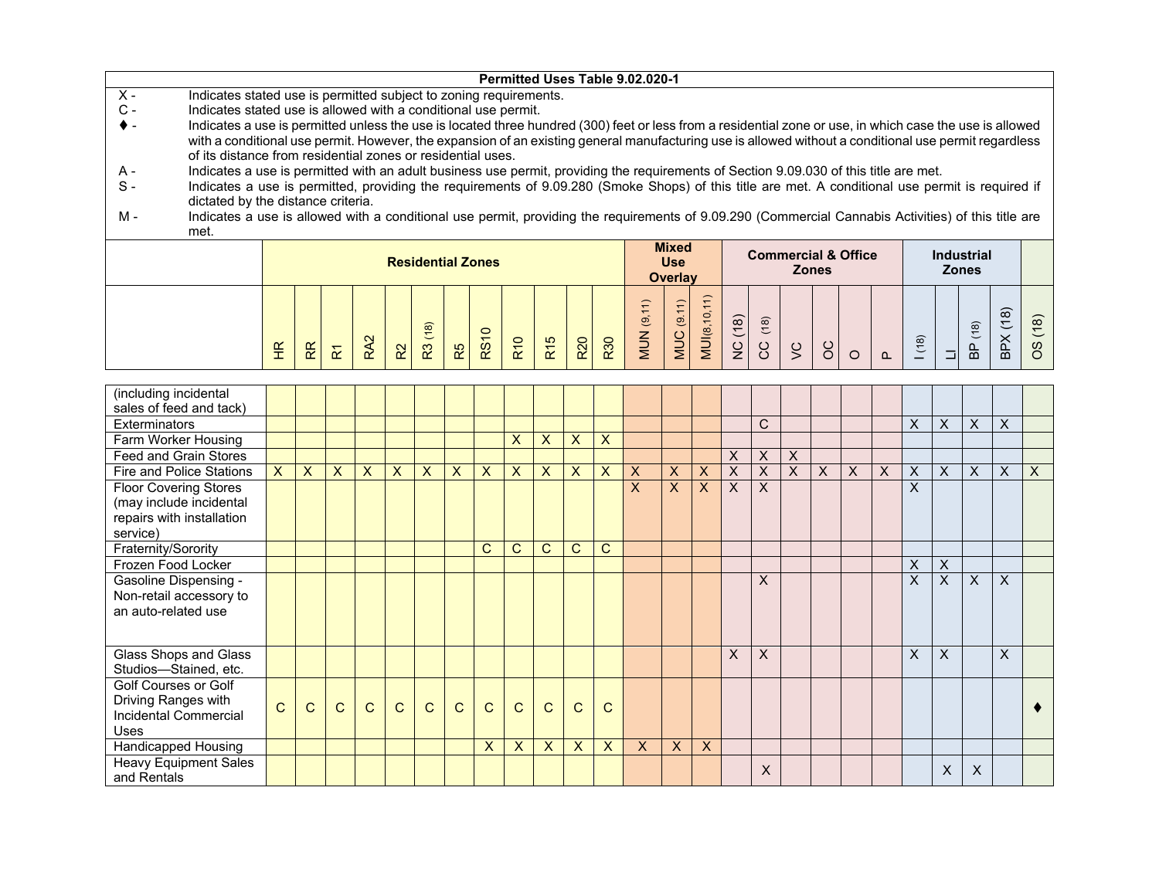|                |                                                                                                                                                          |   |                |                                 |           |    |                          |    |             |            |     |            | Permitted Uses Table 9.02.020-1 |                   |                                 |                   |         |      |                                |  |          |     |                   |                    |      |
|----------------|----------------------------------------------------------------------------------------------------------------------------------------------------------|---|----------------|---------------------------------|-----------|----|--------------------------|----|-------------|------------|-----|------------|---------------------------------|-------------------|---------------------------------|-------------------|---------|------|--------------------------------|--|----------|-----|-------------------|--------------------|------|
| $X -$          | Indicates stated use is permitted subject to zoning requirements.                                                                                        |   |                |                                 |           |    |                          |    |             |            |     |            |                                 |                   |                                 |                   |         |      |                                |  |          |     |                   |                    |      |
| $\mathsf{C}$ - | Indicates stated use is allowed with a conditional use permit.                                                                                           |   |                |                                 |           |    |                          |    |             |            |     |            |                                 |                   |                                 |                   |         |      |                                |  |          |     |                   |                    |      |
|                | Indicates a use is permitted unless the use is located three hundred (300) feet or less from a residential zone or use, in which case the use is allowed |   |                |                                 |           |    |                          |    |             |            |     |            |                                 |                   |                                 |                   |         |      |                                |  |          |     |                   |                    |      |
|                | with a conditional use permit. However, the expansion of an existing general manufacturing use is allowed without a conditional use permit regardless    |   |                |                                 |           |    |                          |    |             |            |     |            |                                 |                   |                                 |                   |         |      |                                |  |          |     |                   |                    |      |
|                | of its distance from residential zones or residential uses.                                                                                              |   |                |                                 |           |    |                          |    |             |            |     |            |                                 |                   |                                 |                   |         |      |                                |  |          |     |                   |                    |      |
| A -            | Indicates a use is permitted with an adult business use permit, providing the requirements of Section 9.09.030 of this title are met.                    |   |                |                                 |           |    |                          |    |             |            |     |            |                                 |                   |                                 |                   |         |      |                                |  |          |     |                   |                    |      |
| $S -$          | Indicates a use is permitted, providing the requirements of 9.09.280 (Smoke Shops) of this title are met. A conditional use permit is required if        |   |                |                                 |           |    |                          |    |             |            |     |            |                                 |                   |                                 |                   |         |      |                                |  |          |     |                   |                    |      |
|                | dictated by the distance criteria.                                                                                                                       |   |                |                                 |           |    |                          |    |             |            |     |            |                                 |                   |                                 |                   |         |      |                                |  |          |     |                   |                    |      |
| м -            | Indicates a use is allowed with a conditional use permit, providing the requirements of 9.09.290 (Commercial Cannabis Activities) of this title are      |   |                |                                 |           |    |                          |    |             |            |     |            |                                 |                   |                                 |                   |         |      |                                |  |          |     |                   |                    |      |
|                |                                                                                                                                                          |   |                |                                 |           |    |                          |    |             |            |     |            |                                 |                   |                                 |                   |         |      |                                |  |          |     |                   |                    |      |
|                | met.                                                                                                                                                     |   |                |                                 |           |    |                          |    |             |            |     |            |                                 |                   |                                 |                   |         |      |                                |  |          |     |                   |                    |      |
|                |                                                                                                                                                          |   |                |                                 |           |    |                          |    |             |            |     |            |                                 |                   | <b>Mixed</b>                    |                   |         |      |                                |  |          |     |                   |                    |      |
|                |                                                                                                                                                          |   |                |                                 |           |    | <b>Residential Zones</b> |    |             |            |     |            |                                 |                   | <b>Use</b>                      |                   |         |      | <b>Commercial &amp; Office</b> |  |          |     | <b>Industrial</b> |                    |      |
|                |                                                                                                                                                          |   |                |                                 |           |    |                          |    |             |            |     |            |                                 |                   | <b>Overlay</b>                  |                   |         |      | <b>Zones</b>                   |  |          |     | <b>Zones</b>      |                    |      |
|                |                                                                                                                                                          |   |                |                                 |           |    |                          |    |             |            |     |            |                                 |                   |                                 |                   |         |      |                                |  |          |     |                   |                    |      |
|                |                                                                                                                                                          |   |                |                                 |           |    |                          |    |             |            |     |            |                                 |                   |                                 |                   |         |      |                                |  |          |     |                   |                    |      |
|                |                                                                                                                                                          |   |                |                                 |           |    |                          |    |             |            |     |            |                                 |                   | $\overset{\circ}{\mathfrak{G}}$ |                   |         |      |                                |  |          |     |                   | $\widehat{\infty}$ |      |
|                |                                                                                                                                                          |   |                |                                 |           |    | (18)                     |    |             |            |     |            |                                 |                   |                                 |                   |         | (18) |                                |  |          |     | (18)              |                    | (18) |
|                |                                                                                                                                                          | E | R <sub>R</sub> | $\overline{\widetilde{\gamma}}$ | <b>SP</b> | 55 | $\mathbb{R}^3$           | R5 | <b>RS10</b> | <b>R10</b> | R15 | <b>R20</b> | R30                             | <b>MUN</b> (9,11) | MUC                             | <b>MU</b> (8,10,1 | NC (18) | ပ္ပ  | $\frac{1}{2}$                  |  | $\Omega$ | (8) | $\frac{a}{\beta}$ | BPX                | 8    |

| (including incidental                 |              |                |                           |                         |                |              |                           |                |                           |                         |                |                |                           |              |                |                         |                |              |                |   |   |   |              |                           |              |                           |
|---------------------------------------|--------------|----------------|---------------------------|-------------------------|----------------|--------------|---------------------------|----------------|---------------------------|-------------------------|----------------|----------------|---------------------------|--------------|----------------|-------------------------|----------------|--------------|----------------|---|---|---|--------------|---------------------------|--------------|---------------------------|
| sales of feed and tack)               |              |                |                           |                         |                |              |                           |                |                           |                         |                |                |                           |              |                |                         |                |              |                |   |   |   |              |                           |              |                           |
| <b>Exterminators</b>                  |              |                |                           |                         |                |              |                           |                |                           |                         |                |                |                           |              |                |                         | $\mathsf{C}$   |              |                |   |   | X | $\mathsf{X}$ | X                         | $\mathsf{X}$ |                           |
| Farm Worker Housing                   |              |                |                           |                         |                |              |                           |                | X                         | X                       | X              | $\times$       |                           |              |                |                         |                |              |                |   |   |   |              |                           |              |                           |
| Feed and Grain Stores                 |              |                |                           |                         |                |              |                           |                |                           |                         |                |                |                           |              |                | X                       | $\sf X$        | X            |                |   |   |   |              |                           |              |                           |
| Fire and Police Stations              | $\mathsf{X}$ | $\overline{X}$ | $\boldsymbol{\mathsf{X}}$ | $\overline{\mathsf{x}}$ | $\overline{X}$ | X            | $\boldsymbol{\mathsf{X}}$ | $\overline{X}$ | $\boldsymbol{\mathsf{X}}$ | $\overline{\mathsf{x}}$ | $\overline{X}$ | $\times$       | X                         | X            | $\overline{X}$ | $\overline{\mathsf{x}}$ | $\overline{X}$ | $\mathsf{X}$ | $\overline{X}$ | X | X | X | $\mathsf{X}$ | $\times$                  | X            | $\boldsymbol{\mathsf{X}}$ |
| <b>Floor Covering Stores</b>          |              |                |                           |                         |                |              |                           |                |                           |                         |                |                | X                         | $\mathsf{X}$ | $\overline{X}$ | X                       | $\mathsf{X}$   |              |                |   |   | X |              |                           |              |                           |
| (may include incidental               |              |                |                           |                         |                |              |                           |                |                           |                         |                |                |                           |              |                |                         |                |              |                |   |   |   |              |                           |              |                           |
| repairs with installation<br>service) |              |                |                           |                         |                |              |                           |                |                           |                         |                |                |                           |              |                |                         |                |              |                |   |   |   |              |                           |              |                           |
| Fraternity/Sorority                   |              |                |                           |                         |                |              |                           | C              | C                         | C                       | C              | C              |                           |              |                |                         |                |              |                |   |   |   |              |                           |              |                           |
| Frozen Food Locker                    |              |                |                           |                         |                |              |                           |                |                           |                         |                |                |                           |              |                |                         |                |              |                |   |   | X | $\sf X$      |                           |              |                           |
| <b>Gasoline Dispensing -</b>          |              |                |                           |                         |                |              |                           |                |                           |                         |                |                |                           |              |                |                         | X              |              |                |   |   | X | $\mathsf{X}$ | $\boldsymbol{\mathsf{X}}$ | X            |                           |
| Non-retail accessory to               |              |                |                           |                         |                |              |                           |                |                           |                         |                |                |                           |              |                |                         |                |              |                |   |   |   |              |                           |              |                           |
| an auto-related use                   |              |                |                           |                         |                |              |                           |                |                           |                         |                |                |                           |              |                |                         |                |              |                |   |   |   |              |                           |              |                           |
|                                       |              |                |                           |                         |                |              |                           |                |                           |                         |                |                |                           |              |                |                         |                |              |                |   |   |   |              |                           |              |                           |
| Glass Shops and Glass                 |              |                |                           |                         |                |              |                           |                |                           |                         |                |                |                           |              |                | X                       | $\sf X$        |              |                |   |   | X | X            |                           | $\mathsf{X}$ |                           |
| Studios-Stained, etc.                 |              |                |                           |                         |                |              |                           |                |                           |                         |                |                |                           |              |                |                         |                |              |                |   |   |   |              |                           |              |                           |
| Golf Courses or Golf                  |              |                |                           |                         |                |              |                           |                |                           |                         |                |                |                           |              |                |                         |                |              |                |   |   |   |              |                           |              |                           |
| Driving Ranges with                   | $\mathsf{C}$ | $\mathbf C$    | $\mathsf{C}$              | $\mathsf{C}$            | $\mathbf C$    | $\mathsf{C}$ | $\mathsf{C}$              | $\mathsf{C}$   | $\mathsf{C}$              | $\mathsf{C}$            | $\mathbf{C}$   |                |                           |              |                |                         |                |              |                |   |   |   |              |                           |              |                           |
| Incidental Commercial                 |              |                |                           |                         |                |              |                           |                |                           |                         |                | C              |                           |              |                |                         |                |              |                |   |   |   |              |                           |              |                           |
| Uses                                  |              |                |                           |                         |                |              |                           |                |                           |                         |                |                |                           |              |                |                         |                |              |                |   |   |   |              |                           |              |                           |
| Handicapped Housing                   |              |                |                           |                         |                |              |                           | $\mathsf{x}$   | $\boldsymbol{\mathsf{X}}$ | $\mathsf{X}$            | $\mathsf{X}$   | $\overline{X}$ | $\boldsymbol{\mathsf{X}}$ | $\mathsf{X}$ | $\times$       |                         |                |              |                |   |   |   |              |                           |              |                           |
| <b>Heavy Equipment Sales</b>          |              |                |                           |                         |                |              |                           |                |                           |                         |                |                |                           |              |                |                         | X              |              |                |   |   |   | X            | $\times$                  |              |                           |
| and Rentals                           |              |                |                           |                         |                |              |                           |                |                           |                         |                |                |                           |              |                |                         |                |              |                |   |   |   |              |                           |              |                           |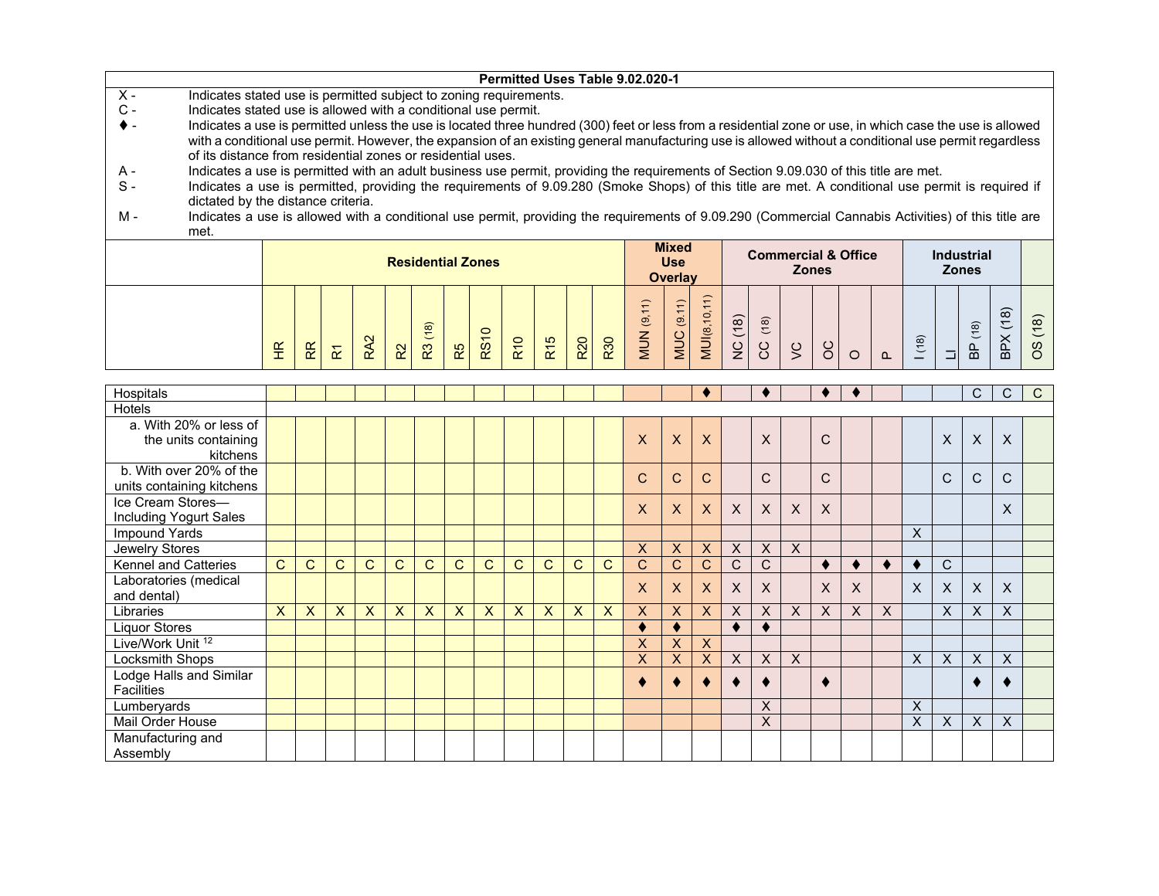|       |                                                                                                                                                          |             |  |    |                          |    |                                                   |            |                 |     |     | Permitted Uses Table 9.02.020-1 |                     |                |               |      |   |              |                                |  |                   |   |      |
|-------|----------------------------------------------------------------------------------------------------------------------------------------------------------|-------------|--|----|--------------------------|----|---------------------------------------------------|------------|-----------------|-----|-----|---------------------------------|---------------------|----------------|---------------|------|---|--------------|--------------------------------|--|-------------------|---|------|
| $X -$ | Indicates stated use is permitted subject to zoning requirements.                                                                                        |             |  |    |                          |    |                                                   |            |                 |     |     |                                 |                     |                |               |      |   |              |                                |  |                   |   |      |
| $C -$ | Indicates stated use is allowed with a conditional use permit.                                                                                           |             |  |    |                          |    |                                                   |            |                 |     |     |                                 |                     |                |               |      |   |              |                                |  |                   |   |      |
|       | Indicates a use is permitted unless the use is located three hundred (300) feet or less from a residential zone or use, in which case the use is allowed |             |  |    |                          |    |                                                   |            |                 |     |     |                                 |                     |                |               |      |   |              |                                |  |                   |   |      |
|       | with a conditional use permit. However, the expansion of an existing general manufacturing use is allowed without a conditional use permit regardless    |             |  |    |                          |    |                                                   |            |                 |     |     |                                 |                     |                |               |      |   |              |                                |  |                   |   |      |
|       | of its distance from residential zones or residential uses.                                                                                              |             |  |    |                          |    |                                                   |            |                 |     |     |                                 |                     |                |               |      |   |              |                                |  |                   |   |      |
| A -   | Indicates a use is permitted with an adult business use permit, providing the requirements of Section 9.09.030 of this title are met.                    |             |  |    |                          |    |                                                   |            |                 |     |     |                                 |                     |                |               |      |   |              |                                |  |                   |   |      |
| S -   | Indicates a use is permitted, providing the requirements of 9.09.280 (Smoke Shops) of this title are met. A conditional use permit is required if        |             |  |    |                          |    |                                                   |            |                 |     |     |                                 |                     |                |               |      |   |              |                                |  |                   |   |      |
|       | dictated by the distance criteria.                                                                                                                       |             |  |    |                          |    |                                                   |            |                 |     |     |                                 |                     |                |               |      |   |              |                                |  |                   |   |      |
| м -   | Indicates a use is allowed with a conditional use permit, providing the requirements of 9.09.290 (Commercial Cannabis Activities) of this title are      |             |  |    |                          |    |                                                   |            |                 |     |     |                                 |                     |                |               |      |   |              |                                |  |                   |   |      |
|       | met.                                                                                                                                                     |             |  |    |                          |    |                                                   |            |                 |     |     |                                 |                     |                |               |      |   |              |                                |  |                   |   |      |
|       |                                                                                                                                                          |             |  |    |                          |    |                                                   |            |                 |     |     |                                 | <b>Mixed</b>        |                |               |      |   |              | <b>Commercial &amp; Office</b> |  | <b>Industrial</b> |   |      |
|       |                                                                                                                                                          |             |  |    | <b>Residential Zones</b> |    |                                                   |            |                 |     |     |                                 | <b>Use</b>          |                |               |      |   | <b>Zones</b> |                                |  | <b>Zones</b>      |   |      |
|       |                                                                                                                                                          |             |  |    |                          |    |                                                   |            |                 |     |     |                                 | Overlay             |                |               |      |   |              |                                |  |                   |   |      |
|       |                                                                                                                                                          |             |  |    |                          |    |                                                   |            |                 |     |     |                                 |                     |                |               |      |   |              |                                |  |                   |   |      |
|       |                                                                                                                                                          |             |  |    |                          |    |                                                   |            |                 |     |     |                                 |                     | $\overline{0}$ |               |      |   |              |                                |  |                   | ၜ |      |
|       |                                                                                                                                                          |             |  |    | $\widehat{\infty}$       |    | $\circ$                                           |            |                 |     |     | $\overline{9}$                  | $\overline{\omega}$ |                | (18)          | (18) |   |              |                                |  | (8)               |   | (18) |
|       |                                                                                                                                                          | $rac{R}{T}$ |  |    |                          |    | $\overline{\phantom{0}}$<br>$\overline{\text{8}}$ | <b>R10</b> | R <sub>15</sub> | R20 | R30 | NUN                             | MUC                 | MUI(8,         |               |      | Š |              |                                |  |                   |   |      |
|       |                                                                                                                                                          |             |  | 55 | R3                       | R5 |                                                   |            |                 |     |     |                                 |                     |                | $\frac{C}{Z}$ | ပ္ပ  |   |              |                                |  | 읎                 | 읎 | 8O   |

| Hospitals                    |              |   |              |   |   |                           |              |              |              |              |                           |   |                         |                           |                         |   |                           |   |   |                  |   |   |              | C | C.           | $\mathsf{C}$ |
|------------------------------|--------------|---|--------------|---|---|---------------------------|--------------|--------------|--------------|--------------|---------------------------|---|-------------------------|---------------------------|-------------------------|---|---------------------------|---|---|------------------|---|---|--------------|---|--------------|--------------|
| Hotels                       |              |   |              |   |   |                           |              |              |              |              |                           |   |                         |                           |                         |   |                           |   |   |                  |   |   |              |   |              |              |
| a. With 20% or less of       |              |   |              |   |   |                           |              |              |              |              |                           |   |                         |                           |                         |   |                           |   |   |                  |   |   |              |   |              |              |
| the units containing         |              |   |              |   |   |                           |              |              |              |              |                           |   | X                       | $\boldsymbol{\mathsf{X}}$ | $\overline{\mathsf{X}}$ |   | $\mathsf{X}$              |   | C |                  |   |   | X            | X | X            |              |
| kitchens                     |              |   |              |   |   |                           |              |              |              |              |                           |   |                         |                           |                         |   |                           |   |   |                  |   |   |              |   |              |              |
| b. With over 20% of the      |              |   |              |   |   |                           |              |              |              |              |                           |   | $\mathbf C$             | $\mathsf{C}$              | $\mathsf{C}$            |   | C                         |   | C |                  |   |   | C            | C | C            |              |
| units containing kitchens    |              |   |              |   |   |                           |              |              |              |              |                           |   |                         |                           |                         |   |                           |   |   |                  |   |   |              |   |              |              |
| Ice Cream Stores-            |              |   |              |   |   |                           |              |              |              |              |                           |   | X                       | $\mathsf{X}$              | $\mathsf{x}$            | X | X                         | X | X |                  |   |   |              |   | X            |              |
| Including Yogurt Sales       |              |   |              |   |   |                           |              |              |              |              |                           |   |                         |                           |                         |   |                           |   |   |                  |   |   |              |   |              |              |
| Impound Yards                |              |   |              |   |   |                           |              |              |              |              |                           |   |                         |                           |                         |   |                           |   |   |                  |   | X |              |   |              |              |
| Jewelry Stores               |              |   |              |   |   |                           |              |              |              |              |                           |   | X                       | $\mathsf{X}$              | X                       | X | X                         | X |   |                  |   |   |              |   |              |              |
| Kennel and Catteries         | C            | C | $\mathsf{C}$ | C | C | C                         | C.           | $\mathsf{C}$ | C            | $\mathsf{C}$ | C                         | C | C                       | $\mathsf{C}$              | C                       | C | C                         |   |   |                  |   |   | $\mathsf{C}$ |   |              |              |
| Laboratories (medical        |              |   |              |   |   |                           |              |              |              |              |                           |   | X                       | $\mathsf{X}$              | $\mathsf{x}$            |   | $\mathsf{X}$              |   | X | X                |   | X | X            | X | $\mathsf{X}$ |              |
| and dental)                  |              |   |              |   |   |                           |              |              |              |              |                           |   |                         |                           |                         | X |                           |   |   |                  |   |   |              |   |              |              |
| Libraries                    | $\mathsf{X}$ | X | $\sf X$      | X | X | $\boldsymbol{\mathsf{X}}$ | $\mathsf{X}$ | X            | $\mathsf{X}$ | $\mathsf{X}$ | $\boldsymbol{\mathsf{X}}$ | X | X                       | $\mathsf{X}$              | X                       | X | $\boldsymbol{\mathsf{X}}$ | X | X | $\boldsymbol{X}$ | X |   | X            | X | X            |              |
| <b>Liquor Stores</b>         |              |   |              |   |   |                           |              |              |              |              |                           |   | ٠                       |                           |                         |   |                           |   |   |                  |   |   |              |   |              |              |
| Live/Work Unit <sup>12</sup> |              |   |              |   |   |                           |              |              |              |              |                           |   | $\overline{\mathsf{x}}$ | $\boldsymbol{X}$          | X                       |   |                           |   |   |                  |   |   |              |   |              |              |
| Locksmith Shops              |              |   |              |   |   |                           |              |              |              |              |                           |   | X                       | X.                        | X                       | X | $\boldsymbol{\mathsf{X}}$ | X |   |                  |   | X | X            | X | X            |              |
| Lodge Halls and Similar      |              |   |              |   |   |                           |              |              |              |              |                           |   |                         |                           |                         |   |                           |   |   |                  |   |   |              |   |              |              |
| <b>Facilities</b>            |              |   |              |   |   |                           |              |              |              |              |                           |   |                         |                           |                         |   |                           |   |   |                  |   |   |              | K |              |              |
| Lumberyards                  |              |   |              |   |   |                           |              |              |              |              |                           |   |                         |                           |                         |   | X                         |   |   |                  |   | X |              |   |              |              |
| Mail Order House             |              |   |              |   |   |                           |              |              |              |              |                           |   |                         |                           |                         |   | X                         |   |   |                  |   | X | X            | X | X            |              |
| Manufacturing and            |              |   |              |   |   |                           |              |              |              |              |                           |   |                         |                           |                         |   |                           |   |   |                  |   |   |              |   |              |              |
| Assembly                     |              |   |              |   |   |                           |              |              |              |              |                           |   |                         |                           |                         |   |                           |   |   |                  |   |   |              |   |              |              |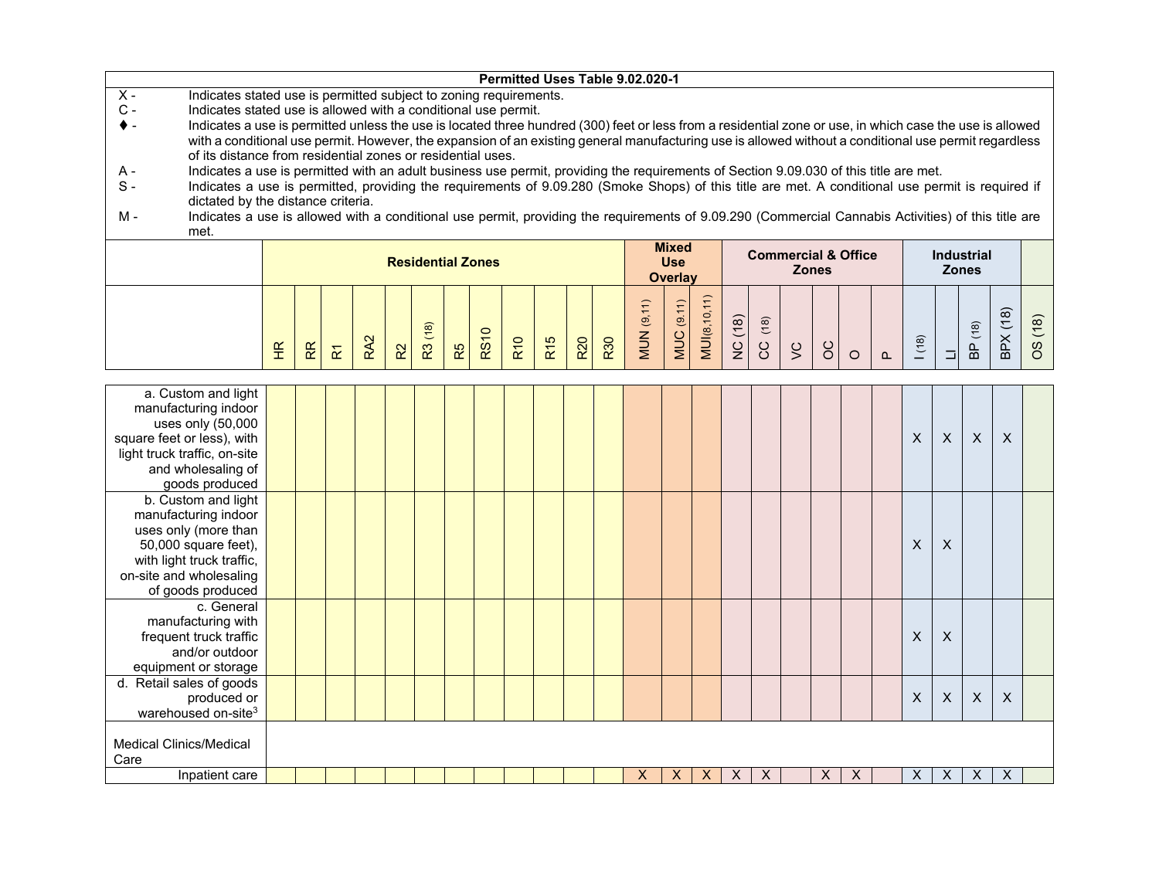|                                                                                                                                                                                                            |   |   |                      |                 |                |                          |    |             |            |                 |                 |     | Permitted Uses Table 9.02.020-1 |                |              |              |              |        |                           |                                |          |                           |                           |                |                           |         |
|------------------------------------------------------------------------------------------------------------------------------------------------------------------------------------------------------------|---|---|----------------------|-----------------|----------------|--------------------------|----|-------------|------------|-----------------|-----------------|-----|---------------------------------|----------------|--------------|--------------|--------------|--------|---------------------------|--------------------------------|----------|---------------------------|---------------------------|----------------|---------------------------|---------|
| $\overline{X}$ -<br>Indicates stated use is permitted subject to zoning requirements.                                                                                                                      |   |   |                      |                 |                |                          |    |             |            |                 |                 |     |                                 |                |              |              |              |        |                           |                                |          |                           |                           |                |                           |         |
| $C -$<br>Indicates stated use is allowed with a conditional use permit.                                                                                                                                    |   |   |                      |                 |                |                          |    |             |            |                 |                 |     |                                 |                |              |              |              |        |                           |                                |          |                           |                           |                |                           |         |
| Indicates a use is permitted unless the use is located three hundred (300) feet or less from a residential zone or use, in which case the use is allowed<br>♦ -                                            |   |   |                      |                 |                |                          |    |             |            |                 |                 |     |                                 |                |              |              |              |        |                           |                                |          |                           |                           |                |                           |         |
| with a conditional use permit. However, the expansion of an existing general manufacturing use is allowed without a conditional use permit regardless                                                      |   |   |                      |                 |                |                          |    |             |            |                 |                 |     |                                 |                |              |              |              |        |                           |                                |          |                           |                           |                |                           |         |
| of its distance from residential zones or residential uses.<br>Indicates a use is permitted with an adult business use permit, providing the requirements of Section 9.09.030 of this title are met.<br>Α- |   |   |                      |                 |                |                          |    |             |            |                 |                 |     |                                 |                |              |              |              |        |                           |                                |          |                           |                           |                |                           |         |
| Indicates a use is permitted, providing the requirements of 9.09.280 (Smoke Shops) of this title are met. A conditional use permit is required if<br>$S -$                                                 |   |   |                      |                 |                |                          |    |             |            |                 |                 |     |                                 |                |              |              |              |        |                           |                                |          |                           |                           |                |                           |         |
| dictated by the distance criteria.                                                                                                                                                                         |   |   |                      |                 |                |                          |    |             |            |                 |                 |     |                                 |                |              |              |              |        |                           |                                |          |                           |                           |                |                           |         |
| Indicates a use is allowed with a conditional use permit, providing the requirements of 9.09.290 (Commercial Cannabis Activities) of this title are<br>м.                                                  |   |   |                      |                 |                |                          |    |             |            |                 |                 |     |                                 |                |              |              |              |        |                           |                                |          |                           |                           |                |                           |         |
| met.                                                                                                                                                                                                       |   |   |                      |                 |                |                          |    |             |            |                 |                 |     |                                 |                |              |              |              |        |                           |                                |          |                           |                           |                |                           |         |
|                                                                                                                                                                                                            |   |   |                      |                 |                |                          |    |             |            |                 |                 |     |                                 | <b>Mixed</b>   |              |              |              |        |                           |                                |          |                           |                           |                |                           |         |
|                                                                                                                                                                                                            |   |   |                      |                 |                | <b>Residential Zones</b> |    |             |            |                 |                 |     |                                 | <b>Use</b>     |              |              |              |        | <b>Zones</b>              | <b>Commercial &amp; Office</b> |          |                           | <b>Zones</b>              | Industrial     |                           |         |
|                                                                                                                                                                                                            |   |   |                      |                 |                |                          |    |             |            |                 |                 |     |                                 | <b>Overlay</b> |              |              |              |        |                           |                                |          |                           |                           |                |                           |         |
|                                                                                                                                                                                                            |   |   |                      |                 |                |                          |    |             |            |                 |                 |     |                                 |                |              |              |              |        |                           |                                |          |                           |                           |                |                           |         |
|                                                                                                                                                                                                            |   |   |                      |                 |                |                          |    |             |            |                 |                 |     | <b>MUN</b> (9,11)               | MUC (9.11)     | MUI(8,10,11) |              |              |        |                           |                                |          |                           |                           |                |                           |         |
|                                                                                                                                                                                                            |   |   |                      |                 |                |                          |    |             |            |                 |                 |     |                                 |                |              |              | (18)         |        |                           |                                |          |                           |                           |                |                           |         |
|                                                                                                                                                                                                            | E | R | $\tilde{\mathbf{r}}$ | RA <sub>2</sub> | R <sup>2</sup> | R3 (18)                  | R5 | <b>RS10</b> | <b>R10</b> | R <sub>15</sub> | R <sub>20</sub> | R30 |                                 |                |              | NC (18)      | ပ္ပ          | $\leq$ | $\delta$                  |                                |          | (18)                      | $\Box$                    | <b>BP</b> (18) | BPX(18)                   | OS (18) |
|                                                                                                                                                                                                            |   |   |                      |                 |                |                          |    |             |            |                 |                 |     |                                 |                |              |              |              |        |                           | $\circ$                        | $\Omega$ |                           |                           |                |                           |         |
|                                                                                                                                                                                                            |   |   |                      |                 |                |                          |    |             |            |                 |                 |     |                                 |                |              |              |              |        |                           |                                |          |                           |                           |                |                           |         |
| a. Custom and light                                                                                                                                                                                        |   |   |                      |                 |                |                          |    |             |            |                 |                 |     |                                 |                |              |              |              |        |                           |                                |          |                           |                           |                |                           |         |
| manufacturing indoor                                                                                                                                                                                       |   |   |                      |                 |                |                          |    |             |            |                 |                 |     |                                 |                |              |              |              |        |                           |                                |          |                           |                           |                |                           |         |
| uses only (50,000                                                                                                                                                                                          |   |   |                      |                 |                |                          |    |             |            |                 |                 |     |                                 |                |              |              |              |        |                           |                                |          |                           |                           |                |                           |         |
| square feet or less), with                                                                                                                                                                                 |   |   |                      |                 |                |                          |    |             |            |                 |                 |     |                                 |                |              |              |              |        |                           |                                |          | $\mathsf{x}$              | $\boldsymbol{\mathsf{X}}$ | X              | X                         |         |
| light truck traffic, on-site<br>and wholesaling of                                                                                                                                                         |   |   |                      |                 |                |                          |    |             |            |                 |                 |     |                                 |                |              |              |              |        |                           |                                |          |                           |                           |                |                           |         |
| goods produced                                                                                                                                                                                             |   |   |                      |                 |                |                          |    |             |            |                 |                 |     |                                 |                |              |              |              |        |                           |                                |          |                           |                           |                |                           |         |
| b. Custom and light                                                                                                                                                                                        |   |   |                      |                 |                |                          |    |             |            |                 |                 |     |                                 |                |              |              |              |        |                           |                                |          |                           |                           |                |                           |         |
| manufacturing indoor                                                                                                                                                                                       |   |   |                      |                 |                |                          |    |             |            |                 |                 |     |                                 |                |              |              |              |        |                           |                                |          |                           |                           |                |                           |         |
| uses only (more than                                                                                                                                                                                       |   |   |                      |                 |                |                          |    |             |            |                 |                 |     |                                 |                |              |              |              |        |                           |                                |          |                           |                           |                |                           |         |
| 50,000 square feet),                                                                                                                                                                                       |   |   |                      |                 |                |                          |    |             |            |                 |                 |     |                                 |                |              |              |              |        |                           |                                |          | $\mathsf{x}$              | X                         |                |                           |         |
| with light truck traffic,                                                                                                                                                                                  |   |   |                      |                 |                |                          |    |             |            |                 |                 |     |                                 |                |              |              |              |        |                           |                                |          |                           |                           |                |                           |         |
| on-site and wholesaling                                                                                                                                                                                    |   |   |                      |                 |                |                          |    |             |            |                 |                 |     |                                 |                |              |              |              |        |                           |                                |          |                           |                           |                |                           |         |
| of goods produced                                                                                                                                                                                          |   |   |                      |                 |                |                          |    |             |            |                 |                 |     |                                 |                |              |              |              |        |                           |                                |          |                           |                           |                |                           |         |
| c. General                                                                                                                                                                                                 |   |   |                      |                 |                |                          |    |             |            |                 |                 |     |                                 |                |              |              |              |        |                           |                                |          |                           |                           |                |                           |         |
| manufacturing with                                                                                                                                                                                         |   |   |                      |                 |                |                          |    |             |            |                 |                 |     |                                 |                |              |              |              |        |                           |                                |          |                           |                           |                |                           |         |
| frequent truck traffic                                                                                                                                                                                     |   |   |                      |                 |                |                          |    |             |            |                 |                 |     |                                 |                |              |              |              |        |                           |                                |          | X                         | X                         |                |                           |         |
| and/or outdoor                                                                                                                                                                                             |   |   |                      |                 |                |                          |    |             |            |                 |                 |     |                                 |                |              |              |              |        |                           |                                |          |                           |                           |                |                           |         |
| equipment or storage                                                                                                                                                                                       |   |   |                      |                 |                |                          |    |             |            |                 |                 |     |                                 |                |              |              |              |        |                           |                                |          |                           |                           |                |                           |         |
| d. Retail sales of goods<br>produced or                                                                                                                                                                    |   |   |                      |                 |                |                          |    |             |            |                 |                 |     |                                 |                |              |              |              |        |                           |                                |          | $\boldsymbol{\mathsf{X}}$ | $\boldsymbol{\mathsf{X}}$ | $\mathsf{X}$   | $\boldsymbol{\mathsf{X}}$ |         |
| warehoused on-site <sup>3</sup>                                                                                                                                                                            |   |   |                      |                 |                |                          |    |             |            |                 |                 |     |                                 |                |              |              |              |        |                           |                                |          |                           |                           |                |                           |         |
|                                                                                                                                                                                                            |   |   |                      |                 |                |                          |    |             |            |                 |                 |     |                                 |                |              |              |              |        |                           |                                |          |                           |                           |                |                           |         |
| <b>Medical Clinics/Medical</b>                                                                                                                                                                             |   |   |                      |                 |                |                          |    |             |            |                 |                 |     |                                 |                |              |              |              |        |                           |                                |          |                           |                           |                |                           |         |
| Care                                                                                                                                                                                                       |   |   |                      |                 |                |                          |    |             |            |                 |                 |     |                                 |                |              |              |              |        |                           |                                |          |                           |                           |                |                           |         |
| Inpatient care                                                                                                                                                                                             |   |   |                      |                 |                |                          |    |             |            |                 |                 |     | X                               | X              | $\mathsf{X}$ | $\mathsf{X}$ | $\mathsf{X}$ |        | $\boldsymbol{\mathsf{X}}$ | $\mathsf{X}$                   |          | $\boldsymbol{X}$          | $\mathsf{X}$              | $\times$       | $\boldsymbol{\mathsf{X}}$ |         |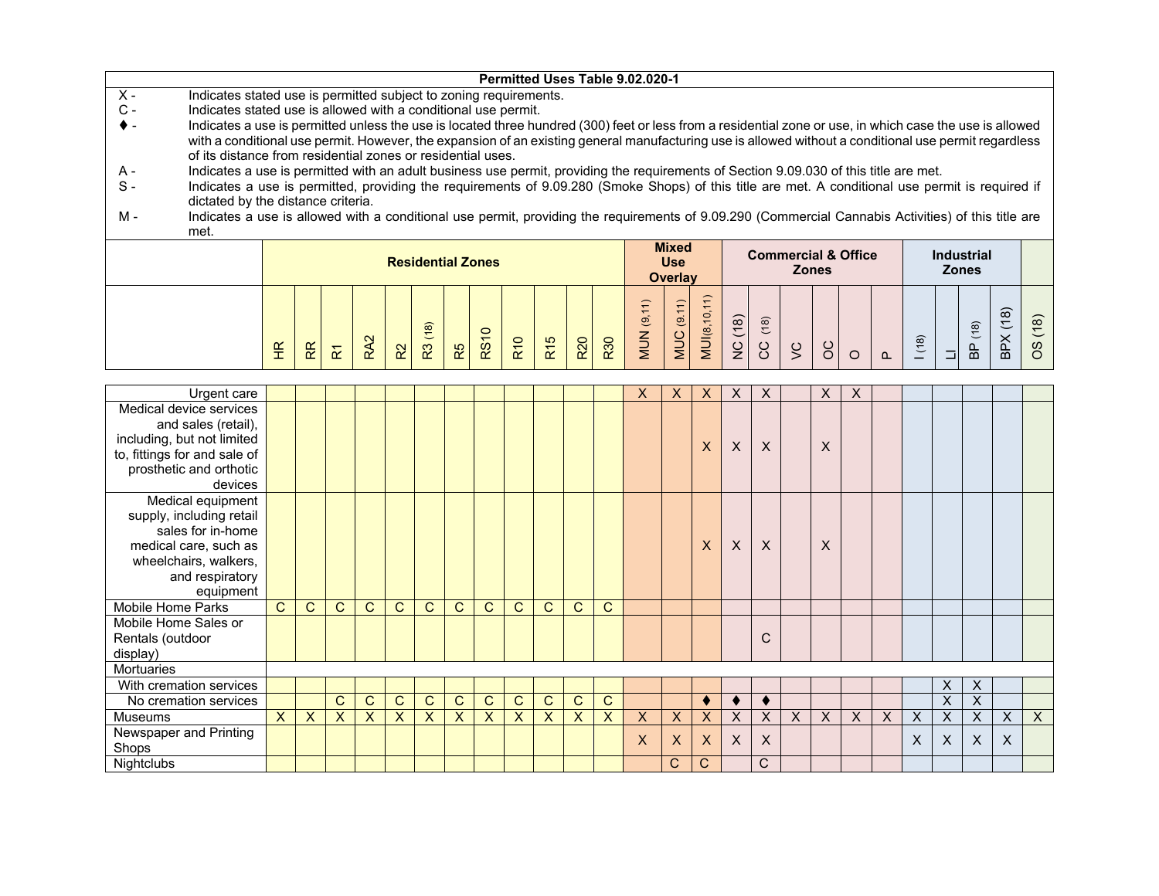|                |                                                                                                                                                          |                          |  |  |                          |    |         |            |                 |            |            | Permitted Uses Table 9.02.020-1 |                |           |             |      |   |              |                                |      |                   |   |          |
|----------------|----------------------------------------------------------------------------------------------------------------------------------------------------------|--------------------------|--|--|--------------------------|----|---------|------------|-----------------|------------|------------|---------------------------------|----------------|-----------|-------------|------|---|--------------|--------------------------------|------|-------------------|---|----------|
| $X -$          | Indicates stated use is permitted subject to zoning requirements.                                                                                        |                          |  |  |                          |    |         |            |                 |            |            |                                 |                |           |             |      |   |              |                                |      |                   |   |          |
| $\mathsf{C}$ - | Indicates stated use is allowed with a conditional use permit.                                                                                           |                          |  |  |                          |    |         |            |                 |            |            |                                 |                |           |             |      |   |              |                                |      |                   |   |          |
|                | Indicates a use is permitted unless the use is located three hundred (300) feet or less from a residential zone or use, in which case the use is allowed |                          |  |  |                          |    |         |            |                 |            |            |                                 |                |           |             |      |   |              |                                |      |                   |   |          |
|                | with a conditional use permit. However, the expansion of an existing general manufacturing use is allowed without a conditional use permit regardless    |                          |  |  |                          |    |         |            |                 |            |            |                                 |                |           |             |      |   |              |                                |      |                   |   |          |
|                | of its distance from residential zones or residential uses.                                                                                              |                          |  |  |                          |    |         |            |                 |            |            |                                 |                |           |             |      |   |              |                                |      |                   |   |          |
| A -            | Indicates a use is permitted with an adult business use permit, providing the requirements of Section 9.09.030 of this title are met.                    |                          |  |  |                          |    |         |            |                 |            |            |                                 |                |           |             |      |   |              |                                |      |                   |   |          |
| $S -$          | Indicates a use is permitted, providing the requirements of 9.09.280 (Smoke Shops) of this title are met. A conditional use permit is required if        |                          |  |  |                          |    |         |            |                 |            |            |                                 |                |           |             |      |   |              |                                |      |                   |   |          |
|                | dictated by the distance criteria.                                                                                                                       |                          |  |  |                          |    |         |            |                 |            |            |                                 |                |           |             |      |   |              |                                |      |                   |   |          |
| м -            | Indicates a use is allowed with a conditional use permit, providing the requirements of 9.09.290 (Commercial Cannabis Activities) of this title are      |                          |  |  |                          |    |         |            |                 |            |            |                                 |                |           |             |      |   |              |                                |      |                   |   |          |
|                | met.                                                                                                                                                     |                          |  |  |                          |    |         |            |                 |            |            |                                 |                |           |             |      |   |              |                                |      |                   |   |          |
|                |                                                                                                                                                          |                          |  |  |                          |    |         |            |                 |            |            |                                 | <b>Mixed</b>   |           |             |      |   |              | <b>Commercial &amp; Office</b> |      | <b>Industrial</b> |   |          |
|                |                                                                                                                                                          |                          |  |  | <b>Residential Zones</b> |    |         |            |                 |            |            |                                 | <b>Use</b>     |           |             |      |   | <b>Zones</b> |                                |      | <b>Zones</b>      |   |          |
|                |                                                                                                                                                          |                          |  |  |                          |    |         |            |                 |            |            |                                 | <b>Overlay</b> |           |             |      |   |              |                                |      |                   |   |          |
|                |                                                                                                                                                          |                          |  |  |                          |    |         |            |                 |            |            |                                 |                |           |             |      |   |              |                                |      |                   |   |          |
|                |                                                                                                                                                          |                          |  |  |                          |    |         |            |                 |            |            |                                 |                | <u>'6</u> |             |      |   |              |                                |      |                   | ၹ |          |
|                |                                                                                                                                                          |                          |  |  |                          |    | $\circ$ |            |                 |            |            | $\overline{\mathbf{e}}$         | ಄              |           | (18)        | (18) |   |              |                                |      | $\frac{18}{2}$    |   | $\infty$ |
|                |                                                                                                                                                          |                          |  |  |                          |    | RS1     | <b>R10</b> |                 | <b>R20</b> | <b>R30</b> | <b>MUN</b>                      | <b>MUC</b>     | MUI(8,    |             |      |   |              |                                | (18) |                   |   | w        |
|                |                                                                                                                                                          | $\widetilde{\mathsf{t}}$ |  |  | က္                       | R5 |         |            | R <sub>15</sub> |            |            |                                 |                |           | $rac{C}{Z}$ | S    | Š | 8            |                                |      |                   | 읎 |          |

| Urgent care                  |              |              |                           |                |                |              |              |              |              |              |                |              | X | X            | X | X            | X                         |   | X        | X        |   |          |         |          |                           |              |
|------------------------------|--------------|--------------|---------------------------|----------------|----------------|--------------|--------------|--------------|--------------|--------------|----------------|--------------|---|--------------|---|--------------|---------------------------|---|----------|----------|---|----------|---------|----------|---------------------------|--------------|
| Medical device services      |              |              |                           |                |                |              |              |              |              |              |                |              |   |              |   |              |                           |   |          |          |   |          |         |          |                           |              |
| and sales (retail),          |              |              |                           |                |                |              |              |              |              |              |                |              |   |              |   |              |                           |   |          |          |   |          |         |          |                           |              |
| including, but not limited   |              |              |                           |                |                |              |              |              |              |              |                |              |   |              | X | $\mathsf{X}$ | $\boldsymbol{\mathsf{X}}$ |   | X        |          |   |          |         |          |                           |              |
| to, fittings for and sale of |              |              |                           |                |                |              |              |              |              |              |                |              |   |              |   |              |                           |   |          |          |   |          |         |          |                           |              |
| prosthetic and orthotic      |              |              |                           |                |                |              |              |              |              |              |                |              |   |              |   |              |                           |   |          |          |   |          |         |          |                           |              |
| devices                      |              |              |                           |                |                |              |              |              |              |              |                |              |   |              |   |              |                           |   |          |          |   |          |         |          |                           |              |
| Medical equipment            |              |              |                           |                |                |              |              |              |              |              |                |              |   |              |   |              |                           |   |          |          |   |          |         |          |                           |              |
| supply, including retail     |              |              |                           |                |                |              |              |              |              |              |                |              |   |              |   |              |                           |   |          |          |   |          |         |          |                           |              |
| sales for in-home            |              |              |                           |                |                |              |              |              |              |              |                |              |   |              |   |              |                           |   |          |          |   |          |         |          |                           |              |
| medical care, such as        |              |              |                           |                |                |              |              |              |              |              |                |              |   |              | X | X            | $\mathsf{X}$              |   | X        |          |   |          |         |          |                           |              |
| wheelchairs, walkers,        |              |              |                           |                |                |              |              |              |              |              |                |              |   |              |   |              |                           |   |          |          |   |          |         |          |                           |              |
| and respiratory              |              |              |                           |                |                |              |              |              |              |              |                |              |   |              |   |              |                           |   |          |          |   |          |         |          |                           |              |
| equipment                    |              |              |                           |                |                |              |              |              |              |              |                |              |   |              |   |              |                           |   |          |          |   |          |         |          |                           |              |
| Mobile Home Parks            | $\mathbf{C}$ | $\mathsf{C}$ | $\mathsf{C}$              | $\overline{C}$ | $\mathsf{C}$   | C            | $\mathsf{C}$ | $\mathsf{C}$ | $\mathsf{C}$ | $\mathsf{C}$ | $\mathsf{C}$   | $\mathsf{C}$ |   |              |   |              |                           |   |          |          |   |          |         |          |                           |              |
| Mobile Home Sales or         |              |              |                           |                |                |              |              |              |              |              |                |              |   |              |   |              |                           |   |          |          |   |          |         |          |                           |              |
| Rentals (outdoor             |              |              |                           |                |                |              |              |              |              |              |                |              |   |              |   |              | C                         |   |          |          |   |          |         |          |                           |              |
| display)                     |              |              |                           |                |                |              |              |              |              |              |                |              |   |              |   |              |                           |   |          |          |   |          |         |          |                           |              |
| <b>Mortuaries</b>            |              |              |                           |                |                |              |              |              |              |              |                |              |   |              |   |              |                           |   |          |          |   |          |         |          |                           |              |
| With cremation services      |              |              |                           |                |                |              |              |              |              |              |                |              |   |              |   |              |                           |   |          |          |   |          | $\sf X$ | X        |                           |              |
| No cremation services        |              |              | $\mathsf{C}$              | $\mathsf{C}$   | $\overline{C}$ | $\mathsf{C}$ | $\mathsf{C}$ | $\mathsf{C}$ | $\mathsf{C}$ | $\mathsf{C}$ | $\overline{C}$ | C            |   |              | ٠ |              | ٠                         |   |          |          |   |          | X       | X        |                           |              |
| <b>Museums</b>               | $\mathsf{X}$ | $\mathsf{X}$ | $\boldsymbol{\mathsf{X}}$ | $\mathsf{X}$   | X              | X            | $\mathsf{X}$ | $\mathsf{X}$ | $\sf X$      | $\mathsf{X}$ | X              | $\mathsf{X}$ | X | $\mathsf{X}$ | X | $\times$     | $\boldsymbol{\mathsf{X}}$ | X | $\times$ | $\times$ | X | $\times$ | X       | X        | $\times$                  | $\mathsf{X}$ |
| Newspaper and Printing       |              |              |                           |                |                |              |              |              |              |              |                |              | X | $\mathsf{X}$ | X | $\times$     | $\boldsymbol{X}$          |   |          |          |   | X        | X       | $\times$ | $\boldsymbol{\mathsf{X}}$ |              |
| Shops                        |              |              |                           |                |                |              |              |              |              |              |                |              |   |              |   |              |                           |   |          |          |   |          |         |          |                           |              |
| Nightclubs                   |              |              |                           |                |                |              |              |              |              |              |                |              |   | С            | C |              | С                         |   |          |          |   |          |         |          |                           |              |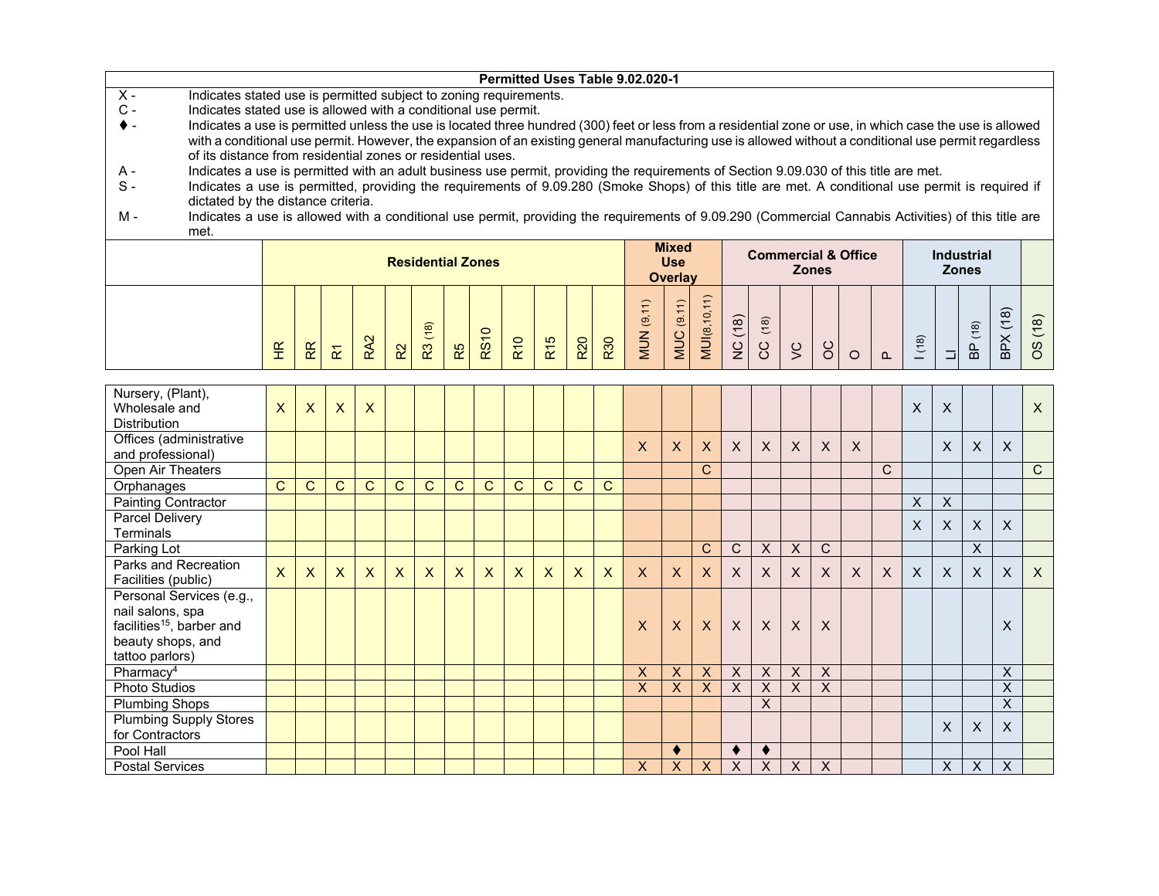|                                                                                                                                                                 |                           |              |                         |                 |              |                          |              |              |              |                 |                           |              | Permitted Uses Table 9.02.020-1 |                           |                           |                           |                           |                           |                         |                                |              |              |                           |                           |                         |                |
|-----------------------------------------------------------------------------------------------------------------------------------------------------------------|---------------------------|--------------|-------------------------|-----------------|--------------|--------------------------|--------------|--------------|--------------|-----------------|---------------------------|--------------|---------------------------------|---------------------------|---------------------------|---------------------------|---------------------------|---------------------------|-------------------------|--------------------------------|--------------|--------------|---------------------------|---------------------------|-------------------------|----------------|
| $X -$<br>Indicates stated use is permitted subject to zoning requirements.                                                                                      |                           |              |                         |                 |              |                          |              |              |              |                 |                           |              |                                 |                           |                           |                           |                           |                           |                         |                                |              |              |                           |                           |                         |                |
| $C -$<br>Indicates stated use is allowed with a conditional use permit.                                                                                         |                           |              |                         |                 |              |                          |              |              |              |                 |                           |              |                                 |                           |                           |                           |                           |                           |                         |                                |              |              |                           |                           |                         |                |
| Indicates a use is permitted unless the use is located three hundred (300) feet or less from a residential zone or use, in which case the use is allowed<br>♦ - |                           |              |                         |                 |              |                          |              |              |              |                 |                           |              |                                 |                           |                           |                           |                           |                           |                         |                                |              |              |                           |                           |                         |                |
| with a conditional use permit. However, the expansion of an existing general manufacturing use is allowed without a conditional use permit regardless           |                           |              |                         |                 |              |                          |              |              |              |                 |                           |              |                                 |                           |                           |                           |                           |                           |                         |                                |              |              |                           |                           |                         |                |
| of its distance from residential zones or residential uses.                                                                                                     |                           |              |                         |                 |              |                          |              |              |              |                 |                           |              |                                 |                           |                           |                           |                           |                           |                         |                                |              |              |                           |                           |                         |                |
| Indicates a use is permitted with an adult business use permit, providing the requirements of Section 9.09.030 of this title are met.<br>A -                    |                           |              |                         |                 |              |                          |              |              |              |                 |                           |              |                                 |                           |                           |                           |                           |                           |                         |                                |              |              |                           |                           |                         |                |
| $S -$<br>Indicates a use is permitted, providing the requirements of 9.09.280 (Smoke Shops) of this title are met. A conditional use permit is required if      |                           |              |                         |                 |              |                          |              |              |              |                 |                           |              |                                 |                           |                           |                           |                           |                           |                         |                                |              |              |                           |                           |                         |                |
| dictated by the distance criteria.                                                                                                                              |                           |              |                         |                 |              |                          |              |              |              |                 |                           |              |                                 |                           |                           |                           |                           |                           |                         |                                |              |              |                           |                           |                         |                |
| Indicates a use is allowed with a conditional use permit, providing the requirements of 9.09.290 (Commercial Cannabis Activities) of this title are<br>м -      |                           |              |                         |                 |              |                          |              |              |              |                 |                           |              |                                 |                           |                           |                           |                           |                           |                         |                                |              |              |                           |                           |                         |                |
| met.                                                                                                                                                            |                           |              |                         |                 |              |                          |              |              |              |                 |                           |              |                                 |                           |                           |                           |                           |                           |                         |                                |              |              |                           |                           |                         |                |
|                                                                                                                                                                 |                           |              |                         |                 |              |                          |              |              |              |                 |                           |              |                                 | <b>Mixed</b>              |                           |                           |                           |                           |                         | <b>Commercial &amp; Office</b> |              |              |                           | <b>Industrial</b>         |                         |                |
|                                                                                                                                                                 |                           |              |                         |                 |              | <b>Residential Zones</b> |              |              |              |                 |                           |              |                                 | <b>Use</b>                |                           |                           |                           |                           | <b>Zones</b>            |                                |              |              | <b>Zones</b>              |                           |                         |                |
|                                                                                                                                                                 |                           |              |                         |                 |              |                          |              |              |              |                 |                           |              |                                 | <b>Overlay</b>            |                           |                           |                           |                           |                         |                                |              |              |                           |                           |                         |                |
|                                                                                                                                                                 |                           |              |                         |                 |              |                          |              |              |              |                 |                           |              |                                 |                           |                           |                           |                           |                           |                         |                                |              |              |                           |                           |                         |                |
|                                                                                                                                                                 |                           |              |                         |                 |              |                          |              |              |              |                 |                           |              | <b>MUN</b> (9,11)               | MUC (9.11)                | <b>MUI(8,10,11)</b>       |                           |                           |                           |                         |                                |              |              |                           |                           |                         |                |
|                                                                                                                                                                 |                           |              |                         |                 |              | R3 (18)                  |              |              |              |                 |                           |              |                                 |                           |                           | NC (18)                   | (18)                      |                           |                         |                                |              |              |                           | (18)                      | 3PX(18)                 | OS (18)        |
|                                                                                                                                                                 | E                         | R            | $\overline{\mathbf{x}}$ | RA <sub>2</sub> | $\mathsf R2$ |                          | R5           | <b>RS10</b>  | <b>R10</b>   | R <sub>15</sub> | <b>R20</b>                | R30          |                                 |                           |                           |                           | ပ္ပ                       | $\zeta$                   | $\infty$                |                                |              | (18)         |                           | $\frac{D}{D}$             |                         |                |
|                                                                                                                                                                 |                           |              |                         |                 |              |                          |              |              |              |                 |                           |              |                                 |                           |                           |                           |                           |                           |                         | $\circ$                        | $\Omega$     |              | $\Box$                    |                           |                         |                |
|                                                                                                                                                                 |                           |              |                         |                 |              |                          |              |              |              |                 |                           |              |                                 |                           |                           |                           |                           |                           |                         |                                |              |              |                           |                           |                         |                |
| Nursery, (Plant),                                                                                                                                               |                           |              |                         |                 |              |                          |              |              |              |                 |                           |              |                                 |                           |                           |                           |                           |                           |                         |                                |              |              |                           |                           |                         |                |
| Wholesale and                                                                                                                                                   | $\boldsymbol{\mathsf{X}}$ | $\mathsf{X}$ | $\overline{\mathsf{x}}$ | $\mathsf{x}$    |              |                          |              |              |              |                 |                           |              |                                 |                           |                           |                           |                           |                           |                         |                                |              | $\mathsf{X}$ | $\boldsymbol{\mathsf{X}}$ |                           |                         | $\pmb{\times}$ |
| <b>Distribution</b>                                                                                                                                             |                           |              |                         |                 |              |                          |              |              |              |                 |                           |              |                                 |                           |                           |                           |                           |                           |                         |                                |              |              |                           |                           |                         |                |
| Offices (administrative                                                                                                                                         |                           |              |                         |                 |              |                          |              |              |              |                 |                           |              | $\mathsf{X}$                    | $\mathsf{X}$              | $\mathsf{X}$              | $\boldsymbol{X}$          | $\mathsf{X}$              | $\sf X$                   | $\sf X$                 | $\mathsf{X}$                   |              |              | $\mathsf{X}$              | X                         | $\mathsf{X}$            |                |
| and professional)                                                                                                                                               |                           |              |                         |                 |              |                          |              |              |              |                 |                           |              |                                 |                           |                           |                           |                           |                           |                         |                                |              |              |                           |                           |                         |                |
| Open Air Theaters                                                                                                                                               |                           |              |                         |                 |              |                          |              |              |              |                 |                           |              |                                 |                           | $\mathsf{C}$              |                           |                           |                           |                         |                                | $\mathsf{C}$ |              |                           |                           |                         | $\overline{C}$ |
| Orphanages                                                                                                                                                      | C                         | $\mathbf C$  | $\mathsf C$             | C               | $\mathsf{C}$ | $\mathsf{C}$             | $\mathsf{C}$ | $\mathsf C$  | $\mathsf{C}$ | $\mathbf C$     | $\mathsf{C}$              | $\mathsf{C}$ |                                 |                           |                           |                           |                           |                           |                         |                                |              |              |                           |                           |                         |                |
| <b>Painting Contractor</b>                                                                                                                                      |                           |              |                         |                 |              |                          |              |              |              |                 |                           |              |                                 |                           |                           |                           |                           |                           |                         |                                |              | $\mathsf X$  | $\overline{X}$            |                           |                         |                |
| <b>Parcel Delivery</b>                                                                                                                                          |                           |              |                         |                 |              |                          |              |              |              |                 |                           |              |                                 |                           |                           |                           |                           |                           |                         |                                |              | $\sf X$      | X                         | $\boldsymbol{\mathsf{X}}$ | X                       |                |
| <b>Terminals</b>                                                                                                                                                |                           |              |                         |                 |              |                          |              |              |              |                 |                           |              |                                 |                           |                           |                           |                           |                           |                         |                                |              |              |                           |                           |                         |                |
| Parking Lot                                                                                                                                                     |                           |              |                         |                 |              |                          |              |              |              |                 |                           |              |                                 |                           | $\mathbf C$               | $\mathsf C$               | $\boldsymbol{\mathsf{X}}$ | $\mathsf X$               | $\mathsf C$             |                                |              |              |                           | $\overline{\mathsf{x}}$   |                         |                |
| Parks and Recreation                                                                                                                                            | X                         | $\mathsf{X}$ | $\sf X$                 | $\mathsf{X}$    | $\mathsf{X}$ | $\mathsf{x}$             | $\mathsf{X}$ | $\mathsf{X}$ | $\mathsf{X}$ | $\mathsf{X}$    | $\boldsymbol{\mathsf{X}}$ | $\mathsf{X}$ | $\mathsf{X}$                    | $\mathsf{X}$              | $\mathsf{X}$              | $\boldsymbol{X}$          | $\mathsf{X}$              | $\sf X$                   | $\sf X$                 | $\mathsf{X}$                   | $\sf X$      | $\mathsf{X}$ | $\mathsf{X}$              | X                         | $\mathsf{X}$            | $\mathsf{X}$   |
| Facilities (public)                                                                                                                                             |                           |              |                         |                 |              |                          |              |              |              |                 |                           |              |                                 |                           |                           |                           |                           |                           |                         |                                |              |              |                           |                           |                         |                |
| Personal Services (e.g.,                                                                                                                                        |                           |              |                         |                 |              |                          |              |              |              |                 |                           |              |                                 |                           |                           |                           |                           |                           |                         |                                |              |              |                           |                           |                         |                |
| nail salons, spa                                                                                                                                                |                           |              |                         |                 |              |                          |              |              |              |                 |                           |              |                                 |                           |                           |                           |                           |                           |                         |                                |              |              |                           |                           |                         |                |
| facilities <sup>15</sup> , barber and                                                                                                                           |                           |              |                         |                 |              |                          |              |              |              |                 |                           |              | X                               | X                         | X                         | $\boldsymbol{\mathsf{X}}$ | $\mathsf{X}$              | X                         | X                       |                                |              |              |                           |                           | X                       |                |
| beauty shops, and                                                                                                                                               |                           |              |                         |                 |              |                          |              |              |              |                 |                           |              |                                 |                           |                           |                           |                           |                           |                         |                                |              |              |                           |                           |                         |                |
| tattoo parlors)                                                                                                                                                 |                           |              |                         |                 |              |                          |              |              |              |                 |                           |              |                                 |                           |                           |                           |                           |                           |                         |                                |              |              |                           |                           |                         |                |
| Pharmacy <sup>4</sup>                                                                                                                                           |                           |              |                         |                 |              |                          |              |              |              |                 |                           |              | $\boldsymbol{\mathsf{X}}$       | $\boldsymbol{\mathsf{X}}$ | $\boldsymbol{\mathsf{X}}$ | $\boldsymbol{\mathsf{X}}$ | $\boldsymbol{\mathsf{X}}$ | $\boldsymbol{\mathsf{X}}$ | $\overline{\mathsf{x}}$ |                                |              |              |                           |                           | $\overline{X}$          |                |
| Photo Studios                                                                                                                                                   |                           |              |                         |                 |              |                          |              |              |              |                 |                           |              | $\overline{X}$                  | $\overline{X}$            | $\overline{\mathsf{x}}$   | $\overline{\mathsf{x}}$   | $\overline{\mathsf{X}}$   | $\overline{\mathsf{x}}$   | $\overline{\mathsf{x}}$ |                                |              |              |                           |                           | $\overline{\mathsf{x}}$ |                |
| <b>Plumbing Shops</b>                                                                                                                                           |                           |              |                         |                 |              |                          |              |              |              |                 |                           |              |                                 |                           |                           |                           | $\overline{X}$            |                           |                         |                                |              |              |                           |                           | $\overline{X}$          |                |
| <b>Plumbing Supply Stores</b>                                                                                                                                   |                           |              |                         |                 |              |                          |              |              |              |                 |                           |              |                                 |                           |                           |                           |                           |                           |                         |                                |              |              |                           |                           |                         |                |
| for Contractors                                                                                                                                                 |                           |              |                         |                 |              |                          |              |              |              |                 |                           |              |                                 |                           |                           |                           |                           |                           |                         |                                |              |              | X                         | X                         | X                       |                |

Postal Services X X X X X X X X X X

 $\begin{array}{c|c|c|c|c|c} \hline \bullet & \bullet & \bullet \\ \hline X & X & X & X \end{array}$ 

Pool Hall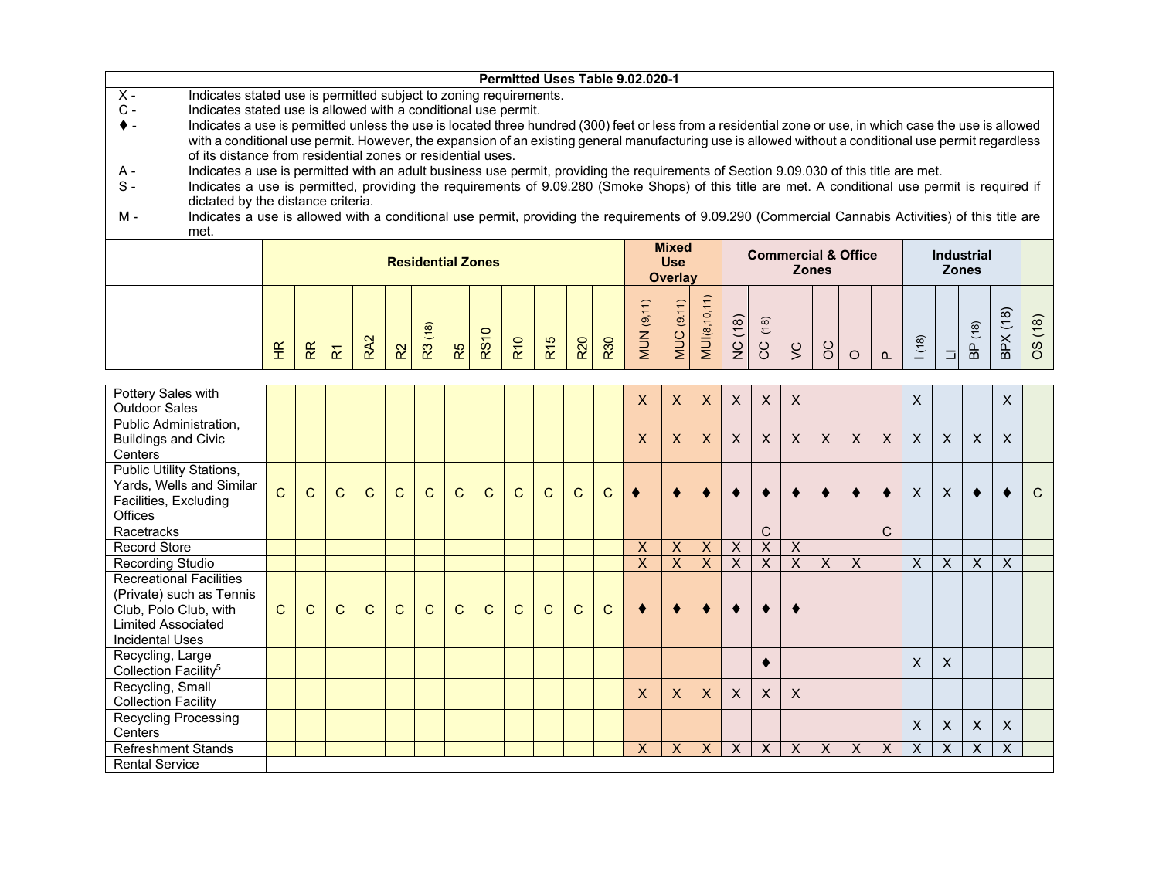|       |                                                                                                                                                          |  |  |                          |  | Permitted Uses Table 9.02.020-1 |  |            |                |  |  |              |                                |  |                   |  |
|-------|----------------------------------------------------------------------------------------------------------------------------------------------------------|--|--|--------------------------|--|---------------------------------|--|------------|----------------|--|--|--------------|--------------------------------|--|-------------------|--|
| $X -$ | Indicates stated use is permitted subject to zoning requirements.                                                                                        |  |  |                          |  |                                 |  |            |                |  |  |              |                                |  |                   |  |
| С.    | Indicates stated use is allowed with a conditional use permit.                                                                                           |  |  |                          |  |                                 |  |            |                |  |  |              |                                |  |                   |  |
|       | Indicates a use is permitted unless the use is located three hundred (300) feet or less from a residential zone or use, in which case the use is allowed |  |  |                          |  |                                 |  |            |                |  |  |              |                                |  |                   |  |
|       | with a conditional use permit. However, the expansion of an existing general manufacturing use is allowed without a conditional use permit regardless    |  |  |                          |  |                                 |  |            |                |  |  |              |                                |  |                   |  |
|       | of its distance from residential zones or residential uses.                                                                                              |  |  |                          |  |                                 |  |            |                |  |  |              |                                |  |                   |  |
| A -   | Indicates a use is permitted with an adult business use permit, providing the requirements of Section 9.09.030 of this title are met.                    |  |  |                          |  |                                 |  |            |                |  |  |              |                                |  |                   |  |
| $S -$ | Indicates a use is permitted, providing the requirements of 9.09.280 (Smoke Shops) of this title are met. A conditional use permit is required if        |  |  |                          |  |                                 |  |            |                |  |  |              |                                |  |                   |  |
|       | dictated by the distance criteria.                                                                                                                       |  |  |                          |  |                                 |  |            |                |  |  |              |                                |  |                   |  |
| м -   | Indicates a use is allowed with a conditional use permit, providing the requirements of 9.09.290 (Commercial Cannabis Activities) of this title are      |  |  |                          |  |                                 |  |            |                |  |  |              |                                |  |                   |  |
|       | met.                                                                                                                                                     |  |  |                          |  |                                 |  |            |                |  |  |              |                                |  |                   |  |
|       |                                                                                                                                                          |  |  |                          |  |                                 |  |            | <b>Mixed</b>   |  |  |              | <b>Commercial &amp; Office</b> |  | <b>Industrial</b> |  |
|       |                                                                                                                                                          |  |  | <b>Residential Zones</b> |  |                                 |  | <b>Use</b> |                |  |  |              |                                |  |                   |  |
|       |                                                                                                                                                          |  |  |                          |  |                                 |  |            | <b>Overlay</b> |  |  | <b>Zones</b> |                                |  | <b>Zones</b>      |  |
|       |                                                                                                                                                          |  |  |                          |  |                                 |  |            |                |  |  |              |                                |  |                   |  |

| $\widetilde{\mathbb{E}}$<br>- 1 | R | $\alpha$ | $\mathbf{\Omega}$<br>$\alpha$ | R <sup>2</sup> | $\widehat{\infty}$<br>$\epsilon$<br>R <sup>3</sup> | R5 | $\circ$<br>$\infty$ | $\overline{\phantom{0}}$<br>R <sub>10</sub> | $\frac{15}{2}$<br>$\alpha$ | R <sub>20</sub> | R30 | $\overline{\phantom{0}}$<br>$\overline{ }$<br>$\overline{\phantom{0}}$<br>಄<br>⇁<br>≒<br>⋚ | $\sim$<br>$\overline{ }$<br>$\overline{ }$<br>$\overline{9}$<br><b>MUC</b> | $\overline{\phantom{0}}$<br>$\overline{a}$<br>J(8)<br>⋚ | $\widehat{\infty}$<br>$\overline{ }$<br>$\overline{\phantom{0}}$<br>$\geq$ | (18)<br>$\lambda$<br>ၓ | $\check{ }$ | $\checkmark$<br>ັ | ⌒<br>๛ | $\sim$ | ၜ<br>$\overline{C}$<br>— | $\overline{\phantom{0}}$<br><b>A</b> | $\widehat{\infty}$<br>$\overline{C}$<br>黃 | $\widehat{\infty}$<br>$\overline{ }$<br>$\check{ }$<br>$\checkmark$<br>⌒<br>$\overline{B}$ | $\overline{\phantom{0}}$<br>$\infty$<br>$\overline{\phantom{a}}$<br>$\overline{\phantom{0}}$<br>$\omega$<br>$\circ$ |
|---------------------------------|---|----------|-------------------------------|----------------|----------------------------------------------------|----|---------------------|---------------------------------------------|----------------------------|-----------------|-----|--------------------------------------------------------------------------------------------|----------------------------------------------------------------------------|---------------------------------------------------------|----------------------------------------------------------------------------|------------------------|-------------|-------------------|--------|--------|--------------------------|--------------------------------------|-------------------------------------------|--------------------------------------------------------------------------------------------|---------------------------------------------------------------------------------------------------------------------|
|---------------------------------|---|----------|-------------------------------|----------------|----------------------------------------------------|----|---------------------|---------------------------------------------|----------------------------|-----------------|-----|--------------------------------------------------------------------------------------------|----------------------------------------------------------------------------|---------------------------------------------------------|----------------------------------------------------------------------------|------------------------|-------------|-------------------|--------|--------|--------------------------|--------------------------------------|-------------------------------------------|--------------------------------------------------------------------------------------------|---------------------------------------------------------------------------------------------------------------------|

| Pottery Sales with<br><b>Outdoor Sales</b>                                                                                          |              |              |              |              |             |              |              |              |              |              |              |              | X         | $\mathsf{X}$ | $\sf X$      | X | $\mathsf{X}$              | $\sf X$                   |                           |              |          | X.           |              |          | $\mathsf{X}$ |              |
|-------------------------------------------------------------------------------------------------------------------------------------|--------------|--------------|--------------|--------------|-------------|--------------|--------------|--------------|--------------|--------------|--------------|--------------|-----------|--------------|--------------|---|---------------------------|---------------------------|---------------------------|--------------|----------|--------------|--------------|----------|--------------|--------------|
| Public Administration,<br><b>Buildings and Civic</b><br>Centers                                                                     |              |              |              |              |             |              |              |              |              |              |              |              | X         | $\mathsf{X}$ | $\times$     | X | $\mathsf{X}$              | $\boldsymbol{\mathsf{X}}$ | $\mathsf{X}$              | $\mathsf{X}$ | $\sf X$  | $\mathsf{X}$ | $\sf X$      | $\times$ | X            |              |
| Public Utility Stations,<br>Yards, Wells and Similar<br>Facilities, Excluding<br><b>Offices</b>                                     | $\mathbf C$  | $\mathsf{C}$ | $\mathsf{C}$ | $\mathsf{C}$ | $\mathbf C$ | $\mathsf{C}$ | $\mathbf C$  | $\mathsf{C}$ | $\mathsf{C}$ | $\mathsf{C}$ | $\mathsf{C}$ | $\mathsf{C}$ | $\bullet$ | ٠            | ٠            |   |                           | $\bullet$                 |                           |              | ◆        | $\sf X$      | $\mathsf{X}$ |          |              | $\mathsf{C}$ |
| Racetracks                                                                                                                          |              |              |              |              |             |              |              |              |              |              |              |              |           |              |              |   | C                         |                           |                           |              | C        |              |              |          |              |              |
| Record Store                                                                                                                        |              |              |              |              |             |              |              |              |              |              |              |              | X         | $\mathsf{X}$ | X            | X | $\mathsf{X}$              | X                         |                           |              |          |              |              |          |              |              |
| <b>Recording Studio</b>                                                                                                             |              |              |              |              |             |              |              |              |              |              |              |              | X         | $\mathsf{X}$ | X            | X | $\boldsymbol{\mathsf{X}}$ | X                         | $\boldsymbol{\mathsf{X}}$ | $\mathsf{X}$ |          | X.           | $\sf X$      | X        | X            |              |
| <b>Recreational Facilities</b><br>(Private) such as Tennis<br>Club, Polo Club, with<br><b>Limited Associated</b><br>Incidental Uses | $\mathsf{C}$ | $\mathsf{C}$ | $\mathbf C$  | $\mathsf{C}$ | $\mathbf C$ | $\mathbf C$  | $\mathsf{C}$ | $\mathbf{C}$ | $\mathsf{C}$ | $\mathsf{C}$ | $\mathsf{C}$ | $\mathsf{C}$ | $\bullet$ | $\bullet$    | $\bullet$    |   |                           | $\bullet$                 |                           |              |          |              |              |          |              |              |
| Recycling, Large<br>Collection Facility <sup>5</sup>                                                                                |              |              |              |              |             |              |              |              |              |              |              |              |           |              |              |   |                           |                           |                           |              |          | X.           | X            |          |              |              |
| Recycling, Small<br><b>Collection Facility</b>                                                                                      |              |              |              |              |             |              |              |              |              |              |              |              | X         | $\mathsf{X}$ | $\sf X$      | X | $\mathsf{X}$              | $\times$                  |                           |              |          |              |              |          |              |              |
| <b>Recycling Processing</b><br>Centers                                                                                              |              |              |              |              |             |              |              |              |              |              |              |              |           |              |              |   |                           |                           |                           |              |          | $\mathsf{X}$ | $\mathsf{X}$ | X        | $\sf X$      |              |
| Refreshment Stands                                                                                                                  |              |              |              |              |             |              |              |              |              |              |              |              | X         | $\mathsf{X}$ | $\mathsf{X}$ | X | $\mathsf{X}$              | $\mathsf{X}$              | $\mathsf{X}$              | $\mathsf{X}$ | $\times$ | $\times$     | $\mathsf{X}$ | X        | X            |              |
| <b>Rental Service</b>                                                                                                               |              |              |              |              |             |              |              |              |              |              |              |              |           |              |              |   |                           |                           |                           |              |          |              |              |          |              |              |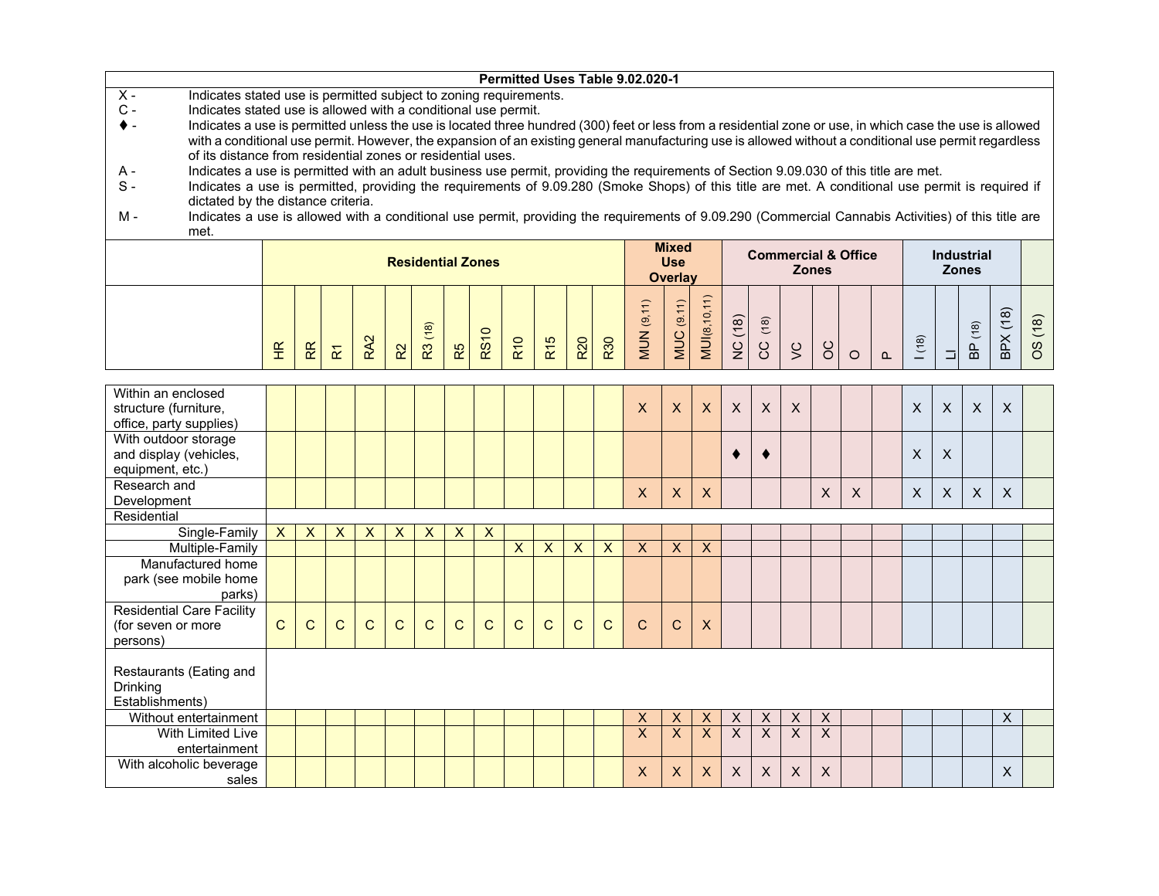|                                                                                                                                                                 |                      |                                      |                         |                 |                           |                          |             |                           |                |                 |                           |     | Permitted Uses Table 9.02.020-1 |                           |                         |                           |                           |                         |                |                                |          |                |          |                           |                           |         |
|-----------------------------------------------------------------------------------------------------------------------------------------------------------------|----------------------|--------------------------------------|-------------------------|-----------------|---------------------------|--------------------------|-------------|---------------------------|----------------|-----------------|---------------------------|-----|---------------------------------|---------------------------|-------------------------|---------------------------|---------------------------|-------------------------|----------------|--------------------------------|----------|----------------|----------|---------------------------|---------------------------|---------|
| $\overline{X}$ -<br>Indicates stated use is permitted subject to zoning requirements.                                                                           |                      |                                      |                         |                 |                           |                          |             |                           |                |                 |                           |     |                                 |                           |                         |                           |                           |                         |                |                                |          |                |          |                           |                           |         |
| $C -$<br>Indicates stated use is allowed with a conditional use permit.                                                                                         |                      |                                      |                         |                 |                           |                          |             |                           |                |                 |                           |     |                                 |                           |                         |                           |                           |                         |                |                                |          |                |          |                           |                           |         |
| Indicates a use is permitted unless the use is located three hundred (300) feet or less from a residential zone or use, in which case the use is allowed<br>♦ - |                      |                                      |                         |                 |                           |                          |             |                           |                |                 |                           |     |                                 |                           |                         |                           |                           |                         |                |                                |          |                |          |                           |                           |         |
| with a conditional use permit. However, the expansion of an existing general manufacturing use is allowed without a conditional use permit regardless           |                      |                                      |                         |                 |                           |                          |             |                           |                |                 |                           |     |                                 |                           |                         |                           |                           |                         |                |                                |          |                |          |                           |                           |         |
| of its distance from residential zones or residential uses.                                                                                                     |                      |                                      |                         |                 |                           |                          |             |                           |                |                 |                           |     |                                 |                           |                         |                           |                           |                         |                |                                |          |                |          |                           |                           |         |
| Indicates a use is permitted with an adult business use permit, providing the requirements of Section 9.09.030 of this title are met.<br>A -                    |                      |                                      |                         |                 |                           |                          |             |                           |                |                 |                           |     |                                 |                           |                         |                           |                           |                         |                |                                |          |                |          |                           |                           |         |
| $S -$<br>Indicates a use is permitted, providing the requirements of 9.09.280 (Smoke Shops) of this title are met. A conditional use permit is required if      |                      |                                      |                         |                 |                           |                          |             |                           |                |                 |                           |     |                                 |                           |                         |                           |                           |                         |                |                                |          |                |          |                           |                           |         |
| dictated by the distance criteria.                                                                                                                              |                      |                                      |                         |                 |                           |                          |             |                           |                |                 |                           |     |                                 |                           |                         |                           |                           |                         |                |                                |          |                |          |                           |                           |         |
| Indicates a use is allowed with a conditional use permit, providing the requirements of 9.09.290 (Commercial Cannabis Activities) of this title are<br>М -      |                      |                                      |                         |                 |                           |                          |             |                           |                |                 |                           |     |                                 |                           |                         |                           |                           |                         |                |                                |          |                |          |                           |                           |         |
| met.                                                                                                                                                            |                      |                                      |                         |                 |                           |                          |             |                           |                |                 |                           |     |                                 |                           |                         |                           |                           |                         |                |                                |          |                |          |                           |                           |         |
|                                                                                                                                                                 |                      |                                      |                         |                 |                           |                          |             |                           |                |                 |                           |     |                                 | <b>Mixed</b>              |                         |                           |                           |                         |                | <b>Commercial &amp; Office</b> |          |                |          | <b>Industrial</b>         |                           |         |
|                                                                                                                                                                 |                      |                                      |                         |                 |                           | <b>Residential Zones</b> |             |                           |                |                 |                           |     |                                 | <b>Use</b>                |                         |                           |                           |                         | <b>Zones</b>   |                                |          |                |          | <b>Zones</b>              |                           |         |
|                                                                                                                                                                 |                      |                                      |                         |                 |                           |                          |             |                           |                |                 |                           |     |                                 | <b>Overlav</b>            |                         |                           |                           |                         |                |                                |          |                |          |                           |                           |         |
|                                                                                                                                                                 |                      |                                      |                         |                 |                           |                          |             |                           |                |                 |                           |     |                                 |                           |                         |                           |                           |                         |                |                                |          |                |          |                           |                           |         |
|                                                                                                                                                                 |                      |                                      |                         |                 |                           |                          |             |                           |                |                 |                           |     |                                 | (9.11)                    |                         |                           |                           |                         |                |                                |          |                |          |                           |                           |         |
|                                                                                                                                                                 |                      |                                      |                         |                 |                           |                          |             |                           |                |                 |                           |     |                                 |                           |                         |                           | $(18)$                    |                         |                |                                |          |                |          |                           |                           |         |
|                                                                                                                                                                 | $\frac{\alpha}{\pi}$ | R                                    |                         | RA <sub>2</sub> | R <sup>2</sup>            | R3 (18)                  | R5          | <b>RS10</b>               | <b>R10</b>     | R <sub>15</sub> | <b>R20</b>                | R30 | <b>MUN</b> (9,11)               | MUC                       | <b>MUI(8,10,11)</b>     | NC (18)                   | ပ္ပ                       | $\leq$                  | $\delta$       |                                |          | (18)           |          | <b>BP</b> (18)            | BPX(18)                   | OS (18) |
|                                                                                                                                                                 |                      |                                      | $\tilde{\mathbf{r}}$    |                 |                           |                          |             |                           |                |                 |                           |     |                                 |                           |                         |                           |                           |                         |                | $\circ$                        | $\Omega$ |                | $\Box$   |                           |                           |         |
|                                                                                                                                                                 |                      |                                      |                         |                 |                           |                          |             |                           |                |                 |                           |     |                                 |                           |                         |                           |                           |                         |                |                                |          |                |          |                           |                           |         |
| Within an enclosed                                                                                                                                              |                      |                                      |                         |                 |                           |                          |             |                           |                |                 |                           |     |                                 |                           |                         |                           |                           |                         |                |                                |          |                |          |                           |                           |         |
| structure (furniture,                                                                                                                                           |                      |                                      |                         |                 |                           |                          |             |                           |                |                 |                           |     | $\times$                        | $\boldsymbol{\mathsf{X}}$ | $\pmb{\mathsf{X}}$      | $\boldsymbol{\mathsf{X}}$ | $\boldsymbol{\mathsf{X}}$ | $\mathsf{X}$            |                |                                |          | $\mathsf{X}$   | $\times$ | $\times$                  | $\boldsymbol{\mathsf{X}}$ |         |
| office, party supplies)                                                                                                                                         |                      |                                      |                         |                 |                           |                          |             |                           |                |                 |                           |     |                                 |                           |                         |                           |                           |                         |                |                                |          |                |          |                           |                           |         |
| With outdoor storage                                                                                                                                            |                      |                                      |                         |                 |                           |                          |             |                           |                |                 |                           |     |                                 |                           |                         |                           |                           |                         |                |                                |          |                |          |                           |                           |         |
| and display (vehicles,                                                                                                                                          |                      |                                      |                         |                 |                           |                          |             |                           |                |                 |                           |     |                                 |                           |                         |                           | ٠                         |                         |                |                                |          | X              | $\times$ |                           |                           |         |
| equipment, etc.)                                                                                                                                                |                      |                                      |                         |                 |                           |                          |             |                           |                |                 |                           |     |                                 |                           |                         |                           |                           |                         |                |                                |          |                |          |                           |                           |         |
| Research and                                                                                                                                                    |                      |                                      |                         |                 |                           |                          |             |                           |                |                 |                           |     | X                               | $\boldsymbol{\mathsf{X}}$ | X                       |                           |                           |                         | X              | $\boldsymbol{\mathsf{X}}$      |          | $\pmb{\times}$ | $\times$ | $\boldsymbol{\mathsf{X}}$ | $\times$                  |         |
| Development                                                                                                                                                     |                      |                                      |                         |                 |                           |                          |             |                           |                |                 |                           |     |                                 |                           |                         |                           |                           |                         |                |                                |          |                |          |                           |                           |         |
| Residential                                                                                                                                                     |                      |                                      |                         |                 |                           |                          |             |                           |                |                 |                           |     |                                 |                           |                         |                           |                           |                         |                |                                |          |                |          |                           |                           |         |
| Single-Family                                                                                                                                                   | X                    | $\boldsymbol{\mathsf{X}}$            | $\overline{\mathsf{x}}$ | X               | $\boldsymbol{\mathsf{X}}$ | $\pmb{\mathsf{X}}$       | X           | $\boldsymbol{\mathsf{X}}$ |                |                 |                           |     |                                 |                           |                         |                           |                           |                         |                |                                |          |                |          |                           |                           |         |
| Multiple-Family                                                                                                                                                 |                      |                                      |                         |                 |                           |                          |             |                           | $\pmb{\times}$ | $\mathsf{x}$    | $\boldsymbol{\mathsf{X}}$ | X   | $\pmb{\mathsf{X}}$              | $\boldsymbol{\mathsf{X}}$ | $\pmb{\mathsf{X}}$      |                           |                           |                         |                |                                |          |                |          |                           |                           |         |
| Manufactured home                                                                                                                                               |                      |                                      |                         |                 |                           |                          |             |                           |                |                 |                           |     |                                 |                           |                         |                           |                           |                         |                |                                |          |                |          |                           |                           |         |
| park (see mobile home                                                                                                                                           |                      |                                      |                         |                 |                           |                          |             |                           |                |                 |                           |     |                                 |                           |                         |                           |                           |                         |                |                                |          |                |          |                           |                           |         |
| parks)                                                                                                                                                          |                      |                                      |                         |                 |                           |                          |             |                           |                |                 |                           |     |                                 |                           |                         |                           |                           |                         |                |                                |          |                |          |                           |                           |         |
| <b>Residential Care Facility</b>                                                                                                                                |                      |                                      |                         |                 |                           |                          |             |                           |                |                 |                           |     |                                 |                           |                         |                           |                           |                         |                |                                |          |                |          |                           |                           |         |
| (for seven or more                                                                                                                                              | $\mathsf{C}$         | $\mathsf{C}$                         | $\mathsf{C}$            | $\mathsf{C}$    | $\mathsf{C}$              | $\mathsf{C}$             | $\mathbf C$ | $\mathbf C$               | $\mathsf{C}$   | $\mathsf{C}$    | $\mathsf{C}$              | C   | $\mathsf{C}$                    | $\mathsf{C}$              | X                       |                           |                           |                         |                |                                |          |                |          |                           |                           |         |
| persons)                                                                                                                                                        |                      |                                      |                         |                 |                           |                          |             |                           |                |                 |                           |     |                                 |                           |                         |                           |                           |                         |                |                                |          |                |          |                           |                           |         |
|                                                                                                                                                                 |                      |                                      |                         |                 |                           |                          |             |                           |                |                 |                           |     |                                 |                           |                         |                           |                           |                         |                |                                |          |                |          |                           |                           |         |
| Restaurants (Eating and                                                                                                                                         |                      |                                      |                         |                 |                           |                          |             |                           |                |                 |                           |     |                                 |                           |                         |                           |                           |                         |                |                                |          |                |          |                           |                           |         |
| <b>Drinking</b>                                                                                                                                                 |                      |                                      |                         |                 |                           |                          |             |                           |                |                 |                           |     |                                 |                           |                         |                           |                           |                         |                |                                |          |                |          |                           |                           |         |
| Establishments)                                                                                                                                                 |                      |                                      |                         |                 |                           |                          |             |                           |                |                 |                           |     |                                 |                           |                         |                           |                           |                         |                |                                |          |                |          |                           |                           |         |
| Without entertainment                                                                                                                                           |                      | X<br>X<br>X<br>X<br>X<br>X<br>X<br>X |                         |                 |                           |                          |             |                           |                |                 |                           |     |                                 |                           |                         |                           |                           |                         |                |                                |          |                |          |                           |                           |         |
| <b>With Limited Live</b>                                                                                                                                        |                      |                                      |                         |                 |                           |                          |             |                           |                |                 |                           |     | $\overline{\mathsf{x}}$         | $\overline{X}$            | $\overline{\mathsf{x}}$ | $\overline{X}$            | $\overline{X}$            | $\overline{\mathsf{x}}$ | $\overline{X}$ |                                |          |                |          |                           |                           |         |
| entertainment                                                                                                                                                   |                      |                                      |                         |                 |                           |                          |             |                           |                |                 |                           |     |                                 |                           |                         |                           |                           |                         |                |                                |          |                |          |                           |                           |         |
| With alcoholic beverage                                                                                                                                         |                      |                                      |                         |                 |                           |                          |             |                           |                |                 |                           |     |                                 |                           |                         |                           |                           |                         |                |                                |          |                |          |                           |                           |         |
| sales                                                                                                                                                           |                      |                                      |                         |                 |                           |                          |             |                           |                |                 |                           |     | X                               | $\pmb{\times}$            | X                       | X                         | X                         | X                       | $\times$       |                                |          |                |          |                           | X                         |         |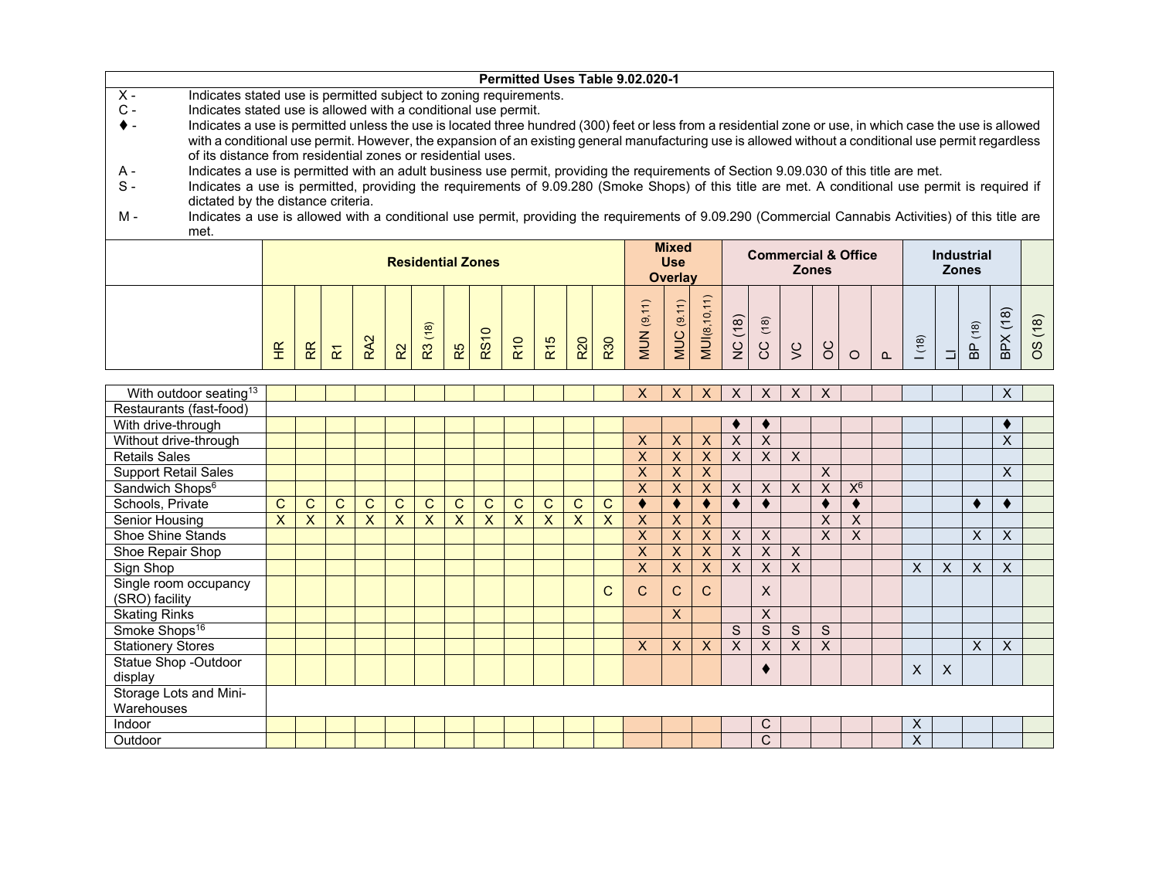|                |                                                                                                                                                          |                                                                                                                                                                                                                                                                                            |  |  |  |  |                          |  |                |            |     |            |     | Permitted Uses Table 9.02.020-1 |                |       |                                                |     |         |              |                                |      |                   |                    |                    |
|----------------|----------------------------------------------------------------------------------------------------------------------------------------------------------|--------------------------------------------------------------------------------------------------------------------------------------------------------------------------------------------------------------------------------------------------------------------------------------------|--|--|--|--|--------------------------|--|----------------|------------|-----|------------|-----|---------------------------------|----------------|-------|------------------------------------------------|-----|---------|--------------|--------------------------------|------|-------------------|--------------------|--------------------|
| $X -$          | Indicates stated use is permitted subject to zoning requirements.                                                                                        |                                                                                                                                                                                                                                                                                            |  |  |  |  |                          |  |                |            |     |            |     |                                 |                |       |                                                |     |         |              |                                |      |                   |                    |                    |
| $\mathsf{C}$ - | Indicates stated use is allowed with a conditional use permit.                                                                                           |                                                                                                                                                                                                                                                                                            |  |  |  |  |                          |  |                |            |     |            |     |                                 |                |       |                                                |     |         |              |                                |      |                   |                    |                    |
|                | Indicates a use is permitted unless the use is located three hundred (300) feet or less from a residential zone or use, in which case the use is allowed |                                                                                                                                                                                                                                                                                            |  |  |  |  |                          |  |                |            |     |            |     |                                 |                |       |                                                |     |         |              |                                |      |                   |                    |                    |
|                | with a conditional use permit. However, the expansion of an existing general manufacturing use is allowed without a conditional use permit regardless    |                                                                                                                                                                                                                                                                                            |  |  |  |  |                          |  |                |            |     |            |     |                                 |                |       |                                                |     |         |              |                                |      |                   |                    |                    |
|                | of its distance from residential zones or residential uses.                                                                                              |                                                                                                                                                                                                                                                                                            |  |  |  |  |                          |  |                |            |     |            |     |                                 |                |       |                                                |     |         |              |                                |      |                   |                    |                    |
| А -            |                                                                                                                                                          | Indicates a use is permitted with an adult business use permit, providing the requirements of Section 9.09.030 of this title are met.<br>Indicates a use is permitted, providing the requirements of 9.09.280 (Smoke Shops) of this title are met. A conditional use permit is required if |  |  |  |  |                          |  |                |            |     |            |     |                                 |                |       |                                                |     |         |              |                                |      |                   |                    |                    |
| $S -$          |                                                                                                                                                          |                                                                                                                                                                                                                                                                                            |  |  |  |  |                          |  |                |            |     |            |     |                                 |                |       |                                                |     |         |              |                                |      |                   |                    |                    |
|                | dictated by the distance criteria.                                                                                                                       |                                                                                                                                                                                                                                                                                            |  |  |  |  |                          |  |                |            |     |            |     |                                 |                |       |                                                |     |         |              |                                |      |                   |                    |                    |
| M -            | Indicates a use is allowed with a conditional use permit, providing the requirements of 9.09.290 (Commercial Cannabis Activities) of this title are      |                                                                                                                                                                                                                                                                                            |  |  |  |  |                          |  |                |            |     |            |     |                                 |                |       |                                                |     |         |              |                                |      |                   |                    |                    |
|                | met.                                                                                                                                                     |                                                                                                                                                                                                                                                                                            |  |  |  |  |                          |  |                |            |     |            |     |                                 |                |       |                                                |     |         |              |                                |      |                   |                    |                    |
|                |                                                                                                                                                          |                                                                                                                                                                                                                                                                                            |  |  |  |  |                          |  |                |            |     |            |     |                                 | <b>Mixed</b>   |       |                                                |     |         |              | <b>Commercial &amp; Office</b> |      | <b>Industrial</b> |                    |                    |
|                |                                                                                                                                                          |                                                                                                                                                                                                                                                                                            |  |  |  |  | <b>Residential Zones</b> |  |                |            |     |            |     |                                 | <b>Use</b>     |       |                                                |     |         | <b>Zones</b> |                                |      | <b>Zones</b>      |                    |                    |
|                |                                                                                                                                                          |                                                                                                                                                                                                                                                                                            |  |  |  |  |                          |  |                |            |     |            |     |                                 | <b>Overlay</b> |       |                                                |     |         |              |                                |      |                   |                    |                    |
|                |                                                                                                                                                          |                                                                                                                                                                                                                                                                                            |  |  |  |  |                          |  |                |            |     |            |     |                                 |                |       |                                                |     |         |              |                                |      |                   |                    |                    |
|                |                                                                                                                                                          |                                                                                                                                                                                                                                                                                            |  |  |  |  |                          |  |                |            |     |            |     |                                 |                | ʻb.   |                                                |     |         |              |                                |      |                   | $\widehat{\infty}$ |                    |
|                |                                                                                                                                                          |                                                                                                                                                                                                                                                                                            |  |  |  |  | ଛ                        |  | $\circ$        |            |     |            |     | ಄                               | ಄              |       | $\widehat{\infty}$<br>$\overline{\phantom{0}}$ | (8) |         |              |                                |      | $\frac{1}{8}$     |                    | $\left( 8 \right)$ |
|                |                                                                                                                                                          |                                                                                                                                                                                                                                                                                            |  |  |  |  |                          |  | $\overline{ }$ | <b>R10</b> | R15 | <b>R20</b> | R30 |                                 | <b>NUC</b>     | MUI8, | $\overline{\phantom{0}}$                       |     | $\circ$ |              |                                | (18) |                   |                    |                    |
|                |                                                                                                                                                          | $\frac{C}{Z}$<br>$\frac{\alpha}{\Gamma}$<br>R <sub>S</sub><br>ပ္ပ<br>8O<br>ន្ល<br>음<br>R5<br>55<br>ᄒ                                                                                                                                                                                       |  |  |  |  |                          |  |                |            |     |            |     |                                 |                |       |                                                |     |         |              |                                |      |                   |                    |                    |

| With outdoor seating <sup>13</sup> |   |   |              |   |   |   |   |   |   |              |   |   | X.           | X. | X | $\times$ | X. | $\times$ | X        |       |   |   |   | X |  |
|------------------------------------|---|---|--------------|---|---|---|---|---|---|--------------|---|---|--------------|----|---|----------|----|----------|----------|-------|---|---|---|---|--|
| Restaurants (fast-food)            |   |   |              |   |   |   |   |   |   |              |   |   |              |    |   |          |    |          |          |       |   |   |   |   |  |
| With drive-through                 |   |   |              |   |   |   |   |   |   |              |   |   |              |    |   |          |    |          |          |       |   |   |   | ٠ |  |
| Without drive-through              |   |   |              |   |   |   |   |   |   |              |   |   | X            | X  | X | $\times$ | X  |          |          |       |   |   |   | X |  |
| <b>Retails Sales</b>               |   |   |              |   |   |   |   |   |   |              |   |   | X            | X  | X | X        | X  | X        |          |       |   |   |   |   |  |
| <b>Support Retail Sales</b>        |   |   |              |   |   |   |   |   |   |              |   |   | X            | X  | X |          |    |          | X        |       |   |   |   | X |  |
| Sandwich Shops <sup>6</sup>        |   |   |              |   |   |   |   |   |   |              |   |   | X            | X  | X | X        | X  | X        | X        | $X_8$ |   |   |   |   |  |
| Schools, Private                   | C | C | $\mathsf{C}$ | C | C | С | C | C | С | C.           | C | C |              |    |   |          |    |          |          |       |   |   |   |   |  |
| Senior Housing                     | X | X | X            | X | X | X | X | X | X | $\mathsf{X}$ | X | X | X            | X  | X |          |    |          | $\times$ | X     |   |   |   |   |  |
| <b>Shoe Shine Stands</b>           |   |   |              |   |   |   |   |   |   |              |   |   | X            | X  | X | X        | X  |          | X        | X     |   |   | X | X |  |
| Shoe Repair Shop                   |   |   |              |   |   |   |   |   |   |              |   |   | X            |    | X | X        | X  | X        |          |       |   |   |   |   |  |
| Sign Shop                          |   |   |              |   |   |   |   |   |   |              |   |   | X            | X. | X | X        | X  | X        |          |       | X | X | X | X |  |
| Single room occupancy              |   |   |              |   |   |   |   |   |   |              |   | C | $\mathsf{C}$ | C. | C |          | X  |          |          |       |   |   |   |   |  |
| (SRO) facility                     |   |   |              |   |   |   |   |   |   |              |   |   |              |    |   |          |    |          |          |       |   |   |   |   |  |
| <b>Skating Rinks</b>               |   |   |              |   |   |   |   |   |   |              |   |   |              | X  |   |          | X  |          |          |       |   |   |   |   |  |
| Smoke Shops <sup>16</sup>          |   |   |              |   |   |   |   |   |   |              |   |   |              |    |   | S        | S  | S        | S        |       |   |   |   |   |  |
| <b>Stationery Stores</b>           |   |   |              |   |   |   |   |   |   |              |   |   | X            | X  | X | X        | X  | X        | X        |       |   |   | X | X |  |
| <b>Statue Shop -Outdoor</b>        |   |   |              |   |   |   |   |   |   |              |   |   |              |    |   |          |    |          |          |       | X | X |   |   |  |
| display                            |   |   |              |   |   |   |   |   |   |              |   |   |              |    |   |          |    |          |          |       |   |   |   |   |  |
| Storage Lots and Mini-             |   |   |              |   |   |   |   |   |   |              |   |   |              |    |   |          |    |          |          |       |   |   |   |   |  |
| Warehouses                         |   |   |              |   |   |   |   |   |   |              |   |   |              |    |   |          |    |          |          |       |   |   |   |   |  |
| Indoor                             |   |   |              |   |   |   |   |   |   |              |   |   |              |    |   |          | С  |          |          |       | X |   |   |   |  |
| Outdoor                            |   |   |              |   |   |   |   |   |   |              |   |   |              |    |   |          | С  |          |          |       | X |   |   |   |  |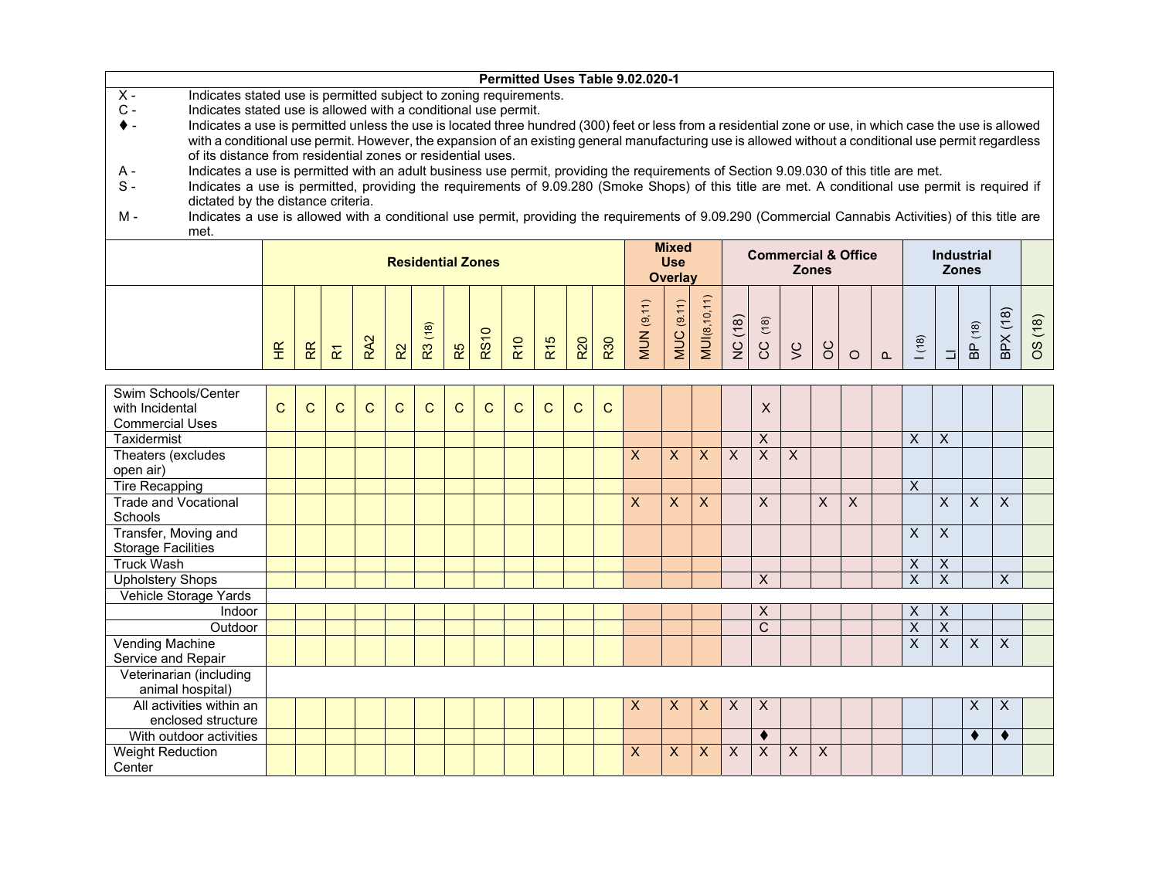|                                                                                                                                                                                                                      |             |              |                         |                 |              |                          |    |              |              |                 |              |                         | Permitted Uses Table 9.02.020-1 |                              |                     |          |                         |                         |   |                                |          |          |                         |                     |                    |      |
|----------------------------------------------------------------------------------------------------------------------------------------------------------------------------------------------------------------------|-------------|--------------|-------------------------|-----------------|--------------|--------------------------|----|--------------|--------------|-----------------|--------------|-------------------------|---------------------------------|------------------------------|---------------------|----------|-------------------------|-------------------------|---|--------------------------------|----------|----------|-------------------------|---------------------|--------------------|------|
| $X -$<br>Indicates stated use is permitted subject to zoning requirements.                                                                                                                                           |             |              |                         |                 |              |                          |    |              |              |                 |              |                         |                                 |                              |                     |          |                         |                         |   |                                |          |          |                         |                     |                    |      |
| $C -$<br>Indicates stated use is allowed with a conditional use permit.                                                                                                                                              |             |              |                         |                 |              |                          |    |              |              |                 |              |                         |                                 |                              |                     |          |                         |                         |   |                                |          |          |                         |                     |                    |      |
| Indicates a use is permitted unless the use is located three hundred (300) feet or less from a residential zone or use, in which case the use is allowed                                                             |             |              |                         |                 |              |                          |    |              |              |                 |              |                         |                                 |                              |                     |          |                         |                         |   |                                |          |          |                         |                     |                    |      |
| with a conditional use permit. However, the expansion of an existing general manufacturing use is allowed without a conditional use permit regardless<br>of its distance from residential zones or residential uses. |             |              |                         |                 |              |                          |    |              |              |                 |              |                         |                                 |                              |                     |          |                         |                         |   |                                |          |          |                         |                     |                    |      |
| Indicates a use is permitted with an adult business use permit, providing the requirements of Section 9.09.030 of this title are met.<br>A -                                                                         |             |              |                         |                 |              |                          |    |              |              |                 |              |                         |                                 |                              |                     |          |                         |                         |   |                                |          |          |                         |                     |                    |      |
| $S -$<br>Indicates a use is permitted, providing the requirements of 9.09.280 (Smoke Shops) of this title are met. A conditional use permit is required if                                                           |             |              |                         |                 |              |                          |    |              |              |                 |              |                         |                                 |                              |                     |          |                         |                         |   |                                |          |          |                         |                     |                    |      |
| dictated by the distance criteria.                                                                                                                                                                                   |             |              |                         |                 |              |                          |    |              |              |                 |              |                         |                                 |                              |                     |          |                         |                         |   |                                |          |          |                         |                     |                    |      |
| $M -$<br>Indicates a use is allowed with a conditional use permit, providing the requirements of 9.09.290 (Commercial Cannabis Activities) of this title are                                                         |             |              |                         |                 |              |                          |    |              |              |                 |              |                         |                                 |                              |                     |          |                         |                         |   |                                |          |          |                         |                     |                    |      |
| met.                                                                                                                                                                                                                 |             |              |                         |                 |              |                          |    |              |              |                 |              |                         |                                 |                              |                     |          |                         |                         |   |                                |          |          |                         |                     |                    |      |
|                                                                                                                                                                                                                      |             |              |                         |                 |              |                          |    |              |              |                 |              |                         |                                 | <b>Mixed</b>                 |                     |          |                         |                         |   | <b>Commercial &amp; Office</b> |          |          |                         | <b>Industrial</b>   |                    |      |
|                                                                                                                                                                                                                      |             |              |                         |                 |              | <b>Residential Zones</b> |    |              |              |                 |              |                         |                                 | <b>Use</b><br><b>Overlay</b> |                     |          |                         | <b>Zones</b>            |   |                                |          |          | <b>Zones</b>            |                     |                    |      |
|                                                                                                                                                                                                                      |             |              |                         |                 |              |                          |    |              |              |                 |              |                         |                                 |                              |                     |          |                         |                         |   |                                |          |          |                         |                     |                    |      |
|                                                                                                                                                                                                                      |             |              |                         |                 |              |                          |    |              |              |                 |              |                         | <b>MUN (9,11)</b>               | <b>MUC</b> (9.11)            | <b>MUI(8,10,11)</b> |          |                         |                         |   |                                |          |          |                         |                     | $\widehat{\infty}$ |      |
|                                                                                                                                                                                                                      |             |              |                         |                 |              |                          |    |              |              |                 |              |                         |                                 |                              |                     |          | (18)                    |                         |   |                                |          |          |                         | (18)                |                    | (18) |
|                                                                                                                                                                                                                      | $E_{\rm H}$ | $\mathbb{R}$ | $\overline{\mathbf{x}}$ | RA <sub>2</sub> | $\approx$    | R3 (18)                  | R5 | <b>RS10</b>  | <b>R10</b>   | R <sub>15</sub> | <b>R20</b>   | R30                     |                                 |                              |                     | NC (18)  | ပ္ပ                     | $\zeta$                 | 8 | $\circ$                        | $\Omega$ | (18)     | $\Box$                  | $\frac{\rho}{\rho}$ | BPX(1)             | 8    |
|                                                                                                                                                                                                                      |             |              |                         |                 |              |                          |    |              |              |                 |              |                         |                                 |                              |                     |          |                         |                         |   |                                |          |          |                         |                     |                    |      |
|                                                                                                                                                                                                                      |             |              |                         |                 |              |                          |    |              |              |                 |              |                         |                                 |                              |                     |          |                         |                         |   |                                |          |          |                         |                     |                    |      |
| Swim Schools/Center<br>with Incidental                                                                                                                                                                               | C           | C            | $\mathsf{C}$            | $\mathsf{C}$    | $\mathsf{C}$ | $\mathsf{C}$             | C  | $\mathsf{C}$ | $\mathsf{C}$ | $\mathsf{C}$    | $\mathsf{C}$ | $\mathsf{C}$            |                                 |                              |                     |          | X                       |                         |   |                                |          |          |                         |                     |                    |      |
| <b>Commercial Uses</b>                                                                                                                                                                                               |             |              |                         |                 |              |                          |    |              |              |                 |              |                         |                                 |                              |                     |          |                         |                         |   |                                |          |          |                         |                     |                    |      |
| Taxidermist                                                                                                                                                                                                          |             |              |                         |                 |              |                          |    |              |              |                 |              |                         |                                 |                              |                     |          | $\sf X$                 |                         |   |                                |          | $\times$ | $\sf X$                 |                     |                    |      |
| Theaters (excludes                                                                                                                                                                                                   |             |              |                         |                 |              |                          |    |              |              |                 |              |                         | X                               | $\mathsf{x}$                 | $\mathsf{X}$        | $\times$ | $\overline{\mathsf{x}}$ | $\overline{\mathsf{x}}$ |   |                                |          |          |                         |                     |                    |      |
| open air)                                                                                                                                                                                                            |             |              |                         |                 |              |                          |    |              |              |                 |              |                         |                                 |                              |                     |          |                         |                         |   |                                |          |          |                         |                     |                    |      |
| <b>Tire Recapping</b>                                                                                                                                                                                                |             |              |                         |                 |              |                          |    |              |              |                 |              |                         |                                 |                              |                     |          |                         |                         |   |                                |          | X        |                         |                     |                    |      |
| <b>Trade and Vocational</b>                                                                                                                                                                                          |             |              |                         |                 |              |                          |    |              |              |                 |              |                         | X                               | $\boldsymbol{X}$             | X                   |          | X                       |                         | X | $\mathsf{X}$                   |          |          | X                       | $\overline{X}$      | $\sf X$            |      |
| Schools                                                                                                                                                                                                              |             |              |                         |                 |              |                          |    |              |              |                 |              |                         |                                 |                              |                     |          |                         |                         |   |                                |          |          |                         |                     |                    |      |
| Transfer, Moving and                                                                                                                                                                                                 |             |              |                         |                 |              |                          |    |              |              |                 |              |                         |                                 |                              |                     |          |                         |                         |   |                                |          | X        | X                       |                     |                    |      |
| <b>Storage Facilities</b>                                                                                                                                                                                            |             |              |                         |                 |              |                          |    |              |              |                 |              |                         |                                 |                              |                     |          |                         |                         |   |                                |          |          |                         |                     |                    |      |
| <b>Truck Wash</b>                                                                                                                                                                                                    |             |              |                         |                 |              |                          |    |              |              |                 |              |                         | X                               | $\boldsymbol{\mathsf{X}}$    |                     |          |                         |                         |   |                                |          |          |                         |                     |                    |      |
| <b>Upholstery Shops</b>                                                                                                                                                                                              |             |              |                         |                 |              |                          | X  |              |              |                 |              | $\overline{\mathsf{x}}$ | $\overline{\mathsf{x}}$         |                              | X                   |          |                         |                         |   |                                |          |          |                         |                     |                    |      |
| Vehicle Storage Yards                                                                                                                                                                                                |             |              |                         |                 |              |                          |    |              |              |                 |              |                         |                                 |                              |                     |          |                         |                         |   |                                |          |          |                         |                     |                    |      |
| Indoor                                                                                                                                                                                                               |             |              |                         |                 |              |                          |    |              |              |                 |              |                         |                                 |                              |                     |          | х                       |                         |   |                                |          | X        | х                       |                     |                    |      |
| Outdoor                                                                                                                                                                                                              |             |              |                         |                 |              |                          |    |              |              |                 |              |                         |                                 |                              |                     |          | $\overline{C}$          |                         |   |                                |          | X        | $\overline{\mathsf{x}}$ |                     |                    |      |

| Vending Machine                             |  |  |  |  |  |  |   |   |   |                         |   |                   |   |  |  | X | $\lambda$ |  |
|---------------------------------------------|--|--|--|--|--|--|---|---|---|-------------------------|---|-------------------|---|--|--|---|-----------|--|
| Service and Repair                          |  |  |  |  |  |  |   |   |   |                         |   |                   |   |  |  |   |           |  |
| Veterinarian (including<br>animal hospital) |  |  |  |  |  |  |   |   |   |                         |   |                   |   |  |  |   |           |  |
| All activities within an                    |  |  |  |  |  |  | х | X | X | $\mathsf{T} \mathsf{X}$ | X |                   |   |  |  | ᄉ | ᄉ         |  |
| enclosed structure                          |  |  |  |  |  |  |   |   |   |                         |   |                   |   |  |  |   |           |  |
| With outdoor activities                     |  |  |  |  |  |  |   |   |   |                         |   |                   |   |  |  |   |           |  |
| Weight Reduction                            |  |  |  |  |  |  |   | x | X |                         | X | $\checkmark$<br>∧ | X |  |  |   |           |  |
| Center                                      |  |  |  |  |  |  |   |   |   |                         |   |                   |   |  |  |   |           |  |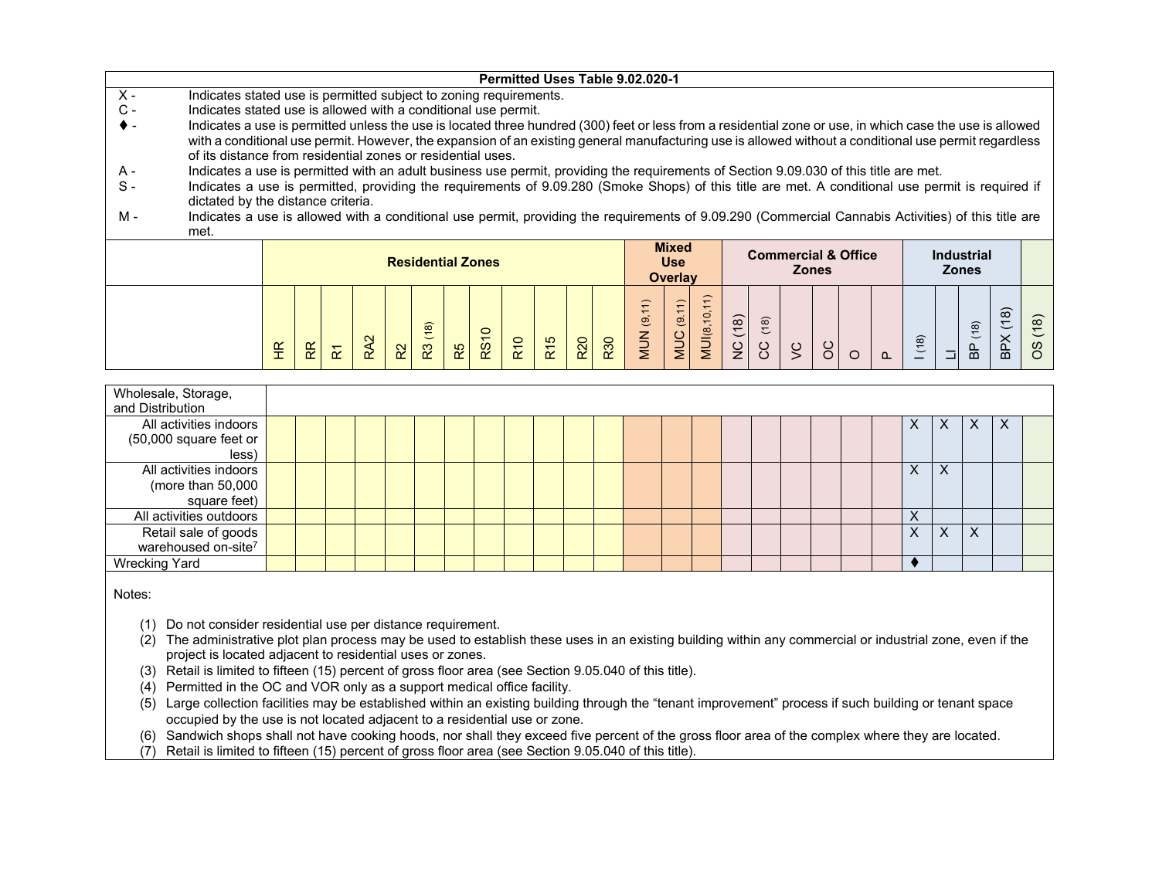|                                                                                                                                                                                                  |                 |    |                                                                        |                 |                |         |    |             |                 |                 |            |            | Permitted Uses Table 9.02.020-1 |                   |              |         |        |         |   |         |          |                         |              |                           |         |          |
|--------------------------------------------------------------------------------------------------------------------------------------------------------------------------------------------------|-----------------|----|------------------------------------------------------------------------|-----------------|----------------|---------|----|-------------|-----------------|-----------------|------------|------------|---------------------------------|-------------------|--------------|---------|--------|---------|---|---------|----------|-------------------------|--------------|---------------------------|---------|----------|
| $X -$<br>Indicates stated use is permitted subject to zoning requirements.                                                                                                                       |                 |    |                                                                        |                 |                |         |    |             |                 |                 |            |            |                                 |                   |              |         |        |         |   |         |          |                         |              |                           |         |          |
| $C -$<br>Indicates stated use is allowed with a conditional use permit.                                                                                                                          |                 |    |                                                                        |                 |                |         |    |             |                 |                 |            |            |                                 |                   |              |         |        |         |   |         |          |                         |              |                           |         |          |
| Indicates a use is permitted unless the use is located three hundred (300) feet or less from a residential zone or use, in which case the use is allowed                                         |                 |    |                                                                        |                 |                |         |    |             |                 |                 |            |            |                                 |                   |              |         |        |         |   |         |          |                         |              |                           |         |          |
| with a conditional use permit. However, the expansion of an existing general manufacturing use is allowed without a conditional use permit regardless                                            |                 |    |                                                                        |                 |                |         |    |             |                 |                 |            |            |                                 |                   |              |         |        |         |   |         |          |                         |              |                           |         |          |
| of its distance from residential zones or residential uses.                                                                                                                                      |                 |    |                                                                        |                 |                |         |    |             |                 |                 |            |            |                                 |                   |              |         |        |         |   |         |          |                         |              |                           |         |          |
| Indicates a use is permitted with an adult business use permit, providing the requirements of Section 9.09.030 of this title are met.<br>A -                                                     |                 |    |                                                                        |                 |                |         |    |             |                 |                 |            |            |                                 |                   |              |         |        |         |   |         |          |                         |              |                           |         |          |
| $S -$<br>Indicates a use is permitted, providing the requirements of 9.09.280 (Smoke Shops) of this title are met. A conditional use permit is required if<br>dictated by the distance criteria. |                 |    |                                                                        |                 |                |         |    |             |                 |                 |            |            |                                 |                   |              |         |        |         |   |         |          |                         |              |                           |         |          |
| Indicates a use is allowed with a conditional use permit, providing the requirements of 9.09.290 (Commercial Cannabis Activities) of this title are<br>м -                                       |                 |    |                                                                        |                 |                |         |    |             |                 |                 |            |            |                                 |                   |              |         |        |         |   |         |          |                         |              |                           |         |          |
| met.                                                                                                                                                                                             |                 |    |                                                                        |                 |                |         |    |             |                 |                 |            |            |                                 |                   |              |         |        |         |   |         |          |                         |              |                           |         |          |
|                                                                                                                                                                                                  |                 |    | <b>Mixed</b><br><b>Commercial &amp; Office</b><br><b>Industrial</b>    |                 |                |         |    |             |                 |                 |            |            |                                 |                   |              |         |        |         |   |         |          |                         |              |                           |         |          |
|                                                                                                                                                                                                  |                 |    | <b>Residential Zones</b><br><b>Use</b><br><b>Zones</b><br><b>Zones</b> |                 |                |         |    |             |                 |                 |            |            |                                 |                   |              |         |        |         |   |         |          |                         |              |                           |         |          |
|                                                                                                                                                                                                  |                 |    | Overlay                                                                |                 |                |         |    |             |                 |                 |            |            |                                 |                   |              |         |        |         |   |         |          |                         |              |                           |         |          |
|                                                                                                                                                                                                  |                 |    |                                                                        |                 |                |         |    |             |                 |                 |            |            |                                 |                   |              |         |        |         |   |         |          |                         |              |                           |         |          |
|                                                                                                                                                                                                  |                 |    |                                                                        |                 |                |         |    |             |                 |                 |            |            |                                 |                   |              |         |        |         |   |         |          |                         |              |                           |         |          |
|                                                                                                                                                                                                  |                 |    |                                                                        |                 |                |         |    |             |                 |                 |            |            |                                 |                   |              |         |        |         |   |         |          |                         |              | (18)                      |         | (18)     |
|                                                                                                                                                                                                  |                 |    |                                                                        | RA <sub>2</sub> |                | R3 (18) |    | <b>RS10</b> | R <sub>10</sub> | R <sub>15</sub> | <b>R20</b> | <b>R30</b> | <b>MUN</b> (9,11)               | <b>MUC</b> (9.11) | MUI(8,10,11) | NC (18) | CC(18) |         |   |         |          | (18)                    |              |                           | BPX(18) | $\omega$ |
|                                                                                                                                                                                                  | $\widetilde{E}$ | ΒŘ | $\overline{\mathbf{r}}$                                                |                 | R <sup>2</sup> |         | R5 |             |                 |                 |            |            |                                 |                   |              |         |        | $\zeta$ | 8 | $\circ$ | $\Omega$ |                         |              | $\mathbf{a}$              |         | O        |
|                                                                                                                                                                                                  |                 |    |                                                                        |                 |                |         |    |             |                 |                 |            |            |                                 |                   |              |         |        |         |   |         |          |                         |              |                           |         |          |
| Wholesale, Storage,<br>and Distribution                                                                                                                                                          |                 |    |                                                                        |                 |                |         |    |             |                 |                 |            |            |                                 |                   |              |         |        |         |   |         |          |                         |              |                           |         |          |
| All activities indoors                                                                                                                                                                           |                 |    |                                                                        |                 |                |         |    |             |                 |                 |            |            |                                 |                   |              |         |        |         |   |         |          | X.                      | X            | X                         | X       |          |
| (50,000 square feet or                                                                                                                                                                           |                 |    |                                                                        |                 |                |         |    |             |                 |                 |            |            |                                 |                   |              |         |        |         |   |         |          |                         |              |                           |         |          |
| less                                                                                                                                                                                             |                 |    |                                                                        |                 |                |         |    |             |                 |                 |            |            |                                 |                   |              |         |        |         |   |         |          |                         |              |                           |         |          |
| All activities indoors                                                                                                                                                                           |                 |    |                                                                        |                 |                |         |    |             |                 |                 |            |            |                                 |                   |              |         |        |         |   |         |          | X.                      | X            |                           |         |          |
| (more than $50,000$                                                                                                                                                                              |                 |    |                                                                        |                 |                |         |    |             |                 |                 |            |            |                                 |                   |              |         |        |         |   |         |          |                         |              |                           |         |          |
| square feet)                                                                                                                                                                                     |                 |    |                                                                        |                 |                |         |    |             |                 |                 |            |            |                                 |                   |              |         |        |         |   |         |          |                         |              |                           |         |          |
| All activities outdoors                                                                                                                                                                          |                 |    |                                                                        |                 |                |         |    |             |                 |                 |            |            |                                 |                   |              |         |        |         |   |         |          | X                       |              |                           |         |          |
| Retail sale of goods                                                                                                                                                                             |                 |    |                                                                        |                 |                |         |    |             |                 |                 |            |            |                                 |                   |              |         |        |         |   |         |          | $\overline{\mathsf{X}}$ | $\mathsf{X}$ | $\boldsymbol{\mathsf{X}}$ |         |          |

Notes:

warehoused on-site<sup>7</sup>

(1) Do not consider residential use per distance requirement.

(2) The administrative plot plan process may be used to establish these uses in an existing building within any commercial or industrial zone, even if the project is located adjacent to residential uses or zones.

Wrecking Yard

(3) Retail is limited to fifteen (15) percent of gross floor area (see Section 9.05.040 of this title).

 $(4)$  Permitted in the OC and VOR only as a support medical office facility.

(5) Large collection facilities may be established within an existing building through the "tenant improvement" process if such building or tenant space occupied by the use is not located adjacent to a residential use or zone.

(6) Sandwich shops shall not have cooking hoods, nor shall they exceed five percent of the gross floor area of the complex where they are located.

(7) Retail is limited to fifteen (15) percent of gross floor area (see Section 9.05.040 of this title).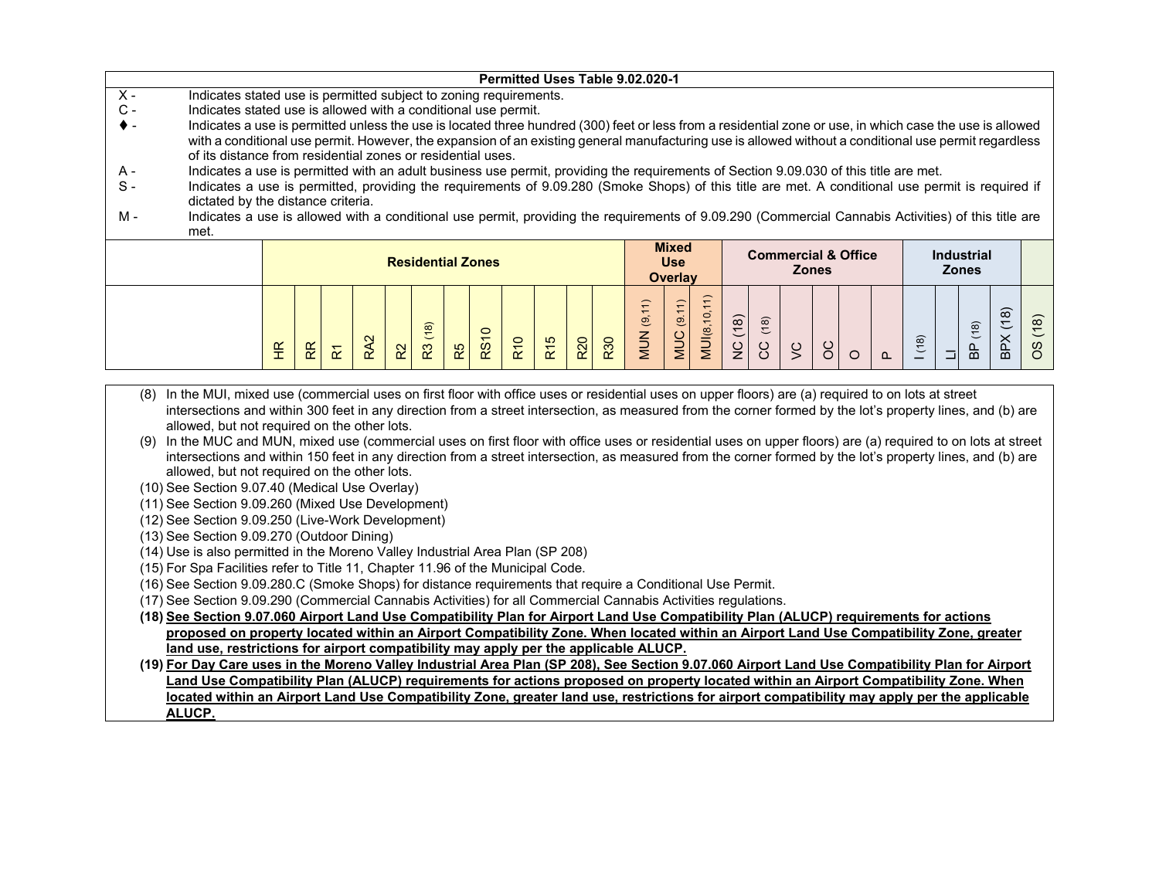|       |                                                                                                                                                                                                                                                                                            |                                                                                                                                                                                           |  |  |  |  |                          |  |         |  |  |  |  | Permitted Uses Table 9.02.020-1 |                     |                |      |      |                                |              |  |  |                   |   |      |
|-------|--------------------------------------------------------------------------------------------------------------------------------------------------------------------------------------------------------------------------------------------------------------------------------------------|-------------------------------------------------------------------------------------------------------------------------------------------------------------------------------------------|--|--|--|--|--------------------------|--|---------|--|--|--|--|---------------------------------|---------------------|----------------|------|------|--------------------------------|--------------|--|--|-------------------|---|------|
| $X -$ | Indicates stated use is permitted subject to zoning requirements.                                                                                                                                                                                                                          |                                                                                                                                                                                           |  |  |  |  |                          |  |         |  |  |  |  |                                 |                     |                |      |      |                                |              |  |  |                   |   |      |
| $C -$ | Indicates stated use is allowed with a conditional use permit.                                                                                                                                                                                                                             |                                                                                                                                                                                           |  |  |  |  |                          |  |         |  |  |  |  |                                 |                     |                |      |      |                                |              |  |  |                   |   |      |
|       | Indicates a use is permitted unless the use is located three hundred (300) feet or less from a residential zone or use, in which case the use is allowed                                                                                                                                   |                                                                                                                                                                                           |  |  |  |  |                          |  |         |  |  |  |  |                                 |                     |                |      |      |                                |              |  |  |                   |   |      |
|       | with a conditional use permit. However, the expansion of an existing general manufacturing use is allowed without a conditional use permit regardless                                                                                                                                      |                                                                                                                                                                                           |  |  |  |  |                          |  |         |  |  |  |  |                                 |                     |                |      |      |                                |              |  |  |                   |   |      |
|       | of its distance from residential zones or residential uses.                                                                                                                                                                                                                                |                                                                                                                                                                                           |  |  |  |  |                          |  |         |  |  |  |  |                                 |                     |                |      |      |                                |              |  |  |                   |   |      |
| A -   | Indicates a use is permitted with an adult business use permit, providing the requirements of Section 9.09.030 of this title are met.<br>Indicates a use is permitted, providing the requirements of 9.09.280 (Smoke Shops) of this title are met. A conditional use permit is required if |                                                                                                                                                                                           |  |  |  |  |                          |  |         |  |  |  |  |                                 |                     |                |      |      |                                |              |  |  |                   |   |      |
| $S -$ |                                                                                                                                                                                                                                                                                            |                                                                                                                                                                                           |  |  |  |  |                          |  |         |  |  |  |  |                                 |                     |                |      |      |                                |              |  |  |                   |   |      |
|       |                                                                                                                                                                                                                                                                                            | dictated by the distance criteria.<br>Indicates a use is allowed with a conditional use permit, providing the requirements of 9.09.290 (Commercial Cannabis Activities) of this title are |  |  |  |  |                          |  |         |  |  |  |  |                                 |                     |                |      |      |                                |              |  |  |                   |   |      |
| м -   |                                                                                                                                                                                                                                                                                            |                                                                                                                                                                                           |  |  |  |  |                          |  |         |  |  |  |  |                                 |                     |                |      |      |                                |              |  |  |                   |   |      |
|       | met.                                                                                                                                                                                                                                                                                       |                                                                                                                                                                                           |  |  |  |  |                          |  |         |  |  |  |  |                                 |                     |                |      |      |                                |              |  |  |                   |   |      |
|       |                                                                                                                                                                                                                                                                                            |                                                                                                                                                                                           |  |  |  |  |                          |  |         |  |  |  |  |                                 | <b>Mixed</b>        |                |      |      | <b>Commercial &amp; Office</b> |              |  |  | <b>Industrial</b> |   |      |
|       |                                                                                                                                                                                                                                                                                            |                                                                                                                                                                                           |  |  |  |  | <b>Residential Zones</b> |  |         |  |  |  |  |                                 | <b>Use</b>          |                |      |      |                                | <b>Zones</b> |  |  | <b>Zones</b>      |   |      |
|       |                                                                                                                                                                                                                                                                                            |                                                                                                                                                                                           |  |  |  |  |                          |  |         |  |  |  |  |                                 | <b>Overlay</b>      |                |      |      |                                |              |  |  |                   |   |      |
|       |                                                                                                                                                                                                                                                                                            |                                                                                                                                                                                           |  |  |  |  |                          |  |         |  |  |  |  |                                 |                     |                |      |      |                                |              |  |  |                   |   |      |
|       |                                                                                                                                                                                                                                                                                            |                                                                                                                                                                                           |  |  |  |  |                          |  |         |  |  |  |  | (1)                             | $\left(1\right)$    |                |      |      |                                |              |  |  |                   | ၜ |      |
|       |                                                                                                                                                                                                                                                                                            |                                                                                                                                                                                           |  |  |  |  | ၜ                        |  | $\circ$ |  |  |  |  | $\overline{9}$                  | $\ddot{\mathbf{e}}$ | $\overline{0}$ | (18) | (18) |                                |              |  |  | (8)               | こ | (18) |
|       |                                                                                                                                                                                                                                                                                            | MUI(8,<br>MUN<br><b>DCM</b><br>$\times$<br><b>R20</b><br>ၜ<br>R <sub>15</sub><br>RS1<br><b>R10</b><br>R30<br>9                                                                            |  |  |  |  |                          |  |         |  |  |  |  |                                 |                     |                |      |      |                                |              |  |  |                   |   |      |
|       | $\frac{0}{2}$<br>ပ္ပ<br>또<br>8<br>ន្ល<br>ဝိ<br>95<br>œ<br>R5<br>$\approx$<br>읎<br>n.                                                                                                                                                                                                       |                                                                                                                                                                                           |  |  |  |  |                          |  |         |  |  |  |  |                                 |                     |                |      |      |                                |              |  |  |                   |   |      |

- (8) In the MUI, mixed use (commercial uses on first floor with office uses or residential uses on upper floors) are (a) required to on lots at street intersections and within 300 feet in any direction from a street intersection, as measured from the corner formed by the lot's property lines, and (b) are allowed, but not required on the other lots.
- (9) In the MUC and MUN, mixed use (commercial uses on first floor with office uses or residential uses on upper floors) are (a) required to on lots at street intersections and within 150 feet in any direction from a street intersection, as measured from the corner formed by the lot's property lines, and (b) are allowed, but not required on the other lots.
- (10) See Section 9.07.40 (Medical Use Overlay)
- (11) See Section 9.09.260 (Mixed Use Development)
- (12) See Section 9.09.250 (Live-Work Development)
- (13) See Section 9.09.270 (Outdoor Dining)
- (14) Use is also permitted in the Moreno Valley Industrial Area Plan (SP 208)
- (15) For Spa Facilities refer to Title 11, Chapter 11.96 of the Municipal Code.
- (16) See Section 9.09.280.C (Smoke Shops) for distance requirements that require a Conditional Use Permit.
- (17) See Section 9.09.290 (Commercial Cannabis Activities) for all Commercial Cannabis Activities regulations.
- **(18) See Section 9.07.060 Airport Land Use Compatibility Plan for Airport Land Use Compatibility Plan (ALUCP) requirements for actions proposed on property located within an Airport Compatibility Zone. When located within an Airport Land Use Compatibility Zone, greater land use, restrictions for airport compatibility may apply per the applicable ALUCP.**
- **(19) For Day Care uses in the Moreno Valley Industrial Area Plan (SP 208), See Section 9.07.060 Airport Land Use Compatibility Plan for Airport Land Use Compatibility Plan (ALUCP) requirements for actions proposed on property located within an Airport Compatibility Zone. When located within an Airport Land Use Compatibility Zone, greater land use, restrictions for airport compatibility may apply per the applicable ALUCP.**